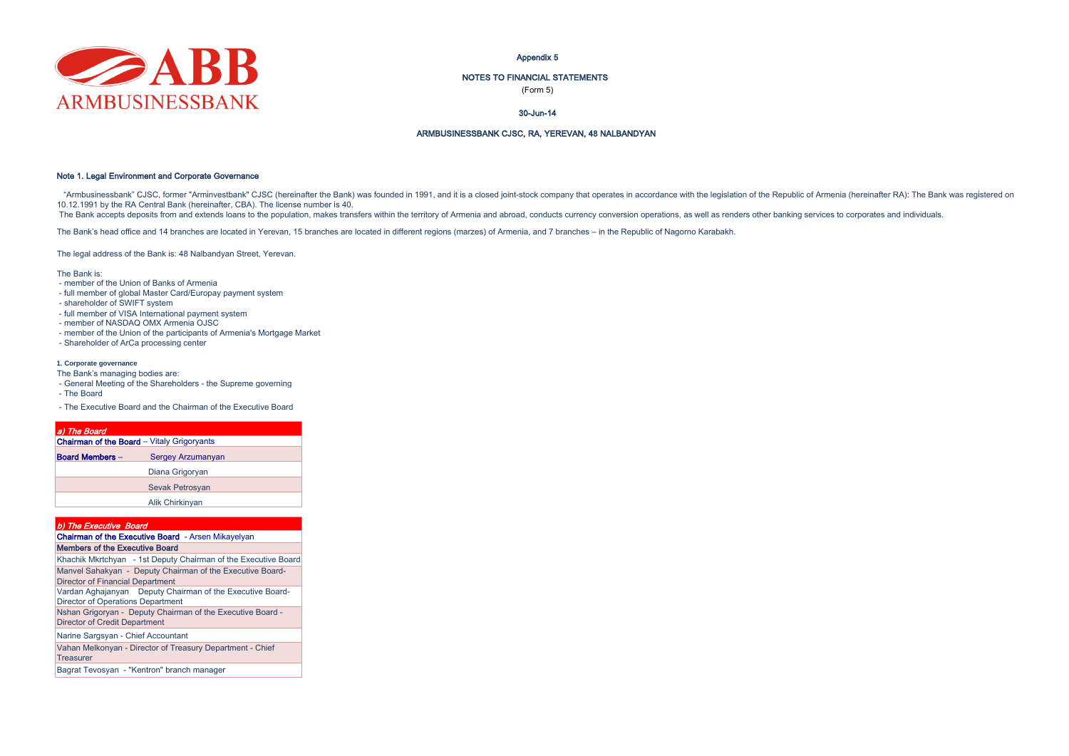

Appendix 5

### NOTES TO FINANCIAL STATEMENTS

(Form 5)

### 30-Jun-14

### ARMBUSINESSBANK CJSC, RA, YEREVAN, 48 NALBANDYAN

### Note 1. Legal Environment and Corporate Governance

"Armbusinessbank" CJSC, former "Arminvestbank" CJSC (hereinafter the Bank) was founded in 1991, and it is a closed joint-stock company that operates in accordance with the legislation of the Republic of Armenia (hereinafte 10.12.1991 by the RA Central Bank (hereinafter, CBA). The license number is 40.

The Bank accepts deposits from and extends loans to the population, makes transfers within the territory of Armenia and abroad, conducts currency conversion operations, as well as renders other banking services to corporat

The Bank's head office and 14 branches are located in Yerevan, 15 branches are located in different regions (marzes) of Armenia, and 7 branches – in the Republic of Nagorno Karabakh.

The legal address of the Bank is: 48 Nalbandyan Street, Yerevan.

The Bank is:

- member of the Union of Banks of Armenia
- full member of global Master Card/Europay payment system
- shareholder of SWIFT system
- full member of VISA International payment system
- member of NASDAQ OMX Armenia OJSC
- member of the Union of the participants of Armenia's Mortgage Market
- Shareholder of ArCa processing center

#### **1. Corporate governance**

- The Bank's managing bodies are:
- General Meeting of the Shareholders the Supreme governing
- The Board
- The Executive Board and the Chairman of the Executive Board

# a) The Board

| <b>Chairman of the Board</b> - Vitaly Grigoryants |                        |  |  |  |  |
|---------------------------------------------------|------------------------|--|--|--|--|
| <b>Board Members -</b><br>Sergey Arzumanyan       |                        |  |  |  |  |
|                                                   | Diana Grigoryan        |  |  |  |  |
|                                                   | <b>Sevak Petrosyan</b> |  |  |  |  |
|                                                   | Alik Chirkinyan        |  |  |  |  |

| b) The Executive Board                                                                                |
|-------------------------------------------------------------------------------------------------------|
| Chairman of the Executive Board - Arsen Mikayelyan                                                    |
| Members of the Executive Board                                                                        |
| Khachik Mkrtchyan - 1st Deputy Chairman of the Executive Board                                        |
| Manvel Sahakyan - Deputy Chairman of the Executive Board-<br><b>Director of Financial Department</b>  |
| Vardan Aghajanyan Deputy Chairman of the Executive Board-<br><b>Director of Operations Department</b> |
| Nshan Grigoryan - Deputy Chairman of the Executive Board -<br><b>Director of Credit Department</b>    |
| Narine Sargsyan - Chief Accountant                                                                    |
| Vahan Melkonyan - Director of Treasury Department - Chief<br><b>Treasurer</b>                         |
| Bagrat Tevosyan - "Kentron" branch manager                                                            |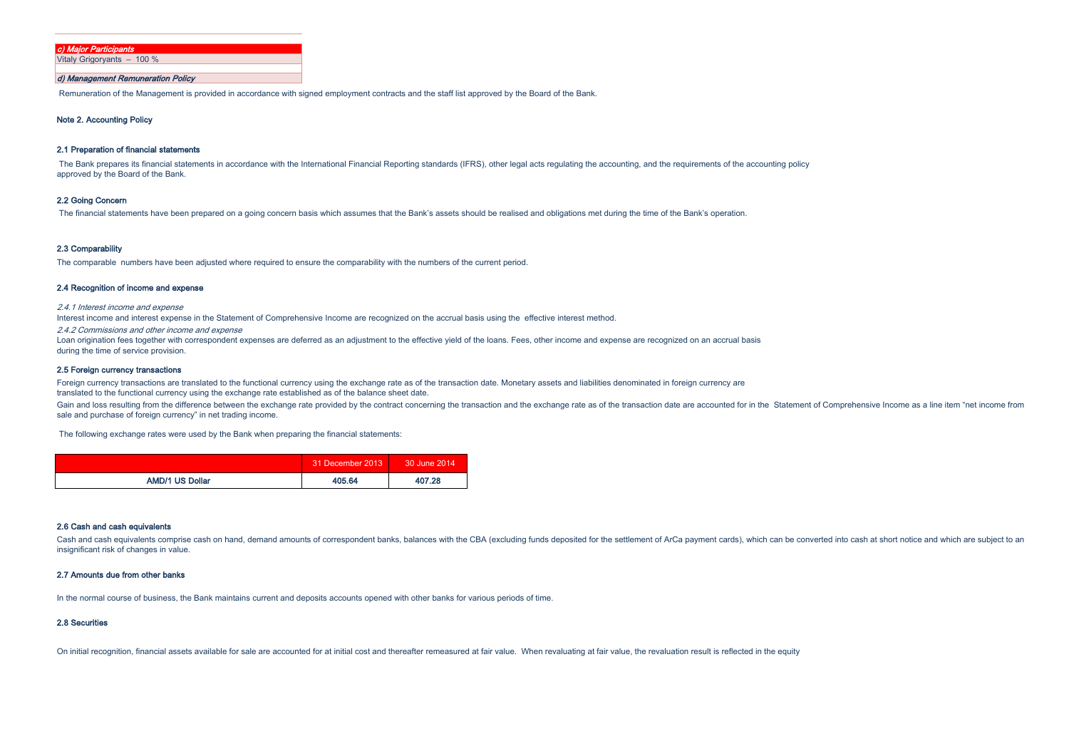| c) Maior Participants      |
|----------------------------|
| Vitaly Grigoryants - 100 % |
|                            |

### d) Management Remuneration Policy

Remuneration of the Management is provided in accordance with signed employment contracts and the staff list approved by the Board of the Bank.

### Note 2. Accounting Policy

### 2.1 Preparation of financial statements

The Bank prepares its financial statements in accordance with the International Financial Reporting standards (IFRS), other legal acts regulating the accounting, and the requirements of the accounting policy approved by the Board of the Bank.

### 2.2 Going Concern

The financial statements have been prepared on a going concern basis which assumes that the Bank's assets should be realised and obligations met during the time of the Bank's operation.

#### 2.3 Comparability

The comparable numbers have been adjusted where required to ensure the comparability with the numbers of the current period.

### 2.4 Recognition of income and expense

2.4.1 Interest income and expense

Interest income and interest expense in the Statement of Comprehensive Income are recognized on the accrual basis using the effective interest method.

2.4.2 Commissions and other income and expense

Loan origination fees together with correspondent expenses are deferred as an adjustment to the effective yield of the loans. Fees, other income and expense are recognized on an accrual basis during the time of service provision.

### 2.5 Foreign currency transactions

Foreign currency transactions are translated to the functional currency using the exchange rate as of the transaction date. Monetary assets and liabilities denominated in foreign currency are translated to the functional currency using the exchange rate established as of the balance sheet date.

Gain and loss resulting from the difference between the exchange rate provided by the contract concerning the transaction and the exchange rate as of the transaction date are accounted for in the Statement of Comprehensive sale and purchase of foreign currency" in net trading income.

The following exchange rates were used by the Bank when preparing the financial statements:

|                        | 31 December 2013 | 30 June 2014 |
|------------------------|------------------|--------------|
| <b>AMD/1 US Dollar</b> | 405.64           | 407.28       |

#### 2.6 Cash and cash equivalents

Cash and cash equivalents comprise cash on hand, demand amounts of correspondent banks, balances with the CBA (excluding funds deposited for the settlement of ArCa payment cards), which can be converted into cash at short insignificant risk of changes in value.

### 2.7 Amounts due from other banks

In the normal course of business, the Bank maintains current and deposits accounts opened with other banks for various periods of time.

### 2.8 Securities

On initial recognition, financial assets available for sale are accounted for at initial cost and thereafter remeasured at fair value. When revaluating at fair value, the revaluation result is reflected in the equity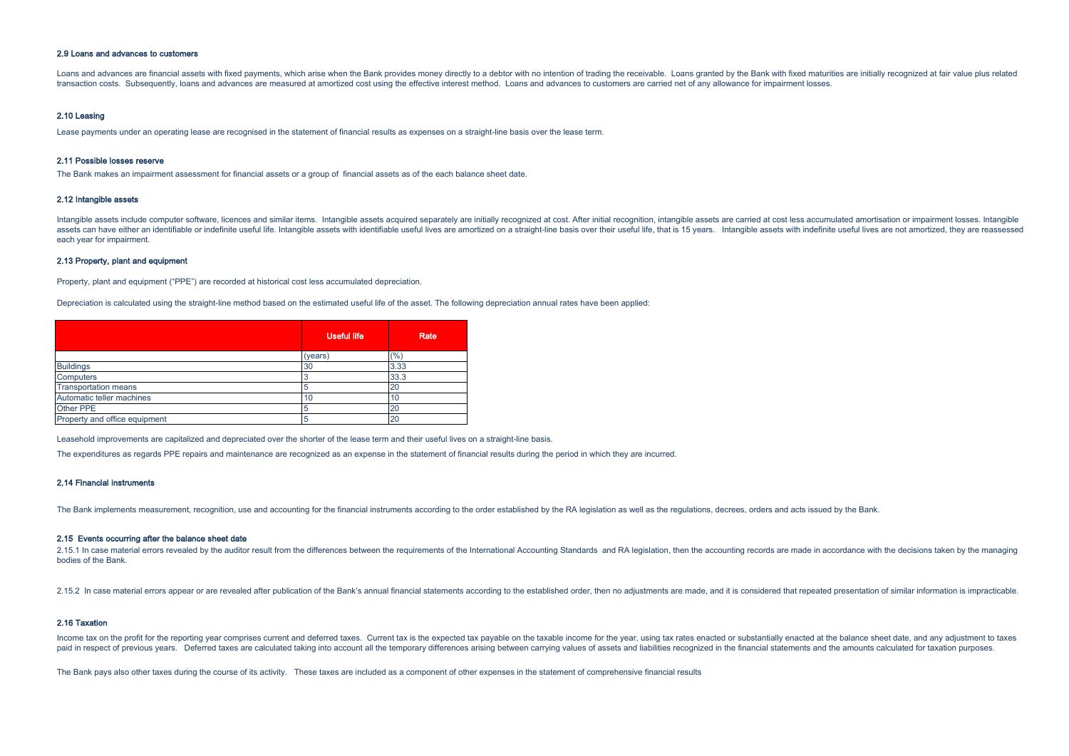### 2.9 Loans and advances to customers

Loans and advances are financial assets with fixed payments, which arise when the Bank provides money directly to a debtor with no intention of trading the receivable. Loans granted by the Bank with fixed maturities are in transaction costs. Subsequently, loans and advances are measured at amortized cost using the effective interest method. Loans and advances to customers are carried net of any allowance for impairment losses.

#### 2.10 Leasing

Lease payments under an operating lease are recognised in the statement of financial results as expenses on a straight-line basis over the lease term.

#### 2.11 Possible losses reserve

The Bank makes an impairment assessment for financial assets or a group of financial assets as of the each balance sheet date.

#### 2.12 Intangible assets

Intangible assets include computer software, licences and similar items. Intangible assets acquired separately are initially recognized at cost. After initial recognition, intangible assets are carried at cost less accumul assets can have either an identifiable or indefinite useful life. Intangible assets with identifiable useful lives are amortized on a straight-line basis over their useful life. that is 15 years. Intangible assets with ind each year for impairment.

### 2.13 Property, plant and equipment

Property, plant and equipment ("PPE") are recorded at historical cost less accumulated depreciation.

Depreciation is calculated using the straight-line method based on the estimated useful life of the asset. The following depreciation annual rates have been applied:

|                               | <b>Useful life</b> | Rate |
|-------------------------------|--------------------|------|
|                               | (years)            | (%)  |
| <b>Buildings</b>              | 30                 | 3.33 |
| Computers                     |                    | 33.3 |
| <b>Transportation means</b>   | 5                  | 20   |
| Automatic teller machines     | 10                 | 10   |
| Other PPE                     |                    | 20   |
| Property and office equipment |                    | 20   |

Leasehold improvements are capitalized and depreciated over the shorter of the lease term and their useful lives on a straight-line basis.

The expenditures as regards PPE repairs and maintenance are recognized as an expense in the statement of financial results during the period in which they are incurred.

### 2.14 Financial instruments

The Bank implements measurement, recognition, use and accounting for the financial instruments according to the order established by the RA legislation as well as the regulations, decrees, orders and acts issued by the Ban

#### 2.15 Events occurring after the balance sheet date

2.15.1 In case material errors revealed by the auditor result from the differences between the requirements of the International Accounting Standards and RA legislation, then the accounting records are made in accordance w bodies of the Bank.

2.15.2 In case material errors appear or are revealed after publication of the Bank's annual financial statements according to the established order, then no adjustments are made, and it is considered that repeated present

### 2.16 Taxation

Income tax on the profit for the reporting year comprises current and deferred taxes. Current tax is the expected tax payable on the taxable income for the year. using tax rates enacted or substantially enacted at the bala paid in respect of previous vears. Deferred taxes are calculated taking into account all the temporary differences arising between carrying values of assets and liabilities recognized in the financial statements and the am

The Bank pays also other taxes during the course of its activity. These taxes are included as a component of other expenses in the statement of comprehensive financial results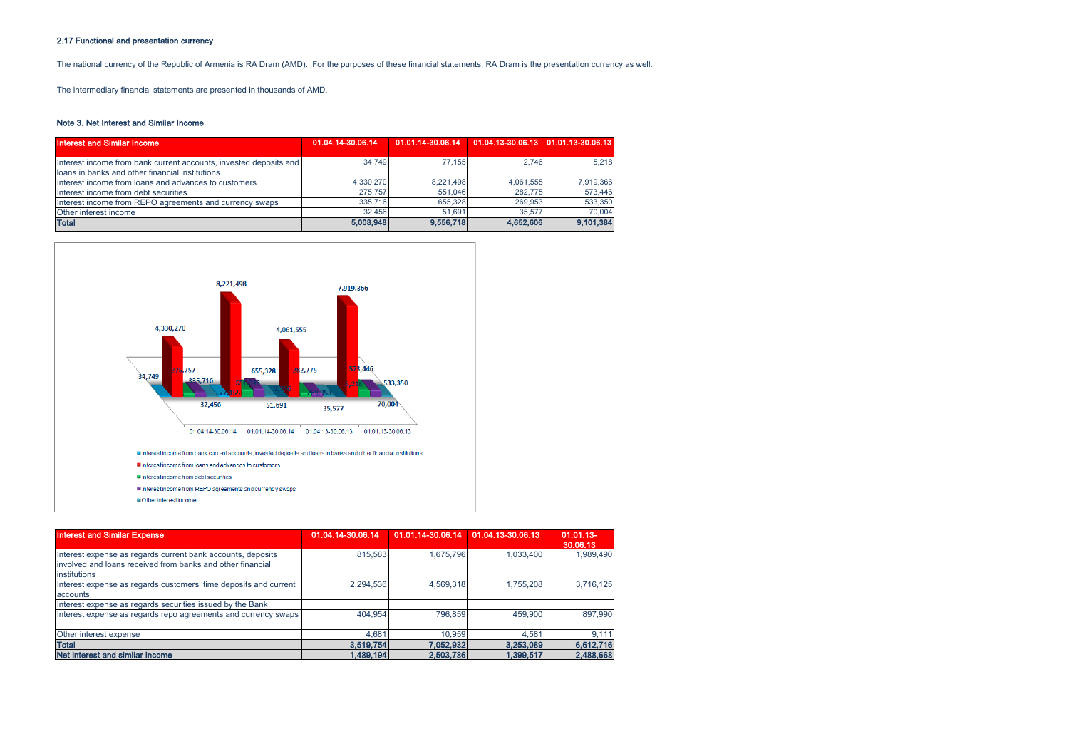# 2.17 Functional and presentation currency

The national currency of the Republic of Armenia is RA Dram (AMD). For the purposes of these financial statements, RA Dram is the presentation currency as well.

The intermediary financial statements are presented in thousands of AMD.

### Note 3. Net Interest and Similar Income

| Interest and Similar Income                                                                                          | 01.04.14-30.06.14 | 01.01.14-30.06.14    01.04.13-30.06.13    01.01.13-30.06.13 |           |           |
|----------------------------------------------------------------------------------------------------------------------|-------------------|-------------------------------------------------------------|-----------|-----------|
| Interest income from bank current accounts, invested deposits and<br>loans in banks and other financial institutions | 34.749            | 77.155                                                      | 2.746     | 5.218     |
| Interest income from loans and advances to customers                                                                 | 4.330.270         | 8.221.498                                                   | 4.061.555 | 7,919,366 |
| Interest income from debt securities                                                                                 | 275.757           | 551.046                                                     | 282.775   | 573,446   |
| Interest income from REPO agreements and currency swaps                                                              | 335,716           | 655.328                                                     | 269.953   | 533,350   |
| Other interest income                                                                                                | 32.456            | 51.691                                                      | 35,577    | 70,004    |
| <b>Total</b>                                                                                                         | 5,008,948         | 9,556,718                                                   | 4,652,606 | 9,101,384 |



| <b>Interest and Similar Expense</b>                                                                                                       | 01.04.14-30.06.14 | 01.01.14-30.06.14 | 01.04.13-30.06.13 | $01.01.13 -$<br>30.06.13 |
|-------------------------------------------------------------------------------------------------------------------------------------------|-------------------|-------------------|-------------------|--------------------------|
| Interest expense as regards current bank accounts, deposits<br>involved and loans received from banks and other financial<br>institutions | 815.583           | 1.675.796         | 1.033.400         | 1.989.490                |
| Interest expense as regards customers' time deposits and current<br>accounts                                                              | 2.294.536         | 4.569.318         | 1.755.208         | 3.716.125                |
| Interest expense as regards securities issued by the Bank                                                                                 |                   |                   |                   |                          |
| Interest expense as regards repo agreements and currency swaps                                                                            | 404.954           | 796.859           | 459,900           | 897.990                  |
| Other interest expense                                                                                                                    | 4.681             | 10.959            | 4.581             | 9,111                    |
| <b>Total</b>                                                                                                                              | 3,519,754         | 7,052,932         | 3,253,089         | 6,612,716                |
| Net interest and similar income                                                                                                           | 1,489,194         | 2,503,786         | 1.399.517         | 2,488,668                |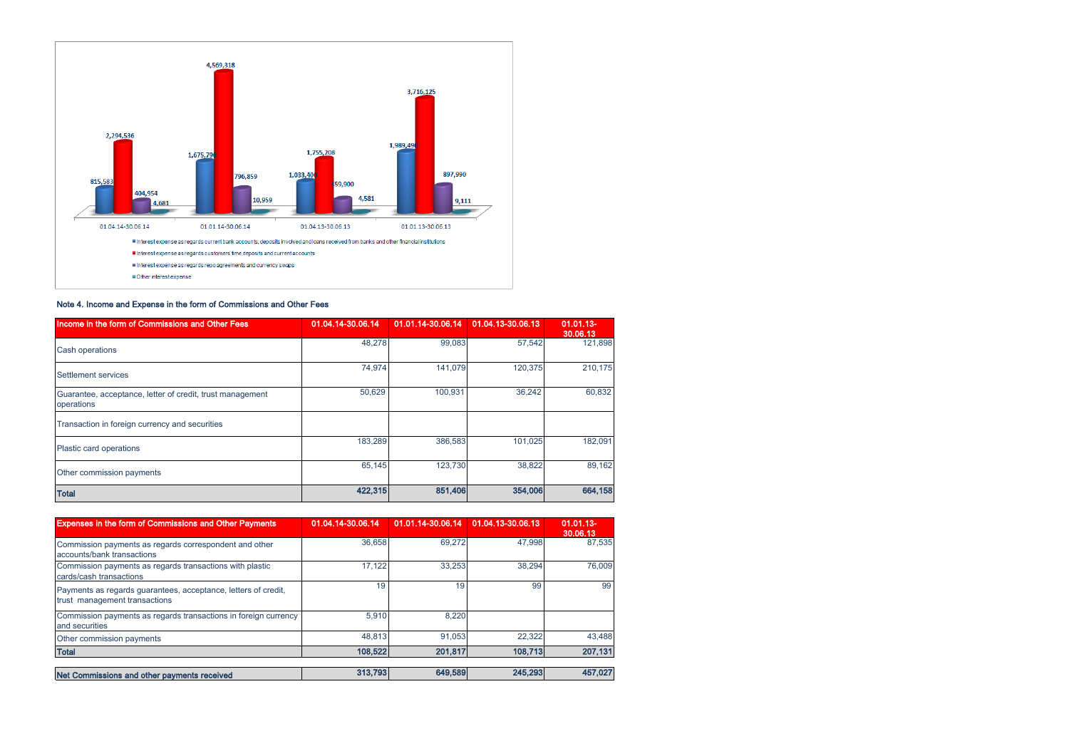

# Note 4. Income and Expense in the form of Commissions and Other Fees

| Income in the form of Commissions and Other Fees                        | 01.04.14-30.06.14 | 01.01.14-30.06.14 | 01.04.13-30.06.13 | $01.01.13 -$<br>30.06.13 |
|-------------------------------------------------------------------------|-------------------|-------------------|-------------------|--------------------------|
| <b>Cash operations</b>                                                  | 48,278            | 99,083            | 57,542            | 121,898                  |
| Settlement services                                                     | 74,974            | 141,079           | 120,375           | 210,175                  |
| Guarantee, acceptance, letter of credit, trust management<br>operations | 50,629            | 100,931           | 36,242            | 60,832                   |
| Transaction in foreign currency and securities                          |                   |                   |                   |                          |
| Plastic card operations                                                 | 183,289           | 386,583           | 101.025           | 182,091                  |
| Other commission payments                                               | 65,145            | 123,730           | 38,822            | 89,162                   |
| <b>Total</b>                                                            | 422,315           | 851,406           | 354,006           | 664,158                  |

| <b>Expenses in the form of Commissions and Other Payments</b>                                   | 01.04.14-30.06.14 | 01.01.14-30.06.14 | 01.04.13-30.06.13 | $01.01.13 -$<br>30.06.13 |
|-------------------------------------------------------------------------------------------------|-------------------|-------------------|-------------------|--------------------------|
| Commission payments as regards correspondent and other<br>accounts/bank transactions            | 36,658            | 69.272            | 47.998            | 87.535                   |
| Commission payments as regards transactions with plastic<br>cards/cash transactions             | 17.122            | 33.253            | 38.294            | 76.009                   |
| Payments as regards guarantees, acceptance, letters of credit,<br>trust management transactions | 19                | 19                | 99                | 99                       |
| Commission payments as regards transactions in foreign currency<br>and securities               | 5.910             | 8.220             |                   |                          |
| Other commission payments                                                                       | 48.813            | 91.053            | 22.322            | 43.488                   |
| <b>Total</b>                                                                                    | 108,522           | 201,817           | 108.713           | 207,131                  |
| Net Commissions and other payments received                                                     | 313,793           | 649,589           | 245,293           | 457,027                  |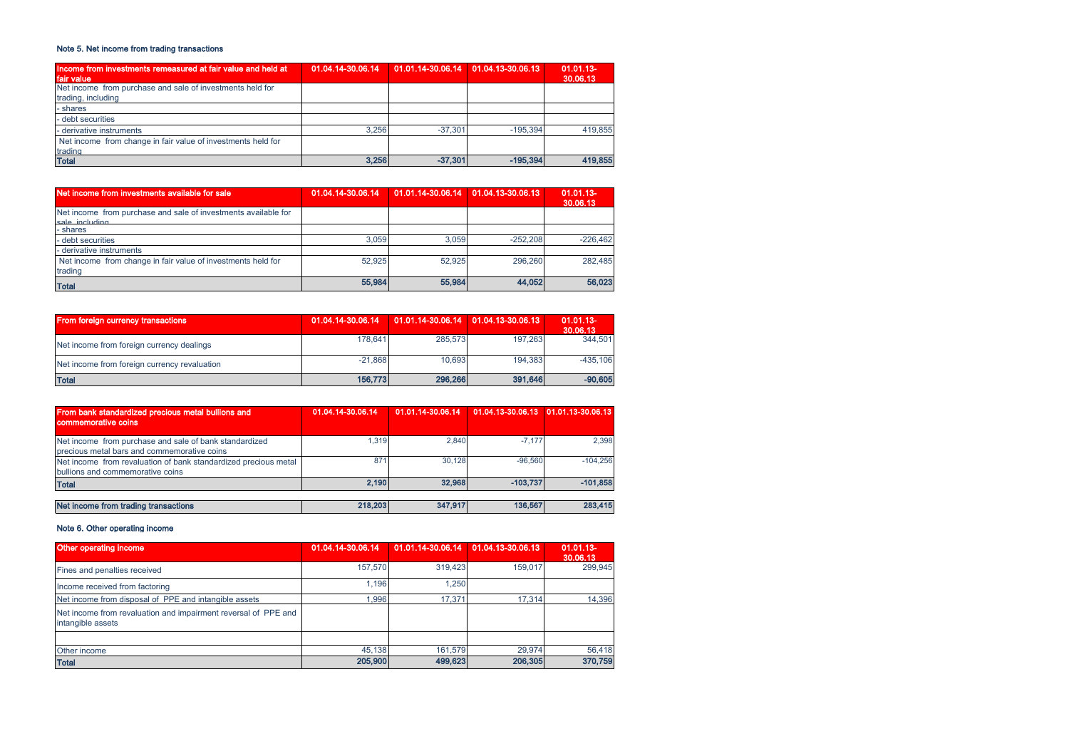# Note 5. Net income from trading transactions

| Income from investments remeasured at fair value and held at | 01.04.14-30.06.14 | 01.01.14-30.06.14 01.04.13-30.06.13 |            | $01.01.13 -$ |
|--------------------------------------------------------------|-------------------|-------------------------------------|------------|--------------|
| fair value                                                   |                   |                                     |            | 30.06.13     |
| Net income from purchase and sale of investments held for    |                   |                                     |            |              |
| trading, including                                           |                   |                                     |            |              |
| - shares                                                     |                   |                                     |            |              |
| - debt securities                                            |                   |                                     |            |              |
| - derivative instruments                                     | 3.256             | $-37.301$                           | $-195.394$ | 419.855      |
| Net income from change in fair value of investments held for |                   |                                     |            |              |
| trading                                                      |                   |                                     |            |              |
| <b>Total</b>                                                 | 3,256             | $-37.301$                           | $-195.394$ | 419,855      |

| Net income from investments available for sale                          | 01.04.14-30.06.14 | 01.01.14-30.06.14 01.04.13-30.06.13 |            | $01.01.13 -$<br>30,06.13 |
|-------------------------------------------------------------------------|-------------------|-------------------------------------|------------|--------------------------|
| Net income from purchase and sale of investments available for          |                   |                                     |            |                          |
| sale including<br>- shares                                              |                   |                                     |            |                          |
| - debt securities                                                       | 3.059             | 3.059                               | $-252.208$ | $-226.462$               |
| - derivative instruments                                                |                   |                                     |            |                          |
| Net income from change in fair value of investments held for<br>trading | 52.925            | 52.925                              | 296,260    | 282.485                  |
| <b>Total</b>                                                            | 55,984            | 55,984                              | 44.052     | 56,023                   |

| From foreign currency transactions           | 01.04.14-30.06.14 | $01.01.14 - 30.06.14$ 01.04.13-30.06.13 |         | $01.01.13 -$<br>30.06.13 |
|----------------------------------------------|-------------------|-----------------------------------------|---------|--------------------------|
| Net income from foreign currency dealings    | 178.641           | 285,573                                 | 197.263 | 344.501                  |
| Net income from foreign currency revaluation | $-21.868$         | 10.693                                  | 194.383 | $-435.106$               |
| <b>Total</b>                                 | 156,773           | 296,266                                 | 391,646 | $-90,605$                |

| From bank standardized precious metal bullions and<br>commemorative coins                             | 01.04.14-30.06.14 | 01.01.14-30.06.14 | 01.04.13-30.06.13 01.01.13-30.06.13 |            |
|-------------------------------------------------------------------------------------------------------|-------------------|-------------------|-------------------------------------|------------|
| Net income from purchase and sale of bank standardized<br>precious metal bars and commemorative coins | 1.319             | 2.840             | $-7.177$                            | 2.398      |
| Net income from revaluation of bank standardized precious metal<br>bullions and commemorative coins   | 871               | 30.128            | $-96.560$                           | $-104.256$ |
| <b>Total</b>                                                                                          | 2.190             | 32.968            | $-103.737$                          | $-101,858$ |
| Net income from trading transactions                                                                  | 218,203           | 347,917           | 136,567                             | 283,415    |

### Note 6. Other operating income

| Other operating income                                                              | 01.04.14-30.06.14 | 01.01.14-30.06.14 01.04.13-30.06.13 |         | $01.01.13 -$<br>30.06.13 |
|-------------------------------------------------------------------------------------|-------------------|-------------------------------------|---------|--------------------------|
| Fines and penalties received                                                        | 157,570           | 319,423                             | 159.017 | 299.945                  |
| Income received from factoring                                                      | 1.196             | 1.250                               |         |                          |
| Net income from disposal of PPE and intangible assets                               | 1.996             | 17.371                              | 17.314  | 14.396                   |
| Net income from revaluation and impairment reversal of PPE and<br>intangible assets |                   |                                     |         |                          |
|                                                                                     |                   |                                     |         |                          |
| Other income                                                                        | 45,138            | 161.579                             | 29.974  | 56,418                   |
| <b>Total</b>                                                                        | 205,900           | 499,623                             | 206,305 | 370,759                  |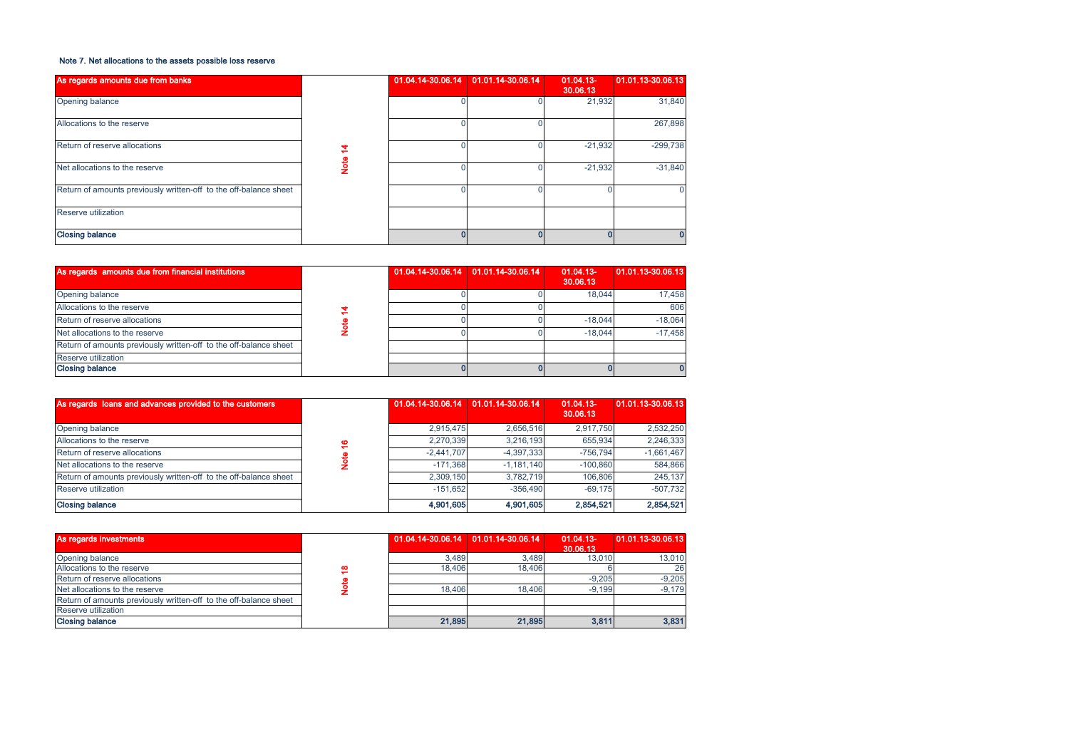### Note 7. Net allocations to the assets possible loss reserve

| As regards amounts due from banks                                 |        | 01.04.14-30.06.14 | 01.01.14-30.06.14 | $01.04.13 -$<br>30.06.13 | 01.01.13-30.06.13 |
|-------------------------------------------------------------------|--------|-------------------|-------------------|--------------------------|-------------------|
| Opening balance                                                   |        |                   |                   | 21,932                   | 31,840            |
| Allocations to the reserve                                        |        |                   |                   |                          | 267,898           |
| Return of reserve allocations                                     | 4      |                   |                   | $-21,932$                | $-299,738$        |
| Net allocations to the reserve                                    | e<br>S |                   |                   | $-21,932$                | $-31,840$         |
| Return of amounts previously written-off to the off-balance sheet |        |                   |                   |                          |                   |
| Reserve utilization                                               |        |                   |                   |                          |                   |
| <b>Closing balance</b>                                            |        |                   |                   |                          |                   |

| As regards amounts due from financial institutions                |  | 01.04.14-30.06.14 01.01.14-30.06.14 | $01.04.13 -$<br>30.06.13 | 01.01.13-30.06.13 |
|-------------------------------------------------------------------|--|-------------------------------------|--------------------------|-------------------|
| Opening balance                                                   |  |                                     | 18.044                   | 17.458            |
| Allocations to the reserve                                        |  |                                     |                          | 606               |
| Return of reserve allocations                                     |  |                                     | $-18.044$                | $-18.064$         |
| Net allocations to the reserve                                    |  |                                     | $-18.044$                | $-17.458$         |
| Return of amounts previously written-off to the off-balance sheet |  |                                     |                          |                   |
| Reserve utilization                                               |  |                                     |                          |                   |
| <b>Closing balance</b>                                            |  |                                     |                          |                   |

| As regards loans and advances provided to the customers           |          | 01.04.14-30.06.14 | 01.01.14-30.06.14                   | $01.04.13 -$<br>30,06.13 | 01.01.13-30.06.13 |
|-------------------------------------------------------------------|----------|-------------------|-------------------------------------|--------------------------|-------------------|
| Opening balance                                                   |          | 2,915,475         | 2,656,516                           | 2,917,750                | 2,532,250         |
| Allocations to the reserve                                        | ڥ        | 2,270,339         | 3,216,193                           | 655.934                  | 2,246,333         |
| Return of reserve allocations                                     |          | $-2.441.707$      | $-4,397,333$                        | $-756,794$               | $-1,661,467$      |
| Net allocations to the reserve                                    | <b>S</b> | $-171.368$        | $-1,181,140$                        | $-100.860$               | 584,866           |
| Return of amounts previously written-off to the off-balance sheet |          | 2,309,150         | 3,782,719                           | 106,806                  | 245,137           |
| Reserve utilization                                               |          | $-151,652$        | $-356.490$                          | $-69.175$                | $-507,732$        |
| <b>Closing balance</b>                                            |          | 4,901,605         | 4,901,605                           | 2,854,521                | 2,854,521         |
| As regards investments                                            |          |                   | 01.04.14-30.06.14 01.01.14-30.06.14 | 01.04.13-<br>30.06.13    | 01.01.13-30.06.13 |
| Opening balance                                                   |          | 3.489             | 3,489                               | 13,010                   | 13,010            |
| Allocations to the reserve                                        | ڥ        | 18,406            | 18,406                              |                          | 26                |
| Return of reserve allocations                                     |          |                   |                                     | $-9,205$                 | $-9,205$          |
| Net allocations to the reserve                                    |          | 18,406            | 18,406                              | $-9,199$                 | $-9,179$          |

| As regards investments                                            |   |        | 01.04.14-30.06.14 01.01.14-30.06.14 | $01.04.13 -$<br>30.06.13 | 01.01.13-30.06.13 |
|-------------------------------------------------------------------|---|--------|-------------------------------------|--------------------------|-------------------|
| Opening balance                                                   |   | 3.489  | 3.489                               | 13.010                   | 13.010            |
| Allocations to the reserve                                        | ₽ | 18,406 | 18,406                              |                          | 26                |
| Return of reserve allocations                                     |   |        |                                     | $-9.205$                 | $-9.205$          |
| Net allocations to the reserve                                    |   | 18,406 | 18,406                              | $-9.199$                 | $-9.179$          |
| Return of amounts previously written-off to the off-balance sheet |   |        |                                     |                          |                   |
| Reserve utilization                                               |   |        |                                     |                          |                   |
| <b>Closing balance</b>                                            |   | 21.895 | 21,895                              | 3,811                    | 3,831             |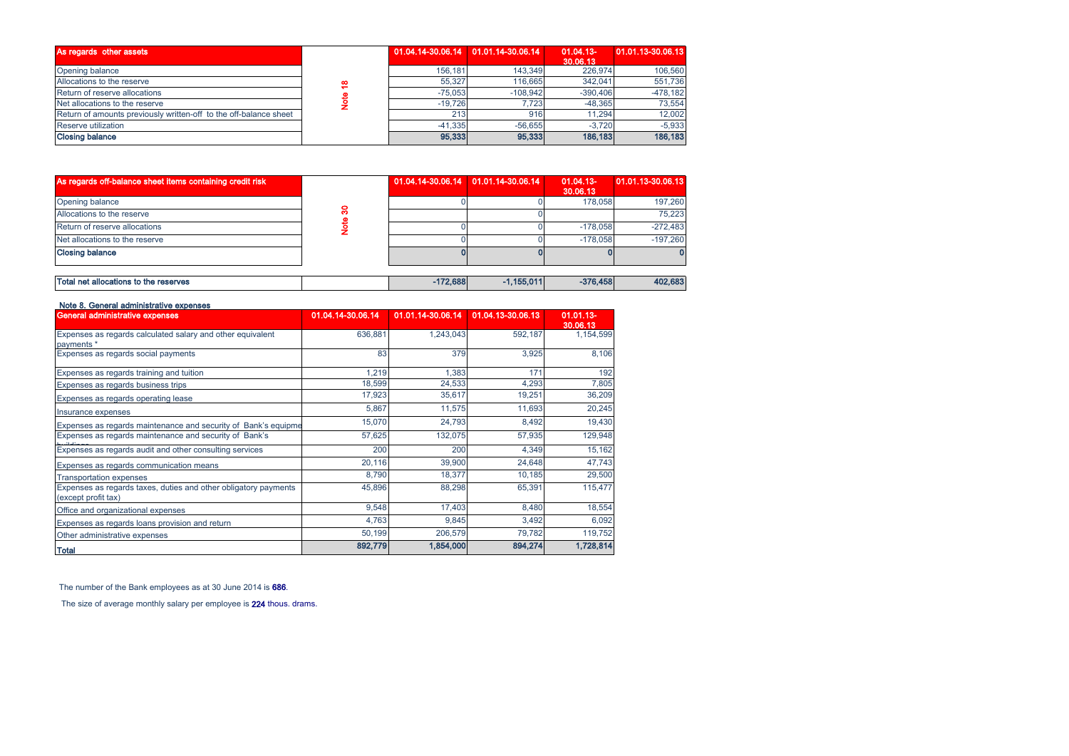| As regards other assets                                           |   |           | 01.04.14-30.06.14 01.01.14-30.06.14 | $01.04.13 -$<br>30,06.13 | 01.01.13-30.06.13 |
|-------------------------------------------------------------------|---|-----------|-------------------------------------|--------------------------|-------------------|
| Opening balance                                                   |   | 156.181   | 143.349                             | 226,974                  | 106,560           |
| Allocations to the reserve                                        | ≝ | 55,327    | 116,665                             | 342.041                  | 551.736           |
| Return of reserve allocations                                     |   | $-75.053$ | $-108.942$                          | $-390.406$               | $-478.182$        |
| Net allocations to the reserve                                    |   | $-19.726$ | 7.723                               | $-48.365$                | 73.554            |
| Return of amounts previously written-off to the off-balance sheet |   | 213       | 916                                 | 11.294                   | 12.002            |
| Reserve utilization                                               |   | $-41.335$ | $-56.655$                           | $-3.720$                 | $-5.933$          |
| <b>Closing balance</b>                                            |   | 95,333    | 95,333                              | 186,183                  | 186,183           |

| As regards off-balance sheet items containing credit risk |    |            | 01.04.14-30.06.14 01.01.14-30.06.14 | $01.04.13 -$<br>30.06.13 | 01.01.13-30.06.13 |
|-----------------------------------------------------------|----|------------|-------------------------------------|--------------------------|-------------------|
| Opening balance                                           |    |            |                                     | 178,058                  | 197.260           |
| Allocations to the reserve                                | ႙ၟ |            |                                     |                          | 75,223            |
| Return of reserve allocations                             |    |            |                                     | $-178.058$               | $-272.483$        |
| Net allocations to the reserve                            |    |            |                                     | $-178.058$               | $-197.260$        |
| <b>Closing balance</b>                                    |    |            |                                     |                          |                   |
|                                                           |    |            |                                     |                          |                   |
| Total net allocations to the reserves                     |    | $-172.688$ | $-1,155,011$                        | $-376.458$               | 402,683           |

| <b>General administrative expenses</b>                                                 | 01.04.14-30.06.14 | 01.01.14-30.06.14 | 01.04.13-30.06.13 | 01.01.13-<br>30.06.13 |
|----------------------------------------------------------------------------------------|-------------------|-------------------|-------------------|-----------------------|
| Expenses as regards calculated salary and other equivalent<br>payments *               | 636,881           | 1,243,043         | 592,187           | 1,154,599             |
| Expenses as regards social payments                                                    | 83                | 379               | 3,925             | 8,106                 |
| Expenses as regards training and tuition                                               | 1,219             | 1.383             | 171               | 192                   |
| Expenses as regards business trips                                                     | 18,599            | 24,533            | 4,293             | 7,805                 |
| Expenses as regards operating lease                                                    | 17,923            | 35,617            | 19,251            | 36,209                |
| Insurance expenses                                                                     | 5,867             | 11,575            | 11,693            | 20,245                |
| Expenses as regards maintenance and security of Bank's equipme                         | 15,070            | 24,793            | 8,492             | 19,430                |
| Expenses as regards maintenance and security of Bank's                                 | 57,625            | 132,075           | 57,935            | 129,948               |
| Expenses as regards audit and other consulting services                                | 200               | 200               | 4,349             | 15,162                |
| Expenses as regards communication means                                                | 20,116            | 39,900            | 24,648            | 47,743                |
| <b>Transportation expenses</b>                                                         | 8,790             | 18,377            | 10,185            | 29,500                |
| Expenses as regards taxes, duties and other obligatory payments<br>(except profit tax) | 45,896            | 88,298            | 65,391            | 115,477               |
| Office and organizational expenses                                                     | 9,548             | 17,403            | 8,480             | 18,554                |
| Expenses as regards loans provision and return                                         | 4,763             | 9,845             | 3,492             | 6,092                 |
| Other administrative expenses                                                          | 50,199            | 206,579           | 79,782            | 119,752               |
| Total                                                                                  | 892,779           | 1,854,000         | 894,274           | 1,728,814             |

The number of the Bank employees as at 30 June 2014 is 686.

The size of average monthly salary per employee is 224 thous. drams.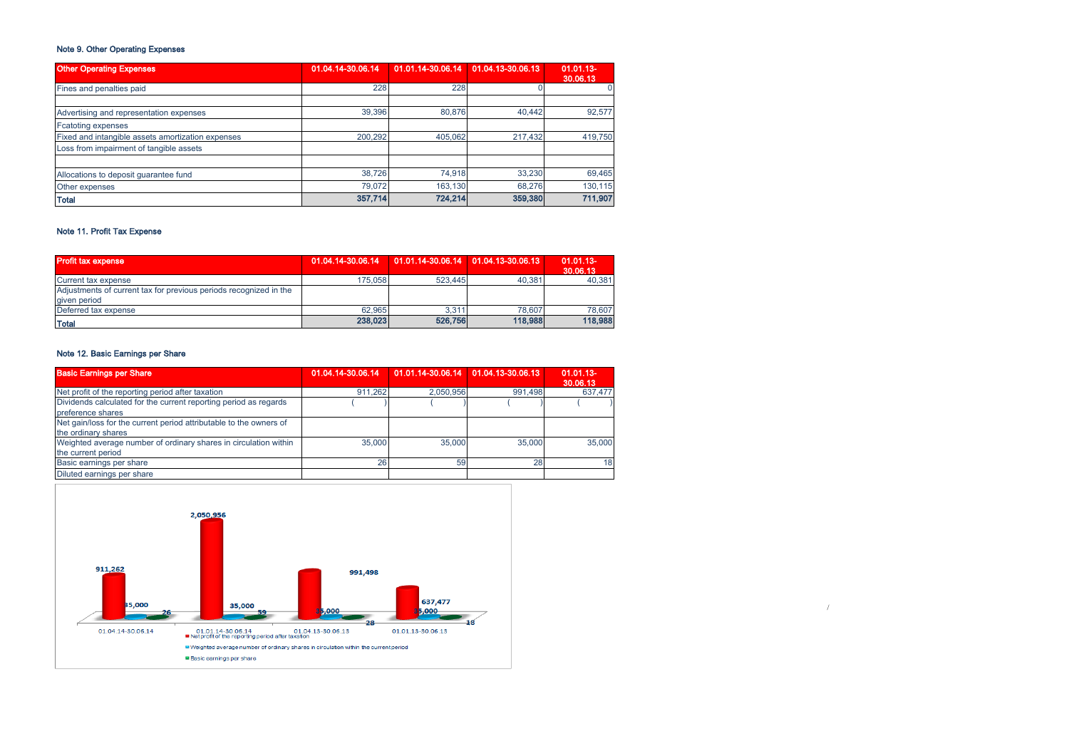# Note 9. Other Operating Expenses

| <b>Other Operating Expenses</b>                   | 01.04.14-30.06.14 | 01.01.14-30.06.14 01.04.13-30.06.13 |         | 01.01.13-<br>30.06.13 |
|---------------------------------------------------|-------------------|-------------------------------------|---------|-----------------------|
| Fines and penalties paid                          | 228               | 228                                 |         |                       |
| Advertising and representation expenses           | 39,396            | 80.876                              | 40.442  | 92,577                |
| <b>Fcatoting expenses</b>                         |                   |                                     |         |                       |
| Fixed and intangible assets amortization expenses | 200.292           | 405.062                             | 217,432 | 419.750               |
| Loss from impairment of tangible assets           |                   |                                     |         |                       |
| Allocations to deposit quarantee fund             | 38,726            | 74.918                              | 33,230  | 69,465                |
| Other expenses                                    | 79.072            | 163.130                             | 68.276  | 130.115               |
| Total                                             | 357,714           | 724,214                             | 359,380 | 711,907               |

# Note 11. Profit Tax Expense

| <b>Profit tax expense</b>                                                         | 01.04.14-30.06.14   01.01.14-30.06.14   01.04.13-30.06.13 |         |         | $01.01.13 -$<br>30.06.13 |
|-----------------------------------------------------------------------------------|-----------------------------------------------------------|---------|---------|--------------------------|
| Current tax expense                                                               | 175.058                                                   | 523.445 | 40.381  | 40,381                   |
| Adjustments of current tax for previous periods recognized in the<br>given period |                                                           |         |         |                          |
| Deferred tax expense                                                              | 62.965                                                    | 3,311   | 78,607  | 78.607                   |
| Total                                                                             | 238,023                                                   | 526,756 | 118,988 | 118,988                  |

# Note 12. Basic Earnings per Share

| <b>Basic Earnings per Share</b>                                                           | 01.04.14-30.06.14 | 01.01.14-30.06.14 01.04.13-30.06.13 |         | $01.01.13 -$<br>30.06.13 |
|-------------------------------------------------------------------------------------------|-------------------|-------------------------------------|---------|--------------------------|
| Net profit of the reporting period after taxation                                         | 911.262           | 2.050.956                           | 991.498 | 637,477                  |
| Dividends calculated for the current reporting period as regards<br>preference shares     |                   |                                     |         |                          |
| Net gain/loss for the current period attributable to the owners of<br>the ordinary shares |                   |                                     |         |                          |
| Weighted average number of ordinary shares in circulation within<br>the current period    | 35,000            | 35,000                              | 35,000  | 35,000                   |
| Basic earnings per share                                                                  | 26                | 59                                  | 28      | 18                       |
| Diluted earnings per share                                                                |                   |                                     |         |                          |

/

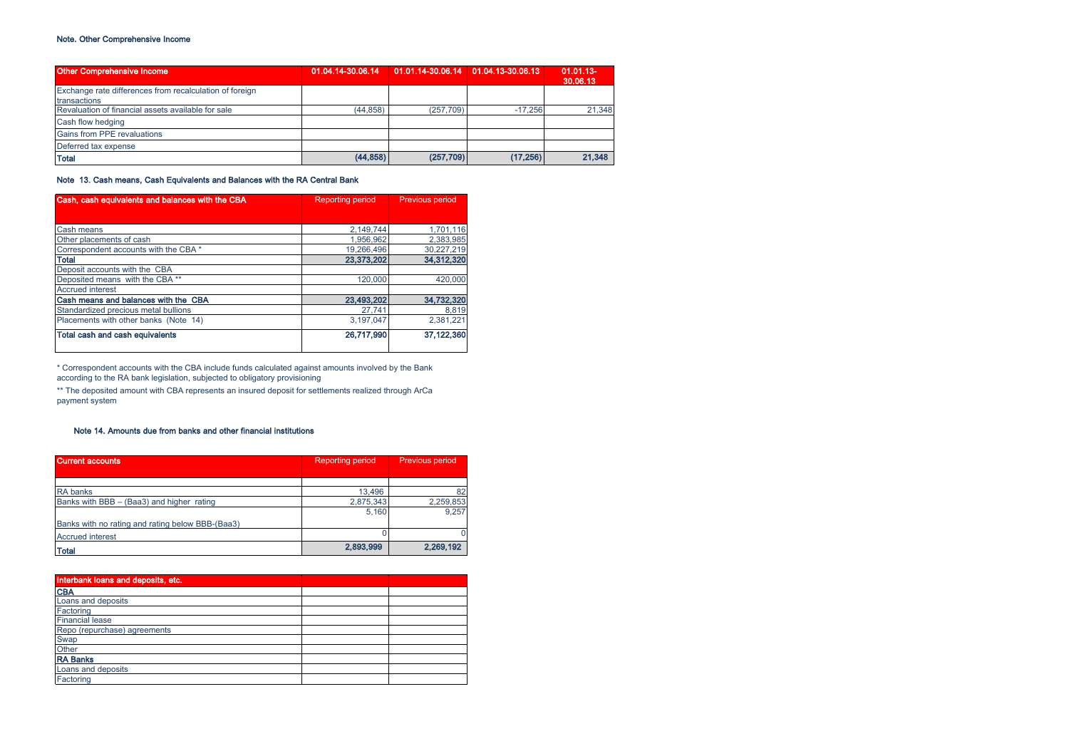# Note. Other Comprehensive Income

| <b>Other Comprehensive Income</b>                       | 01.04.14-30.06.14   01.01.14-30.06.14   01.04.13-30.06.13 |           |           | $01.01.13 -$<br>30,06.13 |
|---------------------------------------------------------|-----------------------------------------------------------|-----------|-----------|--------------------------|
| Exchange rate differences from recalculation of foreign |                                                           |           |           |                          |
| transactions                                            |                                                           |           |           |                          |
| Revaluation of financial assets available for sale      | (44.858)                                                  | (257.709) | $-17.256$ | 21,348                   |
| Cash flow hedging                                       |                                                           |           |           |                          |
| Gains from PPE revaluations                             |                                                           |           |           |                          |
| Deferred tax expense                                    |                                                           |           |           |                          |
| <b>Total</b>                                            | (44, 858)                                                 | (257,709) | (17, 256) | 21,348                   |

Note 13. Cash means, Cash Equivalents and Balances with the RA Central Bank

| Cash, cash equivalents and balances with the CBA | <b>Reporting period</b> | <b>Previous period</b> |
|--------------------------------------------------|-------------------------|------------------------|
|                                                  |                         |                        |
| Cash means                                       | 2.149.744               | 1,701,116              |
| Other placements of cash                         | 1.956.962               | 2,383,985              |
| Correspondent accounts with the CBA *            | 19,266,496              | 30,227,219             |
| <b>Total</b>                                     | 23,373,202              | 34,312,320             |
| Deposit accounts with the CBA                    |                         |                        |
| Deposited means with the CBA**                   | 120,000                 | 420,000                |
| <b>Accrued interest</b>                          |                         |                        |
| Cash means and balances with the CBA             | 23,493,202              | 34,732,320             |
| Standardized precious metal bullions             | 27,741                  | 8,819                  |
| Placements with other banks (Note 14)            | 3.197.047               | 2,381,221              |
| Total cash and cash equivalents                  | 26,717,990              | 37.122.360             |

\* Correspondent accounts with the CBA include funds calculated against amounts involved by the Bank according to the RA bank legislation, subjected to obligatory provisioning

\*\* The deposited amount with CBA represents an insured deposit for settlements realized through ArCa payment system

# Note 14. Amounts due from banks and other financial institutions

| <b>Current accounts</b>                          | <b>Reporting period</b> |           |
|--------------------------------------------------|-------------------------|-----------|
|                                                  |                         |           |
| <b>RA</b> banks                                  | 13.496                  | 82        |
| Banks with BBB - (Baa3) and higher rating        | 2,875,343               | 2,259,853 |
|                                                  | 5.160                   | 9.257     |
| Banks with no rating and rating below BBB-(Baa3) |                         |           |
| <b>Accrued interest</b>                          |                         |           |
| <b>Total</b>                                     | 2,893,999               | 2,269,192 |

| Interbank loans and deposits, etc., |  |  |
|-------------------------------------|--|--|
| <b>CBA</b>                          |  |  |
| Loans and deposits                  |  |  |
| Factoring                           |  |  |
| <b>Financial lease</b>              |  |  |
| Repo (repurchase) agreements        |  |  |
| Swap                                |  |  |
| Other                               |  |  |
| <b>RA Banks</b>                     |  |  |
| Loans and deposits                  |  |  |
| Factoring                           |  |  |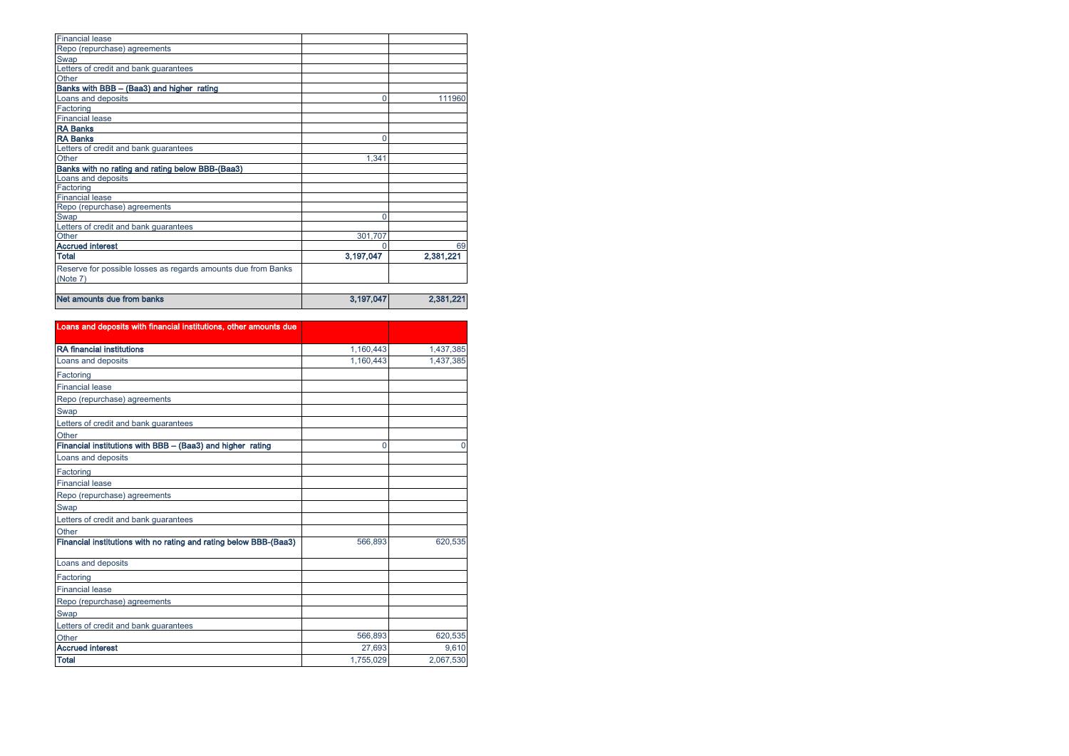| <b>Financial lease</b>                                        |           |           |
|---------------------------------------------------------------|-----------|-----------|
| Repo (repurchase) agreements                                  |           |           |
| Swap                                                          |           |           |
| Letters of credit and bank guarantees                         |           |           |
| Other                                                         |           |           |
| Banks with BBB - (Baa3) and higher rating                     |           |           |
| Loans and deposits                                            | 0         | 111960    |
| Factoring                                                     |           |           |
| <b>Financial lease</b>                                        |           |           |
| <b>RA Banks</b>                                               |           |           |
| <b>RA Banks</b>                                               | 0         |           |
| Letters of credit and bank guarantees                         |           |           |
| Other                                                         | 1,341     |           |
| Banks with no rating and rating below BBB-(Baa3)              |           |           |
| Loans and deposits                                            |           |           |
| Factoring                                                     |           |           |
| <b>Financial lease</b>                                        |           |           |
| Repo (repurchase) agreements                                  |           |           |
| Swap                                                          | 0         |           |
| Letters of credit and bank guarantees                         |           |           |
| Other                                                         | 301.707   |           |
| <b>Accrued interest</b>                                       |           | 69        |
| <b>Total</b>                                                  | 3,197,047 | 2,381,221 |
| Reserve for possible losses as regards amounts due from Banks |           |           |
| (Note 7)                                                      |           |           |
|                                                               |           |           |
| Net amounts due from banks                                    | 3,197,047 | 2,381,221 |

| Loans and deposits with financial institutions, other amounts due |           |           |
|-------------------------------------------------------------------|-----------|-----------|
|                                                                   |           |           |
| <b>RA</b> financial institutions                                  | 1.160.443 | 1,437,385 |
| Loans and deposits                                                | 1,160,443 | 1,437,385 |
| Factoring                                                         |           |           |
| <b>Financial lease</b>                                            |           |           |
| Repo (repurchase) agreements                                      |           |           |
| Swap                                                              |           |           |
| Letters of credit and bank guarantees                             |           |           |
| Other                                                             |           |           |
| Financial institutions with BBB - (Baa3) and higher rating        | 0         |           |
| Loans and deposits                                                |           |           |
| Factoring                                                         |           |           |
| <b>Financial lease</b>                                            |           |           |
| Repo (repurchase) agreements                                      |           |           |
| Swap                                                              |           |           |
| Letters of credit and bank guarantees                             |           |           |
| Other                                                             |           |           |
| Financial institutions with no rating and rating below BBB-(Baa3) | 566,893   | 620.535   |
| Loans and deposits                                                |           |           |
| Factoring                                                         |           |           |
| <b>Financial lease</b>                                            |           |           |
| Repo (repurchase) agreements                                      |           |           |
| Swap                                                              |           |           |
| Letters of credit and bank guarantees                             |           |           |
| Other                                                             | 566,893   | 620,535   |
| <b>Accrued interest</b>                                           | 27.693    | 9.610     |
| <b>Total</b>                                                      | 1.755.029 | 2.067.530 |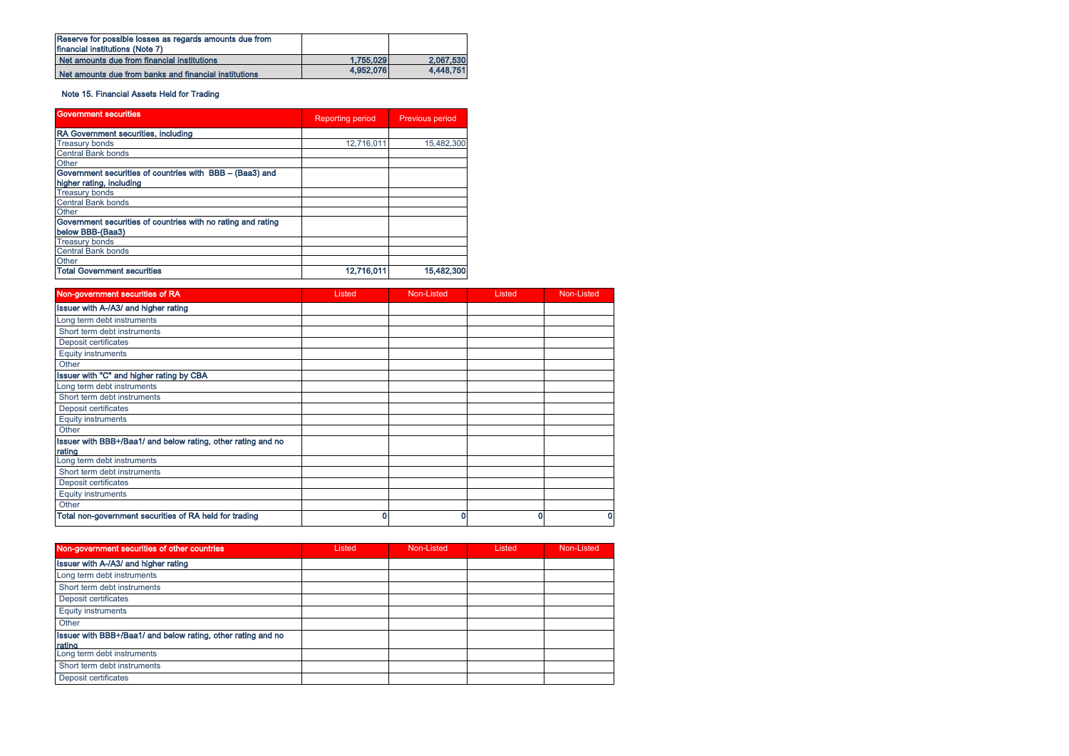| Reserve for possible losses as regards amounts due from<br><b>financial institutions (Note 7)</b> |           |           |
|---------------------------------------------------------------------------------------------------|-----------|-----------|
| Net amounts due from financial institutions                                                       | 1.755,029 | 2.067.530 |
| Net amounts due from banks and financial institutions                                             | 4.952.076 | 4.448.751 |

# Note 15. Financial Assets Held for Trading

| <b>Government securities</b>                                 | <b>Reporting period</b> | <b>Previous period</b> |
|--------------------------------------------------------------|-------------------------|------------------------|
| RA Government securities, including                          |                         |                        |
| <b>Treasury bonds</b>                                        | 12.716.011              | 15,482,300             |
| Central Bank bonds                                           |                         |                        |
| Other                                                        |                         |                        |
| Government securities of countries with BBB - (Baa3) and     |                         |                        |
| higher rating, including                                     |                         |                        |
| <b>Treasury bonds</b>                                        |                         |                        |
| <b>Central Bank bonds</b>                                    |                         |                        |
| Other                                                        |                         |                        |
| Government securities of countries with no rating and rating |                         |                        |
| below BBB-(Baa3)                                             |                         |                        |
| <b>Treasury bonds</b>                                        |                         |                        |
| <b>Central Bank bonds</b>                                    |                         |                        |
| Other                                                        |                         |                        |
| <b>Total Government securities</b>                           | 12,716,011              | 15,482,300             |

| Non-government securities of RA                                        | Listed | Non-Listed | Listed | Non-Listed |
|------------------------------------------------------------------------|--------|------------|--------|------------|
| Issuer with A-/A3/ and higher rating                                   |        |            |        |            |
| Long term debt instruments                                             |        |            |        |            |
| Short term debt instruments                                            |        |            |        |            |
| Deposit certificates                                                   |        |            |        |            |
| <b>Equity instruments</b>                                              |        |            |        |            |
| Other                                                                  |        |            |        |            |
| Issuer with "C" and higher rating by CBA                               |        |            |        |            |
| Long term debt instruments                                             |        |            |        |            |
| Short term debt instruments                                            |        |            |        |            |
| Deposit certificates                                                   |        |            |        |            |
| <b>Equity instruments</b>                                              |        |            |        |            |
| Other                                                                  |        |            |        |            |
| Issuer with BBB+/Baa1/ and below rating, other rating and no<br>rating |        |            |        |            |
| Long term debt instruments                                             |        |            |        |            |
| Short term debt instruments                                            |        |            |        |            |
| Deposit certificates                                                   |        |            |        |            |
| <b>Equity instruments</b>                                              |        |            |        |            |
| Other                                                                  |        |            |        |            |
| Total non-government securities of RA held for trading                 | 0      | 0          |        | 0          |

| Non-government securities of other countries                           | Listed | Non-Listed | Listed | Non-Listed |
|------------------------------------------------------------------------|--------|------------|--------|------------|
| Issuer with A-/A3/ and higher rating                                   |        |            |        |            |
| Long term debt instruments                                             |        |            |        |            |
| Short term debt instruments                                            |        |            |        |            |
| Deposit certificates                                                   |        |            |        |            |
| Equity instruments                                                     |        |            |        |            |
| Other                                                                  |        |            |        |            |
| Issuer with BBB+/Baa1/ and below rating, other rating and no<br>rating |        |            |        |            |
| Long term debt instruments                                             |        |            |        |            |
| Short term debt instruments                                            |        |            |        |            |
| Deposit certificates                                                   |        |            |        |            |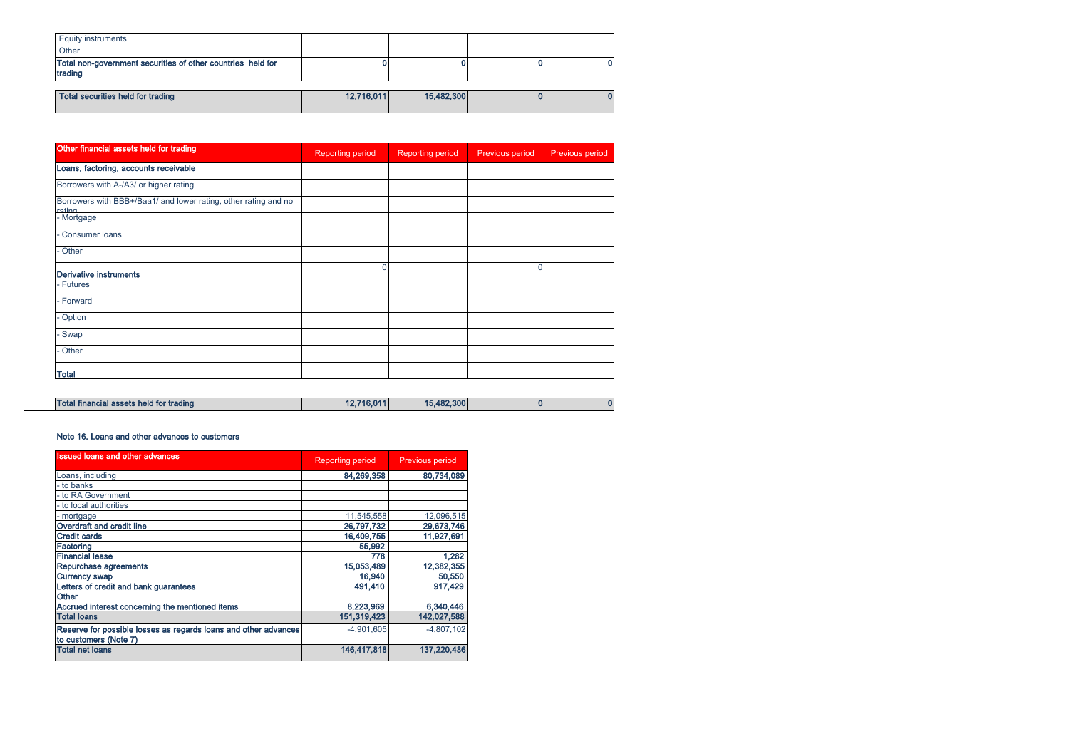| <b>Equity instruments</b>                                              |            |            |  |
|------------------------------------------------------------------------|------------|------------|--|
| Other                                                                  |            |            |  |
| Total non-government securities of other countries held for<br>trading |            |            |  |
|                                                                        |            |            |  |
| Total securities held for trading                                      | 12,716,011 | 15,482,300 |  |

| Other financial assets held for trading                                   | <b>Reporting period</b> | Reporting period | Previous period | Previous period |
|---------------------------------------------------------------------------|-------------------------|------------------|-----------------|-----------------|
| Loans, factoring, accounts receivable                                     |                         |                  |                 |                 |
| Borrowers with A-/A3/ or higher rating                                    |                         |                  |                 |                 |
| Borrowers with BBB+/Baa1/ and lower rating, other rating and no<br>rating |                         |                  |                 |                 |
| - Mortgage                                                                |                         |                  |                 |                 |
| Consumer loans                                                            |                         |                  |                 |                 |
| Other                                                                     |                         |                  |                 |                 |
| <b>Derivative instruments</b>                                             | $\Omega$                |                  |                 |                 |
| - Futures                                                                 |                         |                  |                 |                 |
| - Forward                                                                 |                         |                  |                 |                 |
| Option                                                                    |                         |                  |                 |                 |
| Swap                                                                      |                         |                  |                 |                 |
| - Other                                                                   |                         |                  |                 |                 |
| <b>Total</b>                                                              |                         |                  |                 |                 |

| Total financial assets held for trading | 12.716.011 | .482,300<br>4.51 |  |  |
|-----------------------------------------|------------|------------------|--|--|
|-----------------------------------------|------------|------------------|--|--|

### Note 16. Loans and other advances to customers

 $\Box$ 

| <b>Issued loans and other advances</b>                                                   | <b>Reporting period</b> | <b>Previous period</b> |
|------------------------------------------------------------------------------------------|-------------------------|------------------------|
| Loans, including                                                                         | 84,269,358              | 80,734,089             |
| - to banks                                                                               |                         |                        |
| - to RA Government                                                                       |                         |                        |
| - to local authorities                                                                   |                         |                        |
| - mortgage                                                                               | 11.545.558              | 12,096,515             |
| Overdraft and credit line                                                                | 26,797,732              | 29,673,746             |
| <b>Credit cards</b>                                                                      | 16,409,755              | 11,927,691             |
| Factoring                                                                                | 55,992                  |                        |
| <b>Financial lease</b>                                                                   | 778                     | 1,282                  |
| Repurchase agreements                                                                    | 15,053,489              | 12,382,355             |
| <b>Currency swap</b>                                                                     | 16,940                  | 50,550                 |
| Letters of credit and bank guarantees                                                    | 491,410                 | 917,429                |
| Other                                                                                    |                         |                        |
| Accrued interest concerning the mentioned items                                          | 8,223,969               | 6,340,446              |
| <b>Total loans</b>                                                                       | 151.319.423             | 142,027,588            |
| Reserve for possible losses as regards loans and other advances<br>to customers (Note 7) | $-4.901.605$            | $-4.807.102$           |
| <b>Total net loans</b>                                                                   | 146,417,818             | 137,220,486            |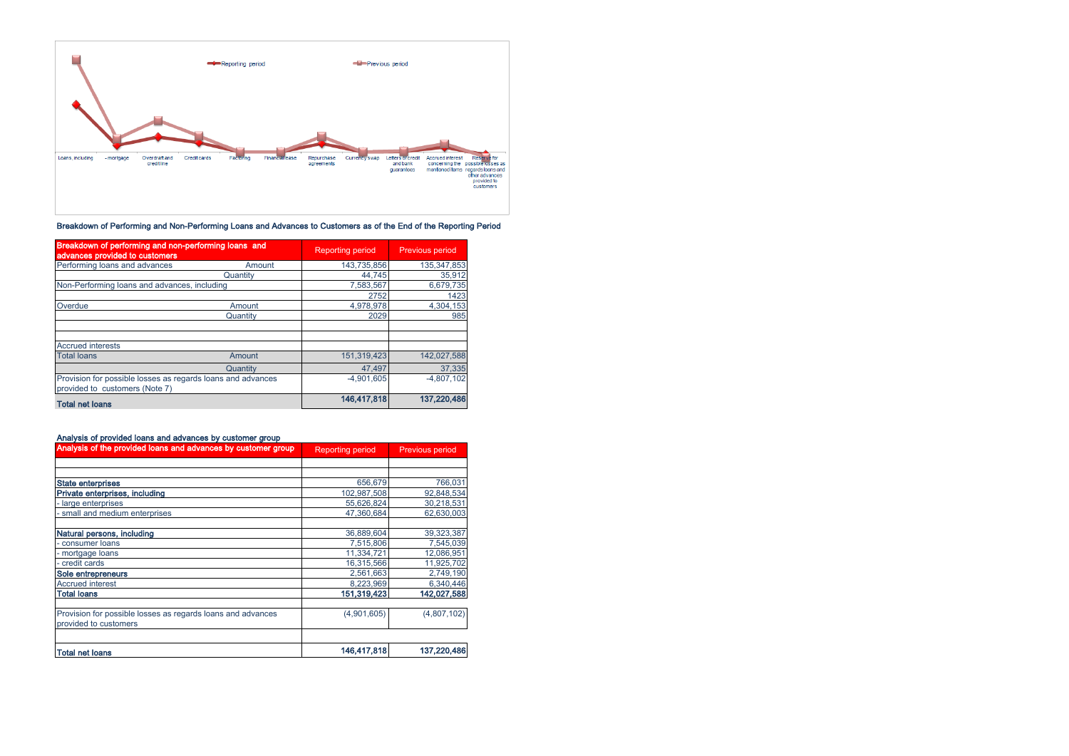

Breakdown of Performing and Non-Performing Loans and Advances to Customers as of the End of the Reporting Period

| Breakdown of performing and non-performing loans and<br>advances provided to customers        |          | <b>Reporting period</b> | <b>Previous period</b> |
|-----------------------------------------------------------------------------------------------|----------|-------------------------|------------------------|
| Performing loans and advances                                                                 | Amount   | 143.735.856             | 135, 347, 853          |
|                                                                                               | Quantity | 44.745                  | 35,912                 |
| Non-Performing loans and advances, including                                                  |          | 7,583,567               | 6,679,735              |
|                                                                                               |          | 2752                    | 1423                   |
| Overdue                                                                                       | Amount   | 4,978,978               | 4.304.153              |
|                                                                                               | Quantity | 2029                    | 985                    |
| <b>Accrued interests</b>                                                                      |          |                         |                        |
| <b>Total loans</b>                                                                            | Amount   | 151.319.423             | 142,027,588            |
|                                                                                               | Quantity | 47.497                  | 37.335                 |
| Provision for possible losses as regards loans and advances<br>provided to customers (Note 7) |          | $-4,901,605$            | $-4.807.102$           |
| <b>Total net loans</b>                                                                        |          | 146,417,818             | 137,220,486            |

# Analysis of provided loans and advances by customer group

| Analysis of the provided loans and advances by customer group                        | <b>Reporting period</b> | <b>Previous period</b> |
|--------------------------------------------------------------------------------------|-------------------------|------------------------|
|                                                                                      |                         |                        |
|                                                                                      |                         |                        |
| <b>State enterprises</b>                                                             | 656,679                 | 766,031                |
| Private enterprises, including                                                       | 102.987.508             | 92,848,534             |
| - large enterprises                                                                  | 55,626,824              | 30,218,531             |
| - small and medium enterprises                                                       | 47.360.684              | 62.630.003             |
| Natural persons, including                                                           | 36.889.604              | 39,323,387             |
| consumer loans                                                                       | 7,515,806               | 7,545,039              |
| - mortgage loans                                                                     | 11.334.721              | 12,086,951             |
| - credit cards                                                                       | 16,315,566              | 11,925,702             |
| Sole entrepreneurs                                                                   | 2,561,663               | 2,749,190              |
| <b>Accrued interest</b>                                                              | 8,223,969               | 6,340,446              |
| <b>Total loans</b>                                                                   | 151,319,423             | 142,027,588            |
| Provision for possible losses as regards loans and advances<br>provided to customers | (4,901,605)             | (4,807,102)            |
|                                                                                      |                         |                        |
| <b>Total net loans</b>                                                               | 146,417,818             | 137,220,486            |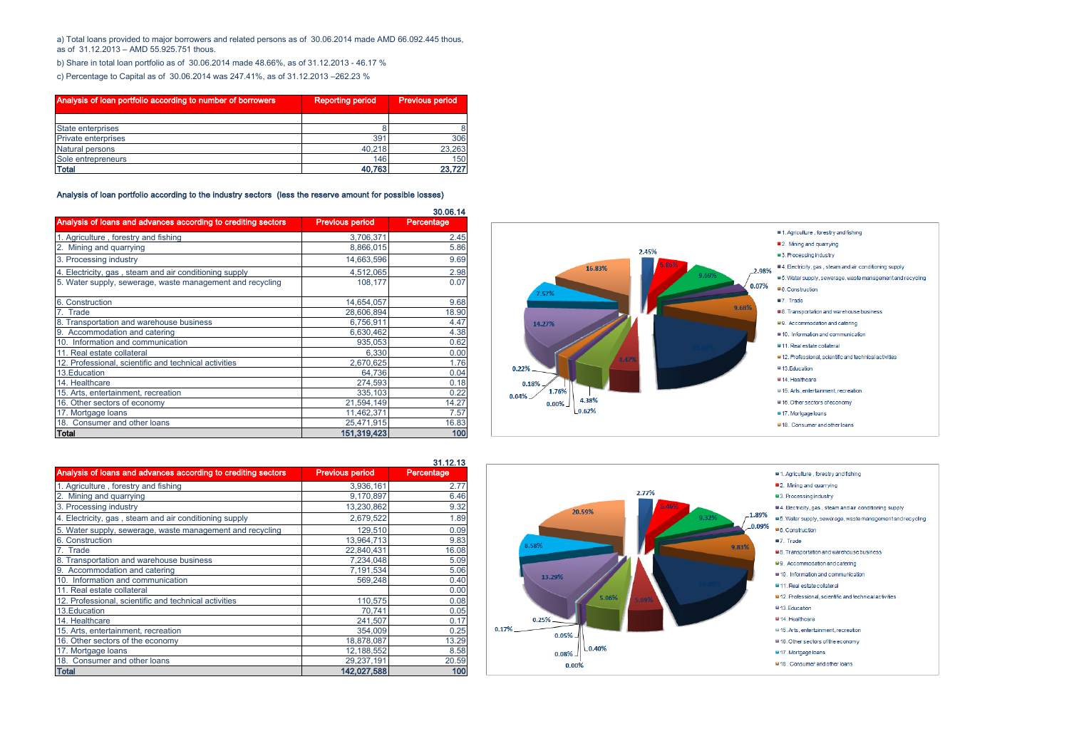a) Total loans provided to major borrowers and related persons as of 30.06.2014 made AMD 66.092.445 thous, as of 31.12.2013 – AMD 55.925.751 thous.

b) Share in total loan portfolio as of 30.06.2014 made 48.66%, as of 31.12.2013 - 46.17 %

c) Percentage to Capital as of 30.06.2014 was 247.41%, as of 31.12.2013 –262.23 %

| Analysis of loan portfolio according to number of borrowers | <b>Reporting period</b> | <b>Previous period</b> |
|-------------------------------------------------------------|-------------------------|------------------------|
|                                                             |                         |                        |
| <b>State enterprises</b>                                    |                         |                        |
| <b>Private enterprises</b>                                  | 39 <sup>2</sup>         | 306                    |
| <b>Natural persons</b>                                      | 40.218                  | 23,263                 |
| Sole entrepreneurs                                          | 146                     | 150                    |
| <b>Total</b>                                                | 40.763                  | 23,727                 |

Analysis of loan portfolio according to the industry sectors (less the reserve amount for possible losses)

|                                                               |                        | 30.06.14   |
|---------------------------------------------------------------|------------------------|------------|
| Analysis of loans and advances according to crediting sectors | <b>Previous period</b> | Percentage |
| 1. Agriculture, forestry and fishing                          | 3,706,371              | 2.45       |
| 2. Mining and quarrying                                       | 8,866,015              | 5.86       |
| 3. Processing industry                                        | 14,663,596             | 9.69       |
| 4. Electricity, gas, steam and air conditioning supply        | 4,512,065              | 2.98       |
| 5. Water supply, sewerage, waste management and recycling     | 108,177                | 0.07       |
| 6. Construction                                               | 14,654,057             | 9.68       |
| 7. Trade                                                      | 28,606,894             | 18.90      |
| 8. Transportation and warehouse business                      | 6,756,911              | 4.47       |
| 9. Accommodation and catering                                 | 6,630,462              | 4.38       |
| 10. Information and communication                             | 935.053                | 0.62       |
| 11. Real estate collateral                                    | 6,330                  | 0.00       |
| 12. Professional, scientific and technical activities         | 2,670,625              | 1.76       |
| 13. Education                                                 | 64.736                 | 0.04       |
| 14. Healthcare                                                | 274,593                | 0.18       |
| 15. Arts, entertainment, recreation                           | 335,103                | 0.22       |
| 16. Other sectors of economy                                  | 21,594,149             | 14.27      |
| 17. Mortgage loans                                            | 11,462,371             | 7.57       |
| 18. Consumer and other loans                                  | 25,471,915             | 16.83      |
| Total                                                         | 151,319,423            | 100        |



|                                                               |                        | 31.1Z.13   |
|---------------------------------------------------------------|------------------------|------------|
| Analysis of loans and advances according to crediting sectors | <b>Previous period</b> | Percentage |
| 1. Agriculture, forestry and fishing                          | 3,936,161              | 2.77       |
| Mining and quarrying<br>2.                                    | 9,170,897              | 6.46       |
| 3. Processing industry                                        | 13,230,862             | 9.32       |
| 4. Electricity, gas, steam and air conditioning supply        | 2,679,522              | 1.89       |
| 5. Water supply, sewerage, waste management and recycling     | 129,510                | 0.09       |
| 6. Construction                                               | 13.964.713             | 9.83       |
| Trade                                                         | 22,840,431             | 16.08      |
| 8. Transportation and warehouse business                      | 7.234.048              | 5.09       |
| 9. Accommodation and catering                                 | 7,191,534              | 5.06       |
| 10. Information and communication                             | 569.248                | 0.40       |
| 11. Real estate collateral                                    |                        | 0.00       |
| 12. Professional, scientific and technical activities         | 110,575                | 0.08       |
| 13. Education                                                 | 70.741                 | 0.05       |
| 14. Healthcare                                                | 241.507                | 0.17       |
| 15. Arts, entertainment, recreation                           | 354,009                | 0.25       |
| 16. Other sectors of the economy                              | 18,878,087             | 13.29      |
| 17. Mortgage loans                                            | 12,188,552             | 8.58       |
| 18. Consumer and other loans                                  | 29,237,191             | 20.59      |
| <b>Total</b>                                                  | 142,027,588            | 100        |

31.12.13

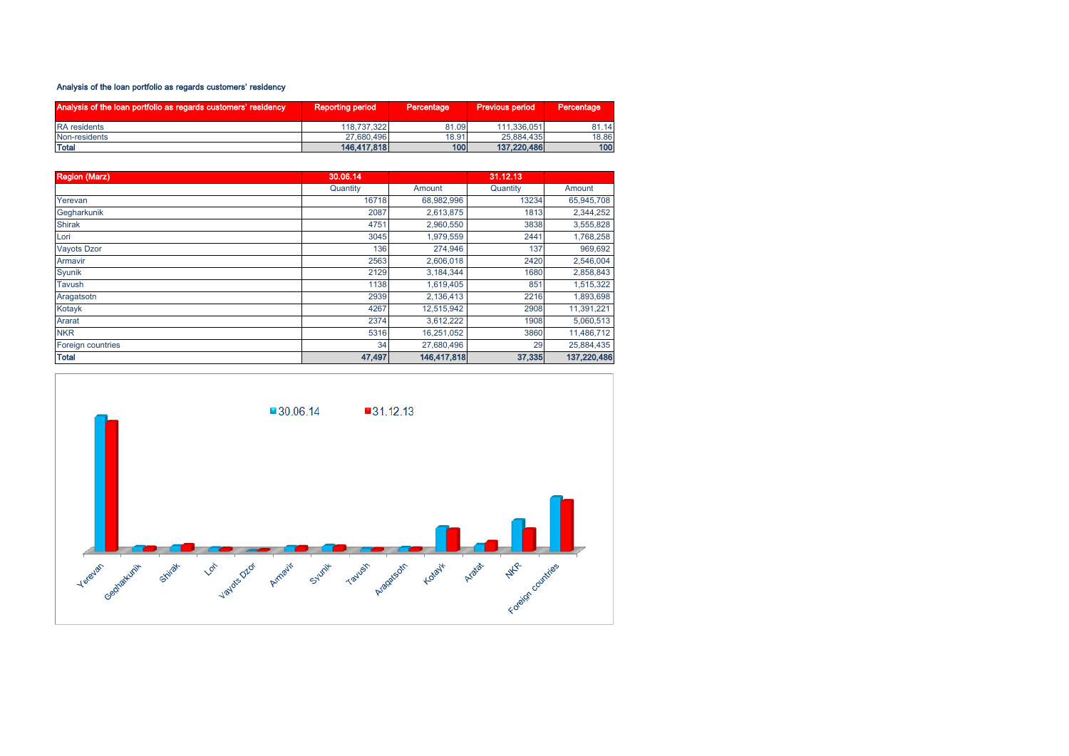# Analysis of the loan portfolio as regards customers' residency

| Analysis of the loan portfolio as regards customers' residency | <b>Reporting period</b> | Percentage | <b>Previous period</b> | Percentage |
|----------------------------------------------------------------|-------------------------|------------|------------------------|------------|
| <b>RA</b> residents                                            | 118.737.322             | 81.09      | 111.336.051            | 81.14      |
| Non-residents                                                  | 27.680.496              | 18.91      | 25.884.435             | 18.86      |
| <b>Total</b>                                                   | 146,417,818             | 100        | 137.220.486            | 100l       |

| <b>Region (Marz)</b> | 30.06.14 |             | 31.12.13 |             |
|----------------------|----------|-------------|----------|-------------|
|                      | Quantity | Amount      | Quantity | Amount      |
| Yerevan              | 16718    | 68,982,996  | 13234    | 65,945,708  |
| Gegharkunik          | 2087     | 2,613,875   | 1813     | 2,344,252   |
| <b>Shirak</b>        | 4751     | 2,960,550   | 3838     | 3,555,828   |
| Lori                 | 3045     | 1,979,559   | 2441     | 1,768,258   |
| <b>Vayots Dzor</b>   | 136      | 274,946     | 137      | 969,692     |
| Armavir              | 2563     | 2,606,018   | 2420     | 2,546,004   |
| Syunik               | 2129     | 3,184,344   | 1680     | 2,858,843   |
| Tavush               | 1138     | 1,619,405   | 851      | 1,515,322   |
| Aragatsotn           | 2939     | 2,136,413   | 2216     | 1,893,698   |
| Kotayk               | 4267     | 12,515,942  | 2908     | 11,391,221  |
| Ararat               | 2374     | 3,612,222   | 1908     | 5,060,513   |
| <b>NKR</b>           | 5316     | 16,251,052  | 3860     | 11,486,712  |
| Foreign countries    | 34       | 27,680,496  | 29       | 25,884,435  |
| <b>Total</b>         | 47,497   | 146,417,818 | 37,335   | 137,220,486 |

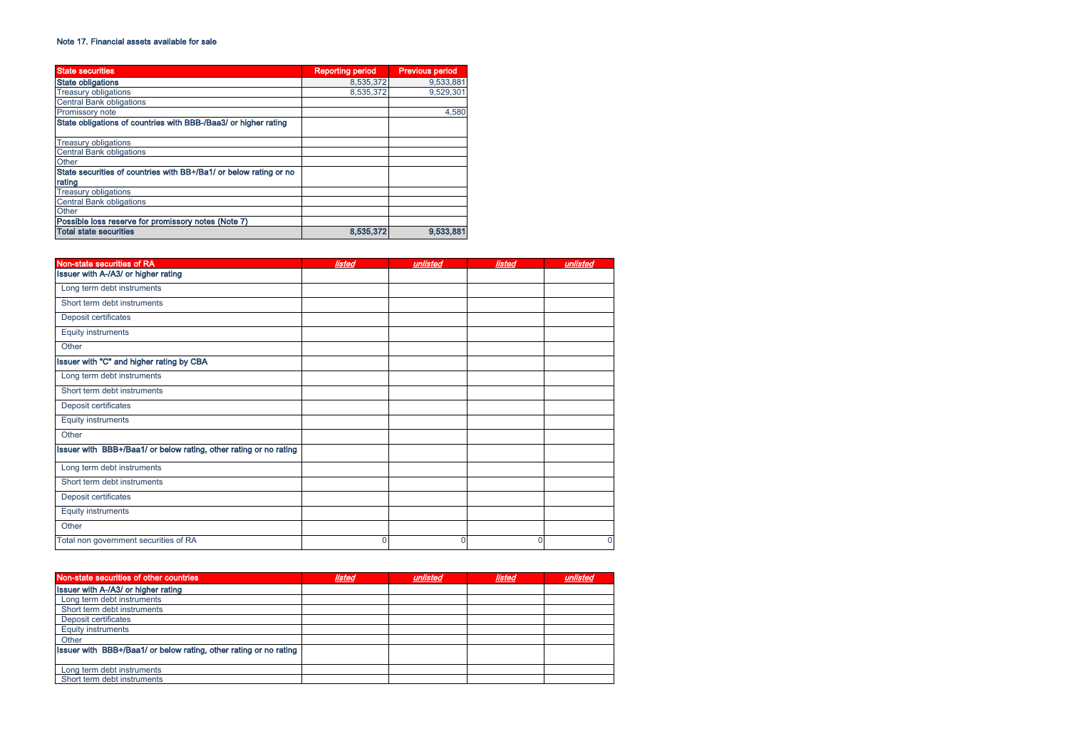### Note 17. Financial assets available for sale

| <b>State securities</b>                                           | <b>Reporting period</b> | <b>Previous period</b> |
|-------------------------------------------------------------------|-------------------------|------------------------|
| <b>State obligations</b>                                          | 8.535.372               | 9,533,881              |
| <b>Treasury obligations</b>                                       | 8.535.372               | 9,529,301              |
| <b>Central Bank obligations</b>                                   |                         |                        |
| <b>Promissory note</b>                                            |                         | 4.580                  |
| State obligations of countries with BBB-/Baa3/ or higher rating   |                         |                        |
| <b>Treasury obligations</b>                                       |                         |                        |
| <b>Central Bank obligations</b>                                   |                         |                        |
| Other                                                             |                         |                        |
| State securities of countries with BB+/Ba1/ or below rating or no |                         |                        |
| rating                                                            |                         |                        |
| <b>Treasury obligations</b>                                       |                         |                        |
| <b>Central Bank obligations</b>                                   |                         |                        |
| Other                                                             |                         |                        |
| Possible loss reserve for promissory notes (Note 7)               |                         |                        |
| <b>Total state securities</b>                                     | 8,535,372               | 9,533,881              |

| Non-state securities of RA                                        | listed | unlisted | listed       | unlisted |
|-------------------------------------------------------------------|--------|----------|--------------|----------|
| Issuer with A-/A3/ or higher rating                               |        |          |              |          |
| Long term debt instruments                                        |        |          |              |          |
| Short term debt instruments                                       |        |          |              |          |
| Deposit certificates                                              |        |          |              |          |
| <b>Equity instruments</b>                                         |        |          |              |          |
| Other                                                             |        |          |              |          |
| Issuer with "C" and higher rating by CBA                          |        |          |              |          |
| Long term debt instruments                                        |        |          |              |          |
| Short term debt instruments                                       |        |          |              |          |
| Deposit certificates                                              |        |          |              |          |
| <b>Equity instruments</b>                                         |        |          |              |          |
| Other                                                             |        |          |              |          |
| Issuer with BBB+/Baa1/ or below rating, other rating or no rating |        |          |              |          |
| Long term debt instruments                                        |        |          |              |          |
| Short term debt instruments                                       |        |          |              |          |
| Deposit certificates                                              |        |          |              |          |
| <b>Equity instruments</b>                                         |        |          |              |          |
| Other                                                             |        |          |              |          |
| Total non government securities of RA                             | n      | 0        | $\mathbf{0}$ | $\Omega$ |

| Non-state securities of other countries                           | listed | unlisted | <b>listed</b> | unliste |
|-------------------------------------------------------------------|--------|----------|---------------|---------|
| Issuer with A-/A3/ or higher rating                               |        |          |               |         |
| Long term debt instruments                                        |        |          |               |         |
| Short term debt instruments                                       |        |          |               |         |
| Deposit certificates                                              |        |          |               |         |
| <b>Equity instruments</b>                                         |        |          |               |         |
| Other                                                             |        |          |               |         |
| Issuer with BBB+/Baa1/ or below rating, other rating or no rating |        |          |               |         |
|                                                                   |        |          |               |         |
| Long term debt instruments                                        |        |          |               |         |
| Short term debt instruments                                       |        |          |               |         |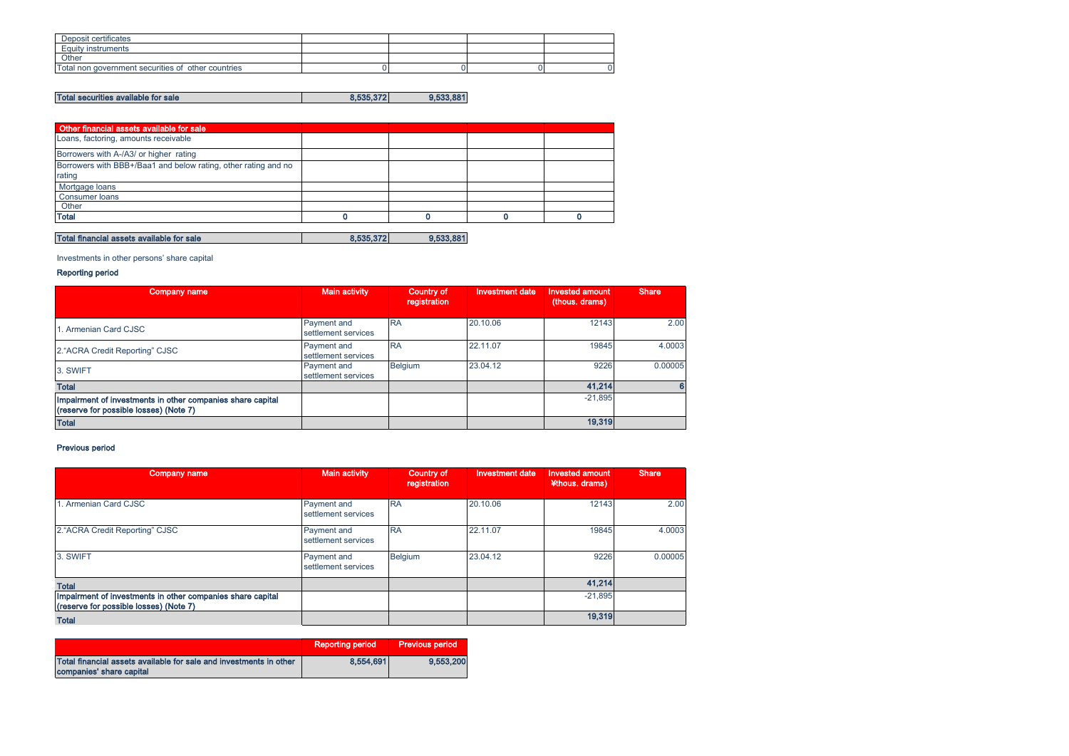| Deposit certificates                               |  |  |
|----------------------------------------------------|--|--|
| Equity instruments                                 |  |  |
| Other                                              |  |  |
| Total non government securities of other countries |  |  |

# Total securities available for sale 8,535,372 9,533,881

| Other financial assets available for sale                                |  |  |
|--------------------------------------------------------------------------|--|--|
| Loans, factoring, amounts receivable                                     |  |  |
| Borrowers with A-/A3/ or higher rating                                   |  |  |
| Borrowers with BBB+/Baa1 and below rating, other rating and no<br>rating |  |  |
| Mortgage loans                                                           |  |  |
| <b>Consumer loans</b>                                                    |  |  |
| Other                                                                    |  |  |
| <b>Total</b>                                                             |  |  |

# Total financial assets available for sale 8,535,372 8,535,372

Investments in other persons' share capital

# Reporting period

| Company name                                                                                         | <b>Main activity</b>               | Country of<br>registration | <b>Investment date</b> | <b>Invested amount</b><br>(thous. drams) | <b>Share</b> |
|------------------------------------------------------------------------------------------------------|------------------------------------|----------------------------|------------------------|------------------------------------------|--------------|
| L. Armenian Card CJSC                                                                                | Payment and<br>settlement services | <b>RA</b>                  | 20.10.06               | 12143                                    | 2.00         |
| 2. "ACRA Credit Reporting" CJSC                                                                      | Payment and<br>settlement services | <b>RA</b>                  | 22.11.07               | 19845                                    | 4.0003       |
| 3. SWIFT                                                                                             | Payment and<br>settlement services | <b>Belgium</b>             | 23.04.12               | 9226                                     | 0.00005      |
| <b>Total</b>                                                                                         |                                    |                            |                        | 41.214                                   | G            |
| Impairment of investments in other companies share capital<br>(reserve for possible losses) (Note 7) |                                    |                            |                        | $-21,895$                                |              |
| <b>Total</b>                                                                                         |                                    |                            |                        | 19,319                                   |              |

# Previous period

| <b>Company name</b>                                                                                  | <b>Main activity</b>               | Country of<br>registration | <b>Investment date</b> | <b>Invested amount</b><br>¥thous. drams) | Share   |
|------------------------------------------------------------------------------------------------------|------------------------------------|----------------------------|------------------------|------------------------------------------|---------|
| 1. Armenian Card CJSC                                                                                | Payment and<br>settlement services | <b>RA</b>                  | 20.10.06               | 12143                                    | 2.00    |
| 2."ACRA Credit Reporting" CJSC                                                                       | Payment and<br>settlement services | <b>RA</b>                  | 22.11.07               | 19845                                    | 4.0003  |
| 3. SWIFT                                                                                             | Payment and<br>settlement services | <b>Belgium</b>             | 23.04.12               | 9226                                     | 0.00005 |
| <b>Total</b>                                                                                         |                                    |                            |                        | 41,214                                   |         |
| Impairment of investments in other companies share capital<br>(reserve for possible losses) (Note 7) |                                    |                            |                        | $-21,895$                                |         |
| <b>Total</b>                                                                                         |                                    |                            |                        | 19,319                                   |         |

|                                                                                                | <b>Reporting period</b> | <b>Previous period</b> |
|------------------------------------------------------------------------------------------------|-------------------------|------------------------|
| Total financial assets available for sale and investments in other<br>companies' share capital | 8.554.691               | 9.553.200              |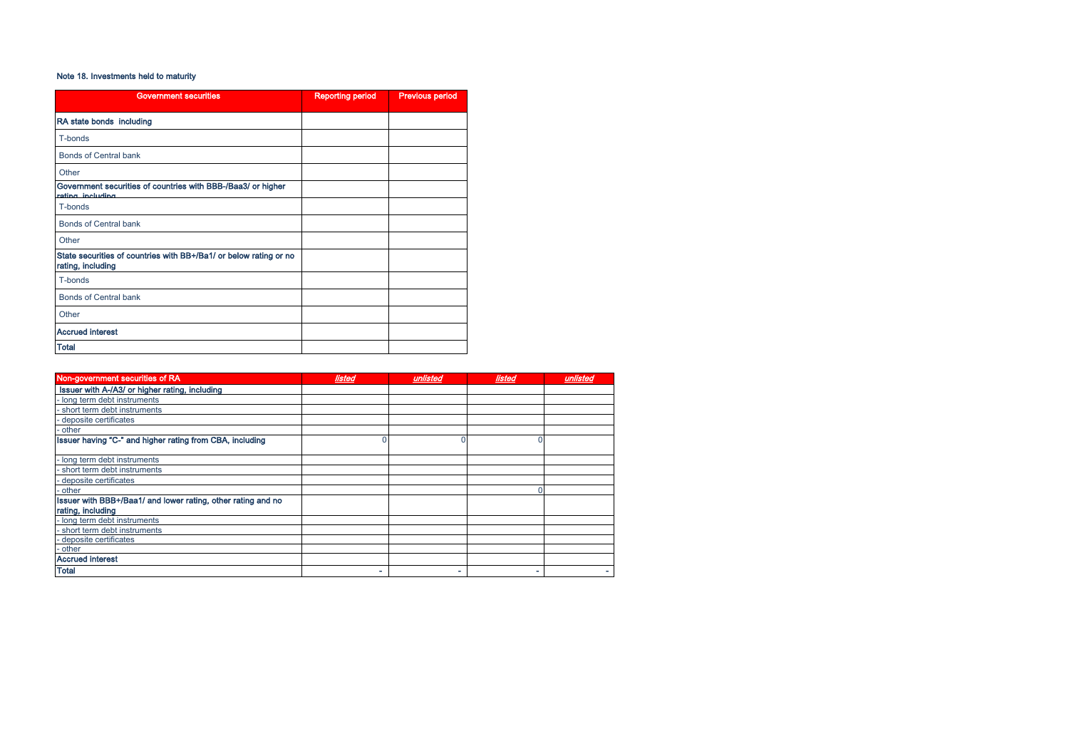# Note 18. Investments held to maturity

| <b>Government securities</b>                                                           | <b>Reporting period</b> | <b>Previous period</b> |
|----------------------------------------------------------------------------------------|-------------------------|------------------------|
| RA state bonds including                                                               |                         |                        |
| T-bonds                                                                                |                         |                        |
| <b>Bonds of Central bank</b>                                                           |                         |                        |
| Other                                                                                  |                         |                        |
| Government securities of countries with BBB-/Baa3/ or higher<br>rating including       |                         |                        |
| T-bonds                                                                                |                         |                        |
| <b>Bonds of Central bank</b>                                                           |                         |                        |
| Other                                                                                  |                         |                        |
| State securities of countries with BB+/Ba1/ or below rating or no<br>rating, including |                         |                        |
| T-bonds                                                                                |                         |                        |
| <b>Bonds of Central bank</b>                                                           |                         |                        |
| Other                                                                                  |                         |                        |
| <b>Accrued interest</b>                                                                |                         |                        |
| <b>Total</b>                                                                           |                         |                        |

| Non-government securities of RA                              | listed | unlisted | listed | unlisted |
|--------------------------------------------------------------|--------|----------|--------|----------|
| Issuer with A-/A3/ or higher rating, including               |        |          |        |          |
| - long term debt instruments                                 |        |          |        |          |
| short term debt instruments                                  |        |          |        |          |
| - deposite certificates                                      |        |          |        |          |
| - other                                                      |        |          |        |          |
| Issuer having "C-" and higher rating from CBA, including     |        |          |        |          |
|                                                              |        |          |        |          |
| - long term debt instruments                                 |        |          |        |          |
| - short term debt instruments                                |        |          |        |          |
| - deposite certificates                                      |        |          |        |          |
| - other                                                      |        |          |        |          |
| Issuer with BBB+/Baa1/ and lower rating, other rating and no |        |          |        |          |
| rating, including                                            |        |          |        |          |
| - long term debt instruments                                 |        |          |        |          |
| - short term debt instruments                                |        |          |        |          |
| - deposite certificates                                      |        |          |        |          |
| - other                                                      |        |          |        |          |
| <b>Accrued interest</b>                                      |        |          |        |          |
| <b>Total</b>                                                 | ۰      | ۰        | ۰      |          |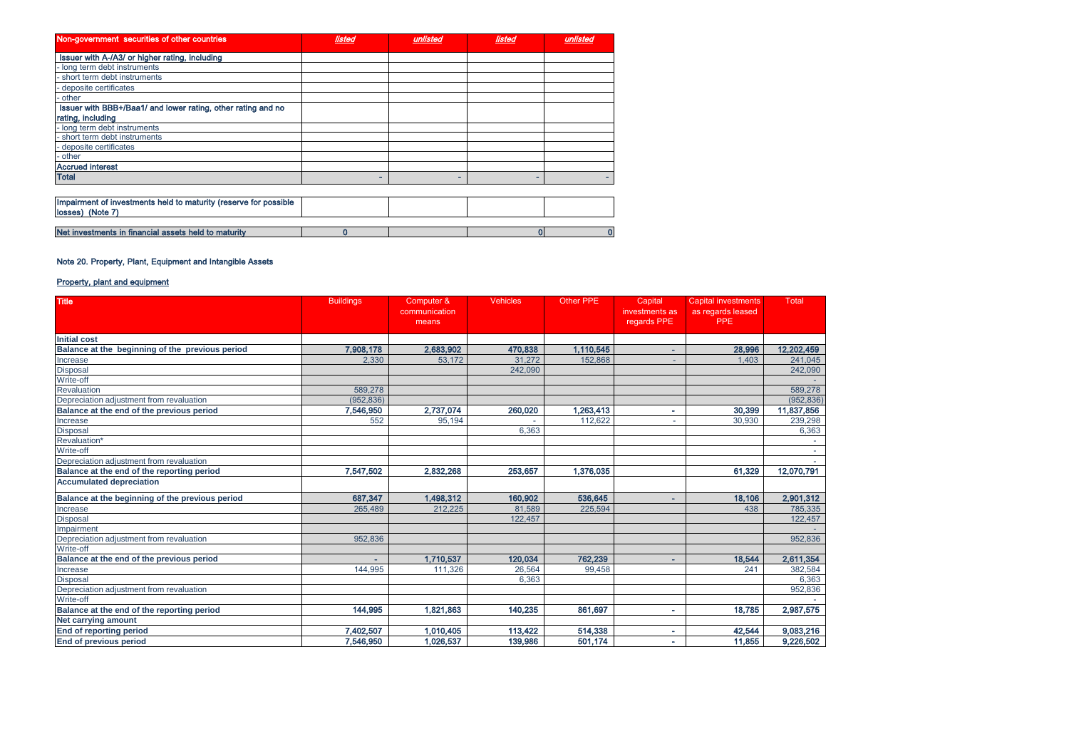| Non-government securities of other countries                                         | listed | unlisted | listed | unlisted |
|--------------------------------------------------------------------------------------|--------|----------|--------|----------|
| Issuer with A-/A3/ or higher rating, including                                       |        |          |        |          |
| long term debt instruments                                                           |        |          |        |          |
| short term debt instruments                                                          |        |          |        |          |
| deposite certificates                                                                |        |          |        |          |
| other                                                                                |        |          |        |          |
| Issuer with BBB+/Baa1/ and lower rating, other rating and no                         |        |          |        |          |
| rating, including                                                                    |        |          |        |          |
| - long term debt instruments                                                         |        |          |        |          |
| short term debt instruments                                                          |        |          |        |          |
| deposite certificates                                                                |        |          |        |          |
| - other                                                                              |        |          |        |          |
| <b>Accrued interest</b>                                                              |        |          |        |          |
| <b>Total</b>                                                                         |        |          | -      |          |
|                                                                                      |        |          |        |          |
| Impairment of investments held to maturity (reserve for possible<br>losses) (Note 7) |        |          |        |          |
|                                                                                      |        |          |        |          |
| Net investments in financial assets held to maturity                                 |        |          | n      | 0        |

# Note 20. Property, Plant, Equipment and Intangible Assets

# Property, plant and equipment

| <b>Title</b>                                    | <b>Buildings</b> | Computer &             | <b>Vehicles</b> | <b>Other PPE</b> | Capital                       | <b>Capital investments</b>      | Total      |
|-------------------------------------------------|------------------|------------------------|-----------------|------------------|-------------------------------|---------------------------------|------------|
|                                                 |                  | communication<br>means |                 |                  | investments as<br>regards PPE | as regards leased<br><b>PPE</b> |            |
|                                                 |                  |                        |                 |                  |                               |                                 |            |
| <b>Initial cost</b>                             |                  |                        |                 |                  |                               |                                 |            |
| Balance at the beginning of the previous period | 7,908,178        | 2,683,902              | 470,838         | 1,110,545        | ÷                             | 28,996                          | 12,202,459 |
| Increase                                        | 2.330            | 53.172                 | 31.272          | 152,868          | $\overline{\phantom{a}}$      | 1.403                           | 241,045    |
| <b>Disposal</b>                                 |                  |                        | 242.090         |                  |                               |                                 | 242,090    |
| Write-off                                       |                  |                        |                 |                  |                               |                                 |            |
| Revaluation                                     | 589,278          |                        |                 |                  |                               |                                 | 589,278    |
| Depreciation adjustment from revaluation        | (952.836)        |                        |                 |                  |                               |                                 | (952, 836) |
| Balance at the end of the previous period       | 7,546,950        | 2,737,074              | 260,020         | 1,263,413        | ٠                             | 30,399                          | 11,837,856 |
| Increase                                        | 552              | 95.194                 |                 | 112.622          | $\sim$                        | 30.930                          | 239,298    |
| Disposal                                        |                  |                        | 6,363           |                  |                               |                                 | 6,363      |
| Revaluation*                                    |                  |                        |                 |                  |                               |                                 |            |
| Write-off                                       |                  |                        |                 |                  |                               |                                 |            |
| Depreciation adjustment from revaluation        |                  |                        |                 |                  |                               |                                 |            |
| Balance at the end of the reporting period      | 7,547,502        | 2,832,268              | 253,657         | 1,376,035        |                               | 61,329                          | 12,070,791 |
| <b>Accumulated depreciation</b>                 |                  |                        |                 |                  |                               |                                 |            |
| Balance at the beginning of the previous period | 687,347          | 1,498,312              | 160,902         | 536,645          | ٠                             | 18,106                          | 2,901,312  |
| Increase                                        | 265,489          | 212.225                | 81.589          | 225.594          |                               | 438                             | 785,335    |
| <b>Disposal</b>                                 |                  |                        | 122.457         |                  |                               |                                 | 122,457    |
| Impairment                                      |                  |                        |                 |                  |                               |                                 |            |
| Depreciation adjustment from revaluation        | 952,836          |                        |                 |                  |                               |                                 | 952,836    |
| Write-off                                       |                  |                        |                 |                  |                               |                                 |            |
| Balance at the end of the previous period       | ۰                | 1,710,537              | 120,034         | 762,239          | ۰                             | 18,544                          | 2,611,354  |
| Increase                                        | 144,995          | 111,326                | 26.564          | 99,458           |                               | 241                             | 382,584    |
| <b>Disposal</b>                                 |                  |                        | 6,363           |                  |                               |                                 | 6,363      |
| Depreciation adjustment from revaluation        |                  |                        |                 |                  |                               |                                 | 952,836    |
| Write-off                                       |                  |                        |                 |                  |                               |                                 |            |
| Balance at the end of the reporting period      | 144.995          | 1.821.863              | 140.235         | 861,697          | $\sim$                        | 18.785                          | 2,987,575  |
| Net carrving amount                             |                  |                        |                 |                  |                               |                                 |            |
| <b>End of reporting period</b>                  | 7.402.507        | 1,010,405              | 113,422         | 514,338          | ٠                             | 42.544                          | 9,083,216  |
| <b>End of previous period</b>                   | 7.546.950        | 1.026.537              | 139,986         | 501,174          | ٠                             | 11.855                          | 9,226,502  |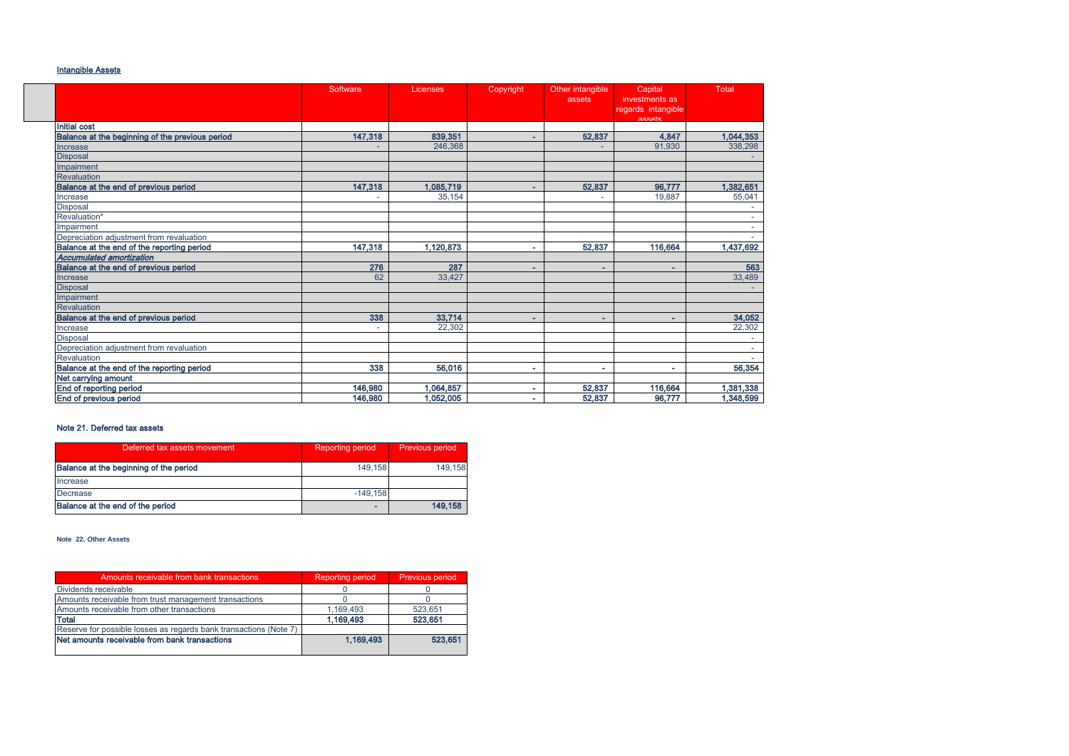# Intangible Assets

|                                                 | Software | Licenses  | Copyright                | Other intangible<br>assets | Capital<br>investments as    | Total     |
|-------------------------------------------------|----------|-----------|--------------------------|----------------------------|------------------------------|-----------|
|                                                 |          |           |                          |                            | regards intangible<br>assats |           |
| <b>Initial cost</b>                             |          |           |                          |                            |                              |           |
| Balance at the beginning of the previous period | 147,318  | 839,351   | ۰.                       | 52,837                     | 4,847                        | 1,044,353 |
| Increase                                        |          | 246,368   |                          |                            | 91.930                       | 338,298   |
| <b>Disposal</b>                                 |          |           |                          |                            |                              |           |
| Impairment                                      |          |           |                          |                            |                              |           |
| <b>Revaluation</b>                              |          |           |                          |                            |                              |           |
| Balance at the end of previous period           | 147,318  | 1.085.719 | ۰                        | 52,837                     | 96,777                       | 1.382.651 |
| Increase                                        |          | 35.154    |                          |                            | 19.887                       | 55,041    |
| <b>Disposal</b>                                 |          |           |                          |                            |                              |           |
| Revaluation*                                    |          |           |                          |                            |                              | $\sim$    |
| Impairment                                      |          |           |                          |                            |                              |           |
| Depreciation adiustment from revaluation        |          |           |                          |                            |                              |           |
| Balance at the end of the reporting period      | 147,318  | 1,120,873 | $\overline{\phantom{a}}$ | 52,837                     | 116,664                      | 1,437,692 |
| <b>Accumulated amortization</b>                 |          |           |                          |                            |                              |           |
| Balance at the end of previous period           | 276      | 287       |                          | ۰                          | ۰                            | 563       |
| Increase                                        | 62       | 33,427    |                          |                            |                              | 33,489    |
| <b>Disposal</b>                                 |          |           |                          |                            |                              |           |
| Impairment                                      |          |           |                          |                            |                              |           |
| <b>Revaluation</b>                              |          |           |                          |                            |                              |           |
| Balance at the end of previous period           | 338      | 33.714    |                          | $\overline{\phantom{a}}$   | ÷.                           | 34.052    |
| Increase                                        | ٠        | 22.302    |                          |                            |                              | 22,302    |
| <b>Disposal</b>                                 |          |           |                          |                            |                              |           |
| Depreciation adjustment from revaluation        |          |           |                          |                            |                              |           |
| Revaluation                                     |          |           |                          |                            |                              |           |
| Balance at the end of the reporting period      | 338      | 56,016    |                          | ٠                          | $\sim$                       | 56,354    |
| Net carrying amount                             |          |           |                          |                            |                              |           |
| End of reporting period                         | 146,980  | 1,064,857 |                          | 52,837                     | 116,664                      | 1,381,338 |
| End of previous period                          | 146,980  | 1.052.005 |                          | 52,837                     | 96.777                       | 1,348,599 |

# Note 21. Deferred tax assets

| Deferred tax assets movement           | <b>Reporting period</b> | Previous period |
|----------------------------------------|-------------------------|-----------------|
| Balance at the beginning of the period | 149.158                 | 149.158         |
| Increase                               |                         |                 |
| Decrease                               | $-149.158$              |                 |
| Balance at the end of the period       |                         | 149.158         |

**Note 22.** Օ**ther Assets**

| Amounts receivable from bank transactions                         | <b>Reporting period</b> | Previous period |
|-------------------------------------------------------------------|-------------------------|-----------------|
| Dividends receivable                                              |                         |                 |
| Amounts receivable from trust management transactions             |                         |                 |
| Amounts receivable from other transactions                        | 1.169.493               | 523.651         |
| Total                                                             | 1,169,493               | 523.651         |
| Reserve for possible losses as regards bank transactions (Note 7) |                         |                 |
| Net amounts receivable from bank transactions                     | 1,169,493               | 523.651         |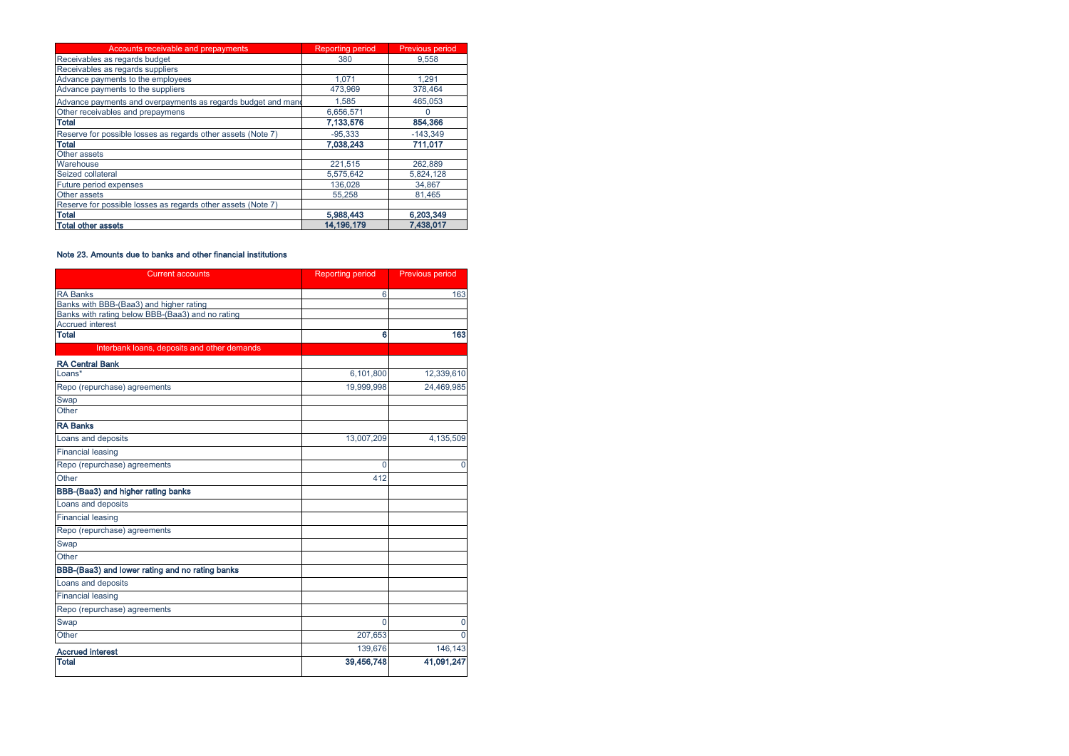| Accounts receivable and prepayments                          | <b>Reporting period</b> | <b>Previous period</b> |
|--------------------------------------------------------------|-------------------------|------------------------|
| Receivables as regards budget                                | 380                     | 9.558                  |
| Receivables as regards suppliers                             |                         |                        |
| Advance payments to the employees                            | 1.071                   | 1.291                  |
| Advance payments to the suppliers                            | 473,969                 | 378,464                |
| Advance payments and overpayments as regards budget and mand | 1.585                   | 465.053                |
| Other receivables and prepaymens                             | 6.656.571               | 0                      |
| <b>Total</b>                                                 | 7,133,576               | 854,366                |
| Reserve for possible losses as regards other assets (Note 7) | $-95.333$               | $-143,349$             |
| <b>Total</b>                                                 | 7,038,243               | 711,017                |
| Other assets                                                 |                         |                        |
| Warehouse                                                    | 221.515                 | 262.889                |
| Seized collateral                                            | 5,575,642               | 5,824,128              |
| Future period expenses                                       | 136,028                 | 34,867                 |
| Other assets                                                 | 55.258                  | 81,465                 |
| Reserve for possible losses as regards other assets (Note 7) |                         |                        |
| <b>Total</b>                                                 | 5,988,443               | 6,203,349              |
| <b>Total other assets</b>                                    | 14,196,179              | 7,438,017              |

### Note 23. Amounts due to banks and other financial institutions

| <b>Current accounts</b>                          | <b>Reporting period</b> | Previous period |  |
|--------------------------------------------------|-------------------------|-----------------|--|
| <b>RA Banks</b>                                  | 6                       | 163             |  |
| Banks with BBB-(Baa3) and higher rating          |                         |                 |  |
| Banks with rating below BBB-(Baa3) and no rating |                         |                 |  |
| <b>Accrued interest</b>                          |                         |                 |  |
| <b>Total</b>                                     | 6                       | 163             |  |
| Interbank loans, deposits and other demands      |                         |                 |  |
| <b>RA Central Bank</b>                           |                         |                 |  |
| Loans*                                           | 6,101,800               | 12,339,610      |  |
| Repo (repurchase) agreements                     | 19.999.998              | 24.469.985      |  |
| Swap                                             |                         |                 |  |
| Other                                            |                         |                 |  |
| <b>RA Banks</b>                                  |                         |                 |  |
| Loans and deposits                               | 13,007,209              | 4,135,509       |  |
| <b>Financial leasing</b>                         |                         |                 |  |
| Repo (repurchase) agreements                     | 0                       | $\Omega$        |  |
| Other                                            | 412                     |                 |  |
| BBB-(Baa3) and higher rating banks               |                         |                 |  |
| Loans and deposits                               |                         |                 |  |
| <b>Financial leasing</b>                         |                         |                 |  |
| Repo (repurchase) agreements                     |                         |                 |  |
| Swap                                             |                         |                 |  |
| Other                                            |                         |                 |  |
| BBB-(Baa3) and lower rating and no rating banks  |                         |                 |  |
| Loans and deposits                               |                         |                 |  |
| <b>Financial leasing</b>                         |                         |                 |  |
| Repo (repurchase) agreements                     |                         |                 |  |
| Swap                                             | $\Omega$                | $\Omega$        |  |
| Other                                            | 207,653                 | $\Omega$        |  |
| <b>Accrued interest</b>                          | 139,676                 | 146,143         |  |
| <b>Total</b>                                     | 39,456,748              | 41,091,247      |  |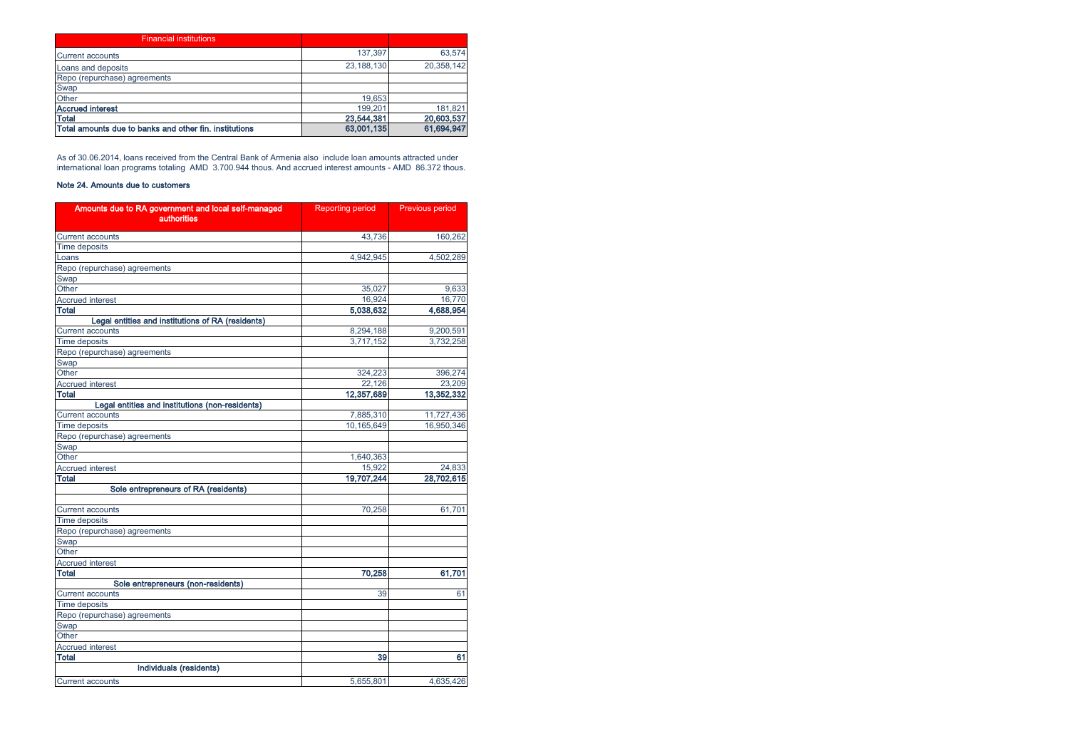| <b>Financial institutions</b>                          |            |            |
|--------------------------------------------------------|------------|------------|
| <b>Current accounts</b>                                | 137.397    | 63,574     |
| Loans and deposits                                     | 23.188.130 | 20,358,142 |
| Repo (repurchase) agreements                           |            |            |
| Swap                                                   |            |            |
| Other                                                  | 19.653     |            |
| <b>Accrued interest</b>                                | 199.201    | 181.821    |
| Total                                                  | 23,544,381 | 20,603,537 |
| Total amounts due to banks and other fin. institutions | 63,001,135 | 61,694,947 |

As of 30.06.2014, loans received from the Central Bank of Armenia also include loan amounts attracted under international loan programs totaling AMD 3.700.944 thous. And accrued interest amounts - AMD 86.372 thous.

# Note 24. Amounts due to customers

| Amounts due to RA government and local self-managed<br><b>authorities</b> | <b>Reporting period</b> | Previous period |  |
|---------------------------------------------------------------------------|-------------------------|-----------------|--|
| <b>Current accounts</b>                                                   | 43.736                  | 160,262         |  |
| <b>Time deposits</b>                                                      |                         |                 |  |
| Loans                                                                     | 4,942,945               | 4,502,289       |  |
| Repo (repurchase) agreements                                              |                         |                 |  |
| Swap                                                                      |                         |                 |  |
| Other                                                                     | 35,027                  | 9,633           |  |
| <b>Accrued interest</b>                                                   | 16,924                  | 16.770          |  |
| <b>Total</b>                                                              | 5,038,632               | 4,688,954       |  |
| Legal entities and institutions of RA (residents)                         |                         |                 |  |
| <b>Current accounts</b>                                                   | 8,294,188               | 9,200,591       |  |
| <b>Time deposits</b>                                                      | 3,717,152               | 3,732,258       |  |
| Repo (repurchase) agreements                                              |                         |                 |  |
| Swap                                                                      |                         |                 |  |
| Other                                                                     | 324,223                 | 396,274         |  |
| <b>Accrued interest</b>                                                   | 22,126                  | 23,209          |  |
| Total                                                                     | 12,357,689              | 13.352.332      |  |
| Legal entities and institutions (non-residents)                           |                         |                 |  |
| <b>Current accounts</b>                                                   | 7,885,310               | 11,727,436      |  |
| <b>Time deposits</b>                                                      | 10,165,649              | 16,950,346      |  |
| Repo (repurchase) agreements                                              |                         |                 |  |
| Swap                                                                      |                         |                 |  |
| Other                                                                     | 1,640,363               |                 |  |
| <b>Accrued interest</b>                                                   | 15.922                  | 24,833          |  |
| Total                                                                     | 19,707,244              | 28,702,615      |  |
| Sole entrepreneurs of RA (residents)                                      |                         |                 |  |
| <b>Current accounts</b>                                                   | 70,258                  | 61,701          |  |
| <b>Time deposits</b>                                                      |                         |                 |  |
| Repo (repurchase) agreements                                              |                         |                 |  |
| Swap                                                                      |                         |                 |  |
| Other                                                                     |                         |                 |  |
| <b>Accrued interest</b>                                                   |                         |                 |  |
| <b>Total</b>                                                              | 70,258                  | 61,701          |  |
| Sole entrepreneurs (non-residents)                                        |                         |                 |  |
| <b>Current accounts</b>                                                   | 39                      | 61              |  |
| <b>Time deposits</b>                                                      |                         |                 |  |
| Repo (repurchase) agreements                                              |                         |                 |  |
| Swap                                                                      |                         |                 |  |
| Other                                                                     |                         |                 |  |
| <b>Accrued interest</b>                                                   |                         |                 |  |
| <b>Total</b>                                                              | 39                      | 61              |  |
| Individuals (residents)                                                   |                         |                 |  |
| <b>Current accounts</b>                                                   | 5,655,801               | 4,635,426       |  |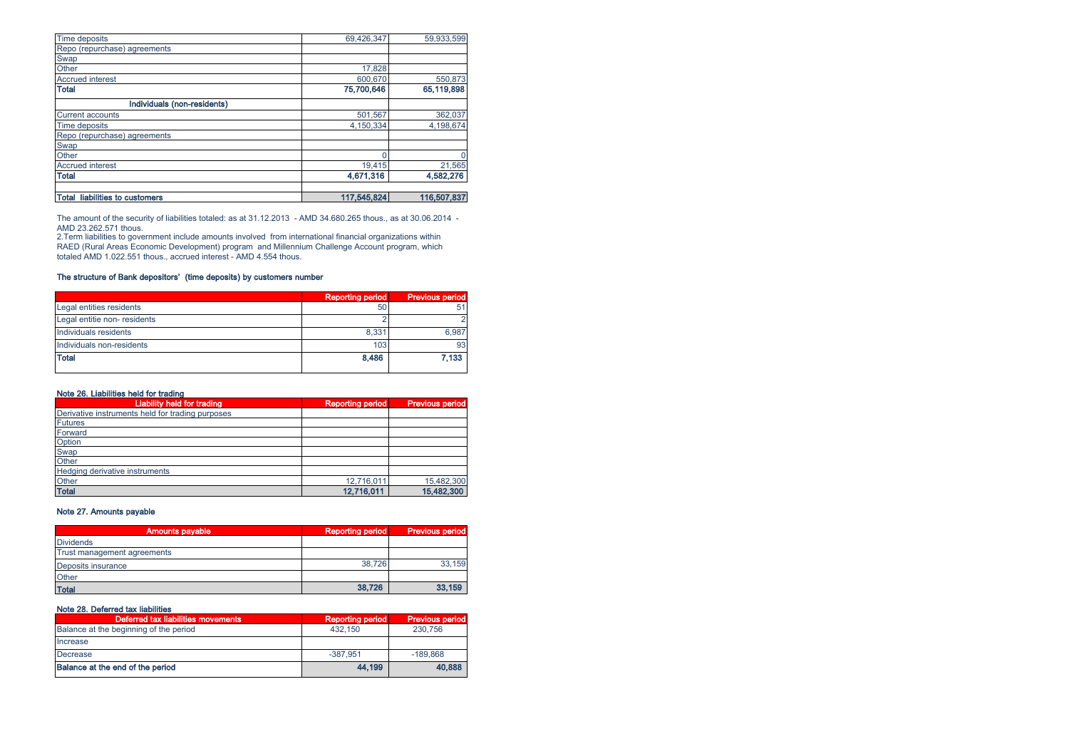| <b>Time deposits</b>                  | 69,426,347  | 59,933,599  |
|---------------------------------------|-------------|-------------|
| Repo (repurchase) agreements          |             |             |
| Swap<br>Other                         |             |             |
|                                       | 17,828      |             |
| <b>Accrued interest</b>               | 600,670     | 550,873     |
| <b>Total</b>                          | 75,700,646  | 65,119,898  |
| Individuals (non-residents)           |             |             |
| <b>Current accounts</b>               | 501,567     | 362,037     |
| Time deposits                         | 4.150.334   | 4,198,674   |
|                                       |             |             |
| Repo (repurchase) agreements<br>Swap  |             |             |
| Other                                 |             | 0           |
| <b>Accrued interest</b>               | 19,415      | 21,565      |
| <b>Total</b>                          | 4,671,316   | 4,582,276   |
| <b>Total liabilities to customers</b> | 117,545,824 | 116,507,837 |

The amount of the security of liabilities totaled: as at 31.12.2013 - AMD 34.680.265 thous., as at 30.06.2014 -

AMD 23.262.571 thous.<br>2.Term liabilities to government include amounts involved from international financial organizations within<br>RAED (Rural Areas Economic Development) program and Millennium Challenge Account program, totaled AMD 1.022.551 thous., accrued interest - AMD 4.554 thous.

# The structure of Bank depositors' (time deposits) by customers number

|                              | <b>Reporting period</b> | <b>Previous period</b> |
|------------------------------|-------------------------|------------------------|
| Legal entities residents     | 50                      | 5                      |
| Legal entitie non- residents |                         |                        |
| Individuals residents        | 8,331                   | 6.987                  |
| Individuals non-residents    | 103                     | 93                     |
| <b>Total</b>                 | 8,486                   | 7.133                  |

### Note 26. Liabilities held for trading

| <b>Liability held for trading</b>                | <b>Reporting period</b> | <b>Previous period</b> |
|--------------------------------------------------|-------------------------|------------------------|
| Derivative instruments held for trading purposes |                         |                        |
| <b>Futures</b>                                   |                         |                        |
| Forward                                          |                         |                        |
| Option                                           |                         |                        |
| Swap                                             |                         |                        |
| Other                                            |                         |                        |
| Hedging derivative instruments                   |                         |                        |
| Other                                            | 12,716,011              | 15,482,300             |
| <b>Total</b>                                     | 12,716,011              | 15,482,300             |

# Note 27. Amounts payable

| <b>Amounts payable</b>      | <b>Reporting period</b> | <b>Previous period</b> |
|-----------------------------|-------------------------|------------------------|
| <b>Dividends</b>            |                         |                        |
| Trust management agreements |                         |                        |
| Deposits insurance          | 38.726                  | 33.159                 |
| Other                       |                         |                        |
| <b>Total</b>                | 38.726                  | 33,159                 |

# Note 28. Deferred tax liabilities

| Deferred tax liabilities movements     | <b>Reporting period</b> | <b>Previous period</b> |
|----------------------------------------|-------------------------|------------------------|
| Balance at the beginning of the period | 432.150                 | 230,756                |
| Increase                               |                         |                        |
| Decrease                               | $-387.951$              | $-189.868$             |
| Balance at the end of the period       | 44.199                  | 40.888                 |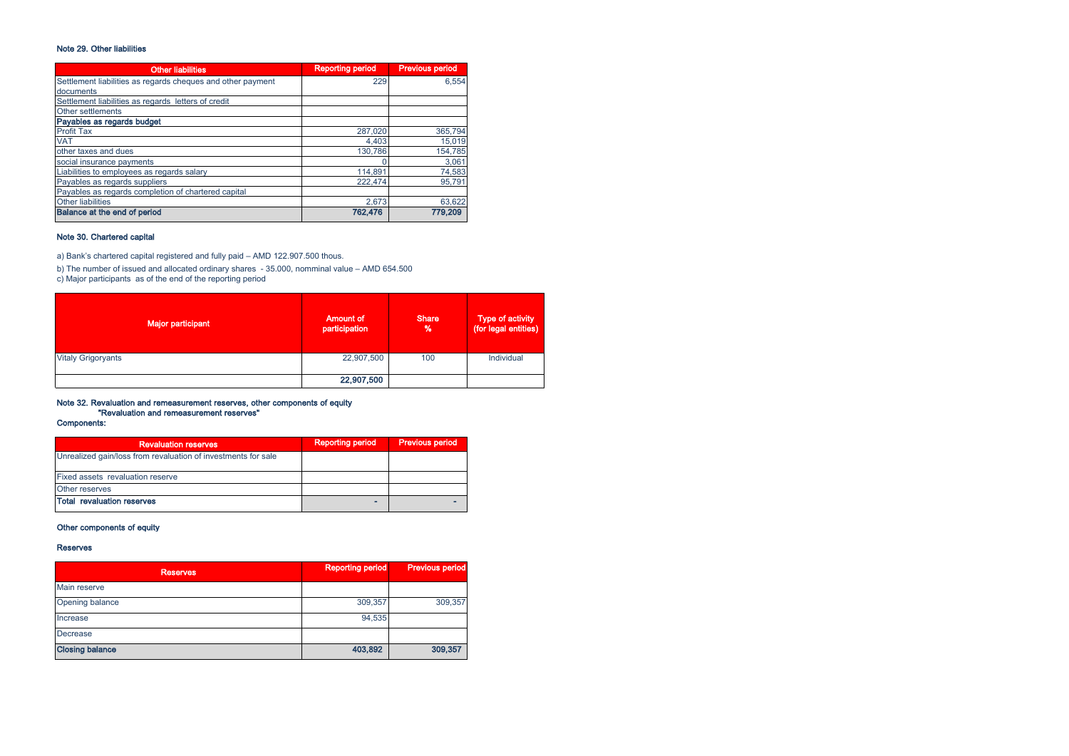# Note 29. Other liabilities

| <b>Other liabilities</b>                                    | <b>Reporting period</b> | <b>Previous period</b> |
|-------------------------------------------------------------|-------------------------|------------------------|
| Settlement liabilities as regards cheques and other payment | 229                     | 6.554                  |
| documents                                                   |                         |                        |
| Settlement liabilities as regards letters of credit         |                         |                        |
| Other settlements                                           |                         |                        |
| Payables as regards budget                                  |                         |                        |
| <b>Profit Tax</b>                                           | 287,020                 | 365,794                |
| <b>VAT</b>                                                  | 4,403                   | 15,019                 |
| other taxes and dues                                        | 130.786                 | 154.785                |
| social insurance payments                                   |                         | 3,061                  |
| Liabilities to employees as regards salary                  | 114.891                 | 74,583                 |
| Payables as regards suppliers                               | 222.474                 | 95,791                 |
| Payables as regards completion of chartered capital         |                         |                        |
| <b>Other liabilities</b>                                    | 2.673                   | 63,622                 |
| Balance at the end of period                                | 762.476                 | 779.209                |

# Note 30. Chartered capital

a) Bank's chartered capital registered and fully paid – AMD 122.907.500 thous.

b) The number of issued and allocated ordinary shares - 35.000, nomminal value – AMD 654.500<br>c) Major participants as of the end of the reporting period

| <b>Major participant</b>  | <b>Amount of</b><br>participation | <b>Share</b><br>% | Type of activity<br>(for legal entities) |
|---------------------------|-----------------------------------|-------------------|------------------------------------------|
| <b>Vitaly Grigoryants</b> | 22,907,500                        | 100               | Individual                               |
|                           | 22,907,500                        |                   |                                          |

# Note 32. Revaluation and remeasurement reserves, other components of equity "Revaluation and remeasurement reserves"

Components:

| <b>Revaluation reserves</b>                                   | <b>Reporting period</b> | <b>Previous period</b> |
|---------------------------------------------------------------|-------------------------|------------------------|
| Unrealized gain/loss from revaluation of investments for sale |                         |                        |
| Fixed assets revaluation reserve                              |                         |                        |
| Other reserves                                                |                         |                        |
| <b>Total revaluation reserves</b>                             |                         |                        |

# Other components of equity

### Reserves

| <b>Reserves</b>        | <b>Reporting period</b> | <b>Previous period</b> |
|------------------------|-------------------------|------------------------|
| Main reserve           |                         |                        |
| Opening balance        | 309,357                 | 309,357                |
| Increase               | 94,535                  |                        |
| <b>Decrease</b>        |                         |                        |
| <b>Closing balance</b> | 403,892                 | 309,357                |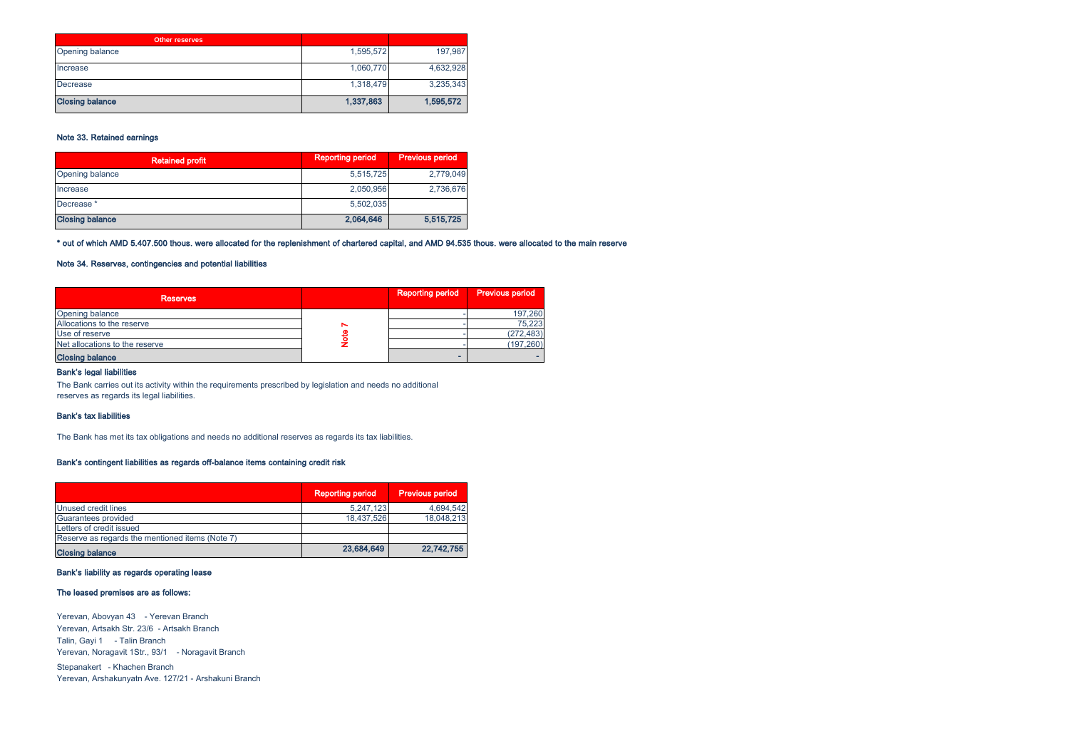| <b>Other reserves</b>  |           |           |
|------------------------|-----------|-----------|
| Opening balance        | 1,595,572 | 197,987   |
| Increase               | 1,060,770 | 4,632,928 |
| Decrease               | 1,318,479 | 3,235,343 |
| <b>Closing balance</b> | 1,337,863 | 1,595,572 |

# Note 33. Retained earnings

| <b>Retained profit</b> | <b>Reporting period</b> | <b>Previous period</b> |
|------------------------|-------------------------|------------------------|
| Opening balance        | 5,515,725               | 2,779,049              |
| Increase               | 2.050.956               | 2,736,676              |
| Decrease <sup>*</sup>  | 5.502.035               |                        |
| <b>Closing balance</b> | 2,064,646               | 5,515,725              |

### \* out of which AMD 5.407.500 thous. were allocated for the replenishment of chartered capital, and AMD 94.535 thous. were allocated to the main reserve

# Note 34. Reserves, contingencies and potential liabilities

| <b>Reserves</b>                |   | <b>Reporting period</b> | <b>Previous period</b> |
|--------------------------------|---|-------------------------|------------------------|
| Opening balance                |   |                         | 197,260                |
| Allocations to the reserve     | N |                         | 75.223                 |
| Use of reserve                 |   |                         | (272, 483)             |
| Net allocations to the reserve |   |                         | (197, 260)             |
| <b>Closing balance</b>         |   |                         |                        |

### Bank's legal liabilities

The Bank carries out its activity within the requirements prescribed by legislation and needs no additional reserves as regards its legal liabilities.

#### Bank's tax liabilities

The Bank has met its tax obligations and needs no additional reserves as regards its tax liabilities.

### Bank's contingent liabilities as regards off-balance items containing credit risk

|                                                 | <b>Reporting period</b> | <b>Previous period</b> |
|-------------------------------------------------|-------------------------|------------------------|
| Unused credit lines                             | 5,247,123               | 4.694.542              |
| Guarantees provided                             | 18.437.526              | 18,048,213             |
| Letters of credit issued                        |                         |                        |
| Reserve as regards the mentioned items (Note 7) |                         |                        |
| <b>Closing balance</b>                          | 23,684,649              | 22,742,755             |

### Bank's liability as regards operating lease

### The leased premises are as follows:

Yerevan, Abovyan 43 - Yerevan Branch Yerevan, Artsakh Str. 23/6 - Artsakh Branch Talin, Gayi 1 - Talin Branch Yerevan, Noragavit 1Str., 93/1 - Noragavit Branch Stepanakert - Khachen Branch Yerevan, Arshakunyatn Ave. 127/21 - Arshakuni Branch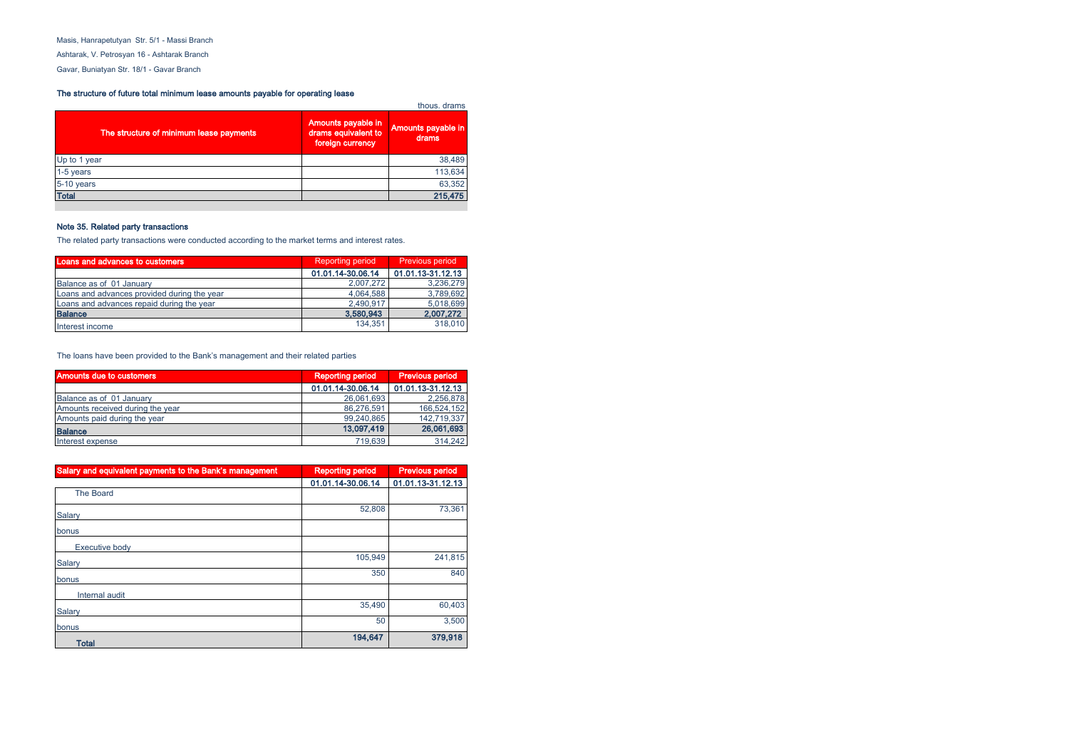Masis, Hanrapetutyan Str. 5/1 - Massi Branch

Ashtarak, V. Petrosyan 16 - Ashtarak Branch

Gavar, Buniatyan Str. 18/1 - Gavar Branch

# The structure of future total minimum lease amounts payable for operating lease

| The structure of minimum lease payments | Amounts payable in<br>drams equivalent to<br>foreign currency | Amounts payable in<br>drams |
|-----------------------------------------|---------------------------------------------------------------|-----------------------------|
| Up to 1 year                            |                                                               | 38,489                      |
| 1-5 years                               |                                                               | 113,634                     |
| 5-10 years                              |                                                               | 63,352                      |
| <b>Total</b>                            |                                                               | 215,475                     |

# Note 35. Related party transactions

The related party transactions were conducted according to the market terms and interest rates.

| Loans and advances to customers             | <b>Reporting period</b> | <b>Previous period</b> |  |
|---------------------------------------------|-------------------------|------------------------|--|
|                                             | 01.01.14-30.06.14       | 01.01.13-31.12.13      |  |
| Balance as of 01 January                    | 2.007.272               | 3,236,279              |  |
| Loans and advances provided during the year | 4.064.588               | 3,789,692              |  |
| Loans and advances repaid during the year   | 2.490.917               | 5.018.699              |  |
| <b>Balance</b>                              | 3,580,943               | 2,007,272              |  |
| Interest income                             | 134.351                 | 318,010                |  |

The loans have been provided to the Bank's management and their related parties

| Amounts due to customers         | <b>Reporting period</b> | <b>Previous period</b> |
|----------------------------------|-------------------------|------------------------|
|                                  | 01.01.14-30.06.14       | 01.01.13-31.12.13      |
| Balance as of 01 January         | 26,061,693              | 2.256.878              |
| Amounts received during the year | 86.276.591              | 166.524.152            |
| Amounts paid during the year     | 99.240.865              | 142.719.337            |
| <b>Balance</b>                   | 13,097,419              | 26,061,693             |
| Interest expense                 | 719.639                 | 314.242                |

| Salary and equivalent payments to the Bank's management | <b>Reporting period</b> | <b>Previous period</b> |
|---------------------------------------------------------|-------------------------|------------------------|
|                                                         | 01.01.14-30.06.14       | 01.01.13-31.12.13      |
| <b>The Board</b>                                        |                         |                        |
| Salary                                                  | 52,808                  | 73,361                 |
| bonus                                                   |                         |                        |
| Executive body                                          |                         |                        |
| Salary                                                  | 105,949                 | 241,815                |
| bonus                                                   | 350                     | 840                    |
| Internal audit                                          |                         |                        |
| Salary                                                  | 35,490                  | 60,403                 |
| bonus                                                   | 50                      | 3,500                  |
| <b>Total</b>                                            | 194,647                 | 379,918                |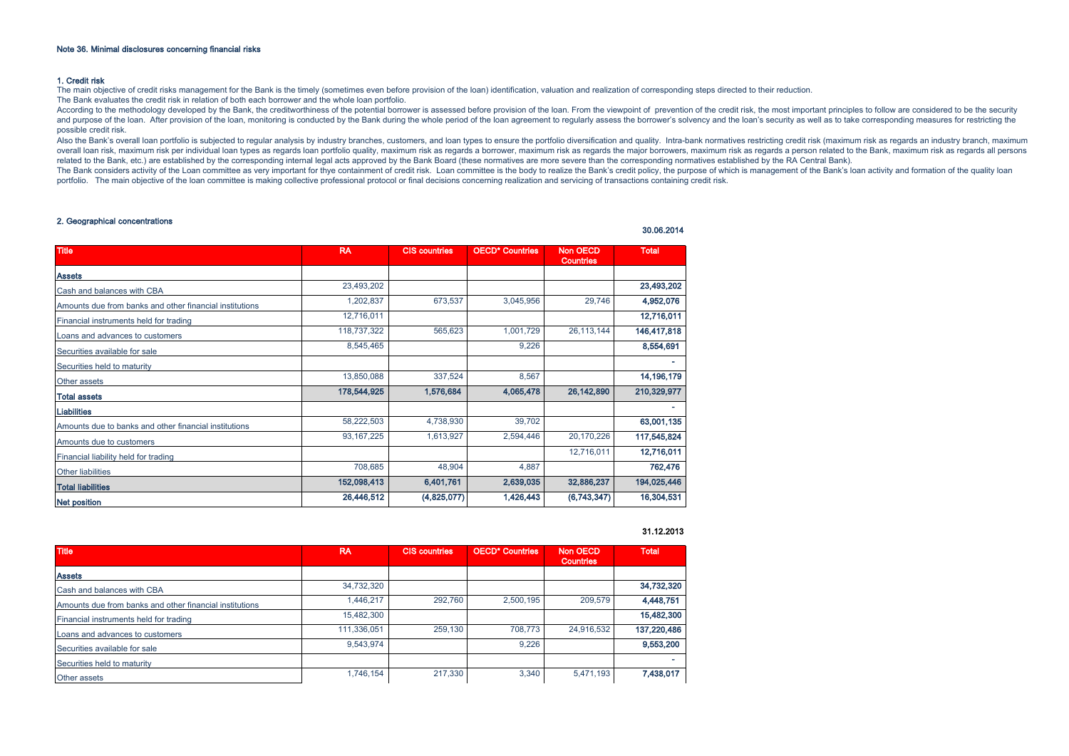#### 1. Credit risk

The main objective of credit risks management for the Bank is the timely (sometimes even before provision of the loan) identification, valuation and realization of corresponding steps directed to their reduction. The Bank evaluates the credit risk in relation of both each borrower and the whole loan portfolio.

According to the methodology developed by the Bank, the creditworthiness of the potential borrower is assessed before provision of the loan. From the viewpoint of prevention of the credit risk, the most important principle and purpose of the loan. After provision of the loan, monitoring is conducted by the Bank during the whole period of the loan agreement to requiarly assess the borrower's solvency and the loan's security as well as to take possible credit risk.

.<br>Also the Bank's overall loan portfolio is subjected to regular analysis by industry branches, customers, and loan types to ensure the portfolio diversification and quality. Intra-bank normatives restricting credit risk ( overall loan risk, maximum risk per individual loan types as regards loan portfolio quality, maximum risk as regards a borrower, maximum risk as regards the major borrowers, maximum risk as regards a person related to the related to the Bank, etc.) are established by the corresponding internal legal acts approved by the Bank Board (these normatives are more severe than the corresponding normatives established by the RA Central Bank).

The Bank considers activity of the Loan committee as very important for thye containment of credit risk. Loan committee is the body to realize the Bank's credit policy, the purpose of which is management of the Bank's loan portfolio. The main objective of the loan committee is making collective professional protocol or final decisions concerning realization and servicing of transactions containing credit risk.

# 2. Geographical concentrations

| <b>Title</b>                                            | <b>RA</b>    | <b>CIS countries</b> | <b>OECD* Countries</b> | <b>Non OECD</b><br><b>Countries</b> | <b>Total</b> |
|---------------------------------------------------------|--------------|----------------------|------------------------|-------------------------------------|--------------|
| <b>Assets</b>                                           |              |                      |                        |                                     |              |
| Cash and balances with CBA                              | 23,493,202   |                      |                        |                                     | 23,493,202   |
| Amounts due from banks and other financial institutions | 1,202,837    | 673,537              | 3,045,956              | 29,746                              | 4,952,076    |
| Financial instruments held for trading                  | 12,716,011   |                      |                        |                                     | 12,716,011   |
| Loans and advances to customers                         | 118,737,322  | 565,623              | 1,001,729              | 26,113,144                          | 146,417,818  |
| Securities available for sale                           | 8,545,465    |                      | 9,226                  |                                     | 8,554,691    |
| Securities held to maturity                             |              |                      |                        |                                     | ۰            |
| Other assets                                            | 13,850,088   | 337,524              | 8,567                  |                                     | 14, 196, 179 |
| <b>Total assets</b>                                     | 178,544,925  | 1,576,684            | 4,065,478              | 26,142,890                          | 210,329,977  |
| <b>Liabilities</b>                                      |              |                      |                        |                                     |              |
| Amounts due to banks and other financial institutions   | 58,222,503   | 4,738,930            | 39,702                 |                                     | 63,001,135   |
| Amounts due to customers                                | 93, 167, 225 | 1,613,927            | 2,594,446              | 20,170,226                          | 117,545,824  |
| Financial liability held for trading                    |              |                      |                        | 12,716,011                          | 12,716,011   |
| <b>Other liabilities</b>                                | 708,685      | 48,904               | 4,887                  |                                     | 762,476      |
| <b>Total liabilities</b>                                | 152,098,413  | 6,401,761            | 2,639,035              | 32,886,237                          | 194,025,446  |
| <b>Net position</b>                                     | 26,446,512   | (4,825,077)          | 1,426,443              | (6,743,347)                         | 16,304,531   |

# 31.12.2013

30.06.2014

| <b>Title</b>                                            | <b>RA</b>   | <b>CIS countries</b> | <b>OECD* Countries</b> | <b>Non OECD</b><br><b>Countries</b> | <b>Total</b> |
|---------------------------------------------------------|-------------|----------------------|------------------------|-------------------------------------|--------------|
| <b>Assets</b>                                           |             |                      |                        |                                     |              |
| Cash and balances with CBA                              | 34,732,320  |                      |                        |                                     | 34,732,320   |
| Amounts due from banks and other financial institutions | 1.446.217   | 292.760              | 2.500.195              | 209,579                             | 4.448.751    |
| Financial instruments held for trading                  | 15.482.300  |                      |                        |                                     | 15,482,300   |
| Loans and advances to customers                         | 111,336,051 | 259,130              | 708.773                | 24,916,532                          | 137,220,486  |
| Securities available for sale                           | 9.543.974   |                      | 9.226                  |                                     | 9,553,200    |
| Securities held to maturity                             |             |                      |                        |                                     |              |
| Other assets                                            | 1,746,154   | 217,330              | 3,340                  | 5,471,193                           | 7.438.017    |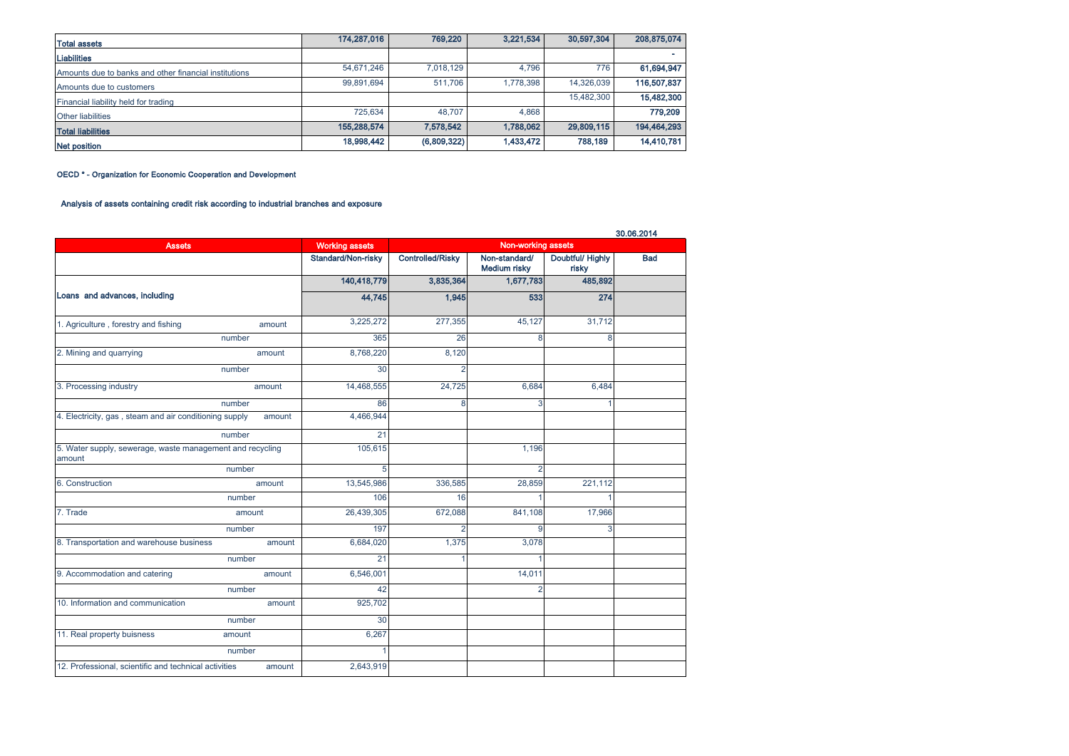| <b>Total assets</b>                                   | 174,287,016 | 769,220     | 3,221,534 | 30,597,304 | 208,875,074 |
|-------------------------------------------------------|-------------|-------------|-----------|------------|-------------|
| <b>Liabilities</b>                                    |             |             |           |            |             |
| Amounts due to banks and other financial institutions | 54,671,246  | 7,018,129   | 4.796     | 776        | 61,694,947  |
| Amounts due to customers                              | 99.891.694  | 511.706     | 1,778,398 | 14,326,039 | 116,507,837 |
| Financial liability held for trading                  |             |             |           | 15,482,300 | 15,482,300  |
| <b>Other liabilities</b>                              | 725.634     | 48.707      | 4.868     |            | 779,209     |
| <b>Total liabilities</b>                              | 155,288,574 | 7,578,542   | 1,788,062 | 29,809,115 | 194,464,293 |
| Net position                                          | 18,998,442  | (6,809,322) | 1,433,472 | 788,189    | 14,410,781  |

OECD \* - Organization for Economic Cooperation and Development

# Analysis of assets containing credit risk according to industrial branches and exposure

|                                                                     |        |                       |                         |                                      |                           | 30.06.2014 |
|---------------------------------------------------------------------|--------|-----------------------|-------------------------|--------------------------------------|---------------------------|------------|
| <b>Assets</b>                                                       |        | <b>Working assets</b> |                         | Non-working assets                   |                           |            |
|                                                                     |        | Standard/Non-risky    | <b>Controlled/Risky</b> | Non-standard/<br><b>Medium risky</b> | Doubtful/ Highly<br>risky | <b>Bad</b> |
|                                                                     |        | 140,418,779           | 3,835,364               | 1,677,783                            | 485,892                   |            |
| Loans and advances, including                                       |        | 44,745                | 1,945                   | 533                                  | 274                       |            |
| 1. Agriculture, forestry and fishing                                | amount | 3,225,272             | 277,355                 | 45,127                               | 31,712                    |            |
|                                                                     | number | 365                   | 26                      | 8                                    | 8                         |            |
| 2. Mining and quarrying                                             | amount | 8,768,220             | 8,120                   |                                      |                           |            |
|                                                                     | number | 30                    |                         |                                      |                           |            |
| 3. Processing industry                                              | amount | 14,468,555            | 24,725                  | 6,684                                | 6,484                     |            |
|                                                                     | number | 86                    | 8                       | 3                                    | 1                         |            |
| 4. Electricity, gas, steam and air conditioning supply              | amount | 4,466,944             |                         |                                      |                           |            |
|                                                                     | number | 21                    |                         |                                      |                           |            |
| 5. Water supply, sewerage, waste management and recycling<br>amount |        | 105,615               |                         | 1,196                                |                           |            |
|                                                                     | number | 5                     |                         | $\mathfrak{p}$                       |                           |            |
| 6. Construction                                                     | amount | 13,545,986            | 336,585                 | 28,859                               | 221,112                   |            |
|                                                                     | number | 106                   | 16                      |                                      | 1                         |            |
| 7. Trade                                                            | amount | 26,439,305            | 672,088                 | 841,108                              | 17,966                    |            |
|                                                                     | number | 197                   | $\overline{2}$          | 9                                    | 3                         |            |
| 8. Transportation and warehouse business                            | amount | 6,684,020             | 1,375                   | 3,078                                |                           |            |
|                                                                     | number | 21                    | 1                       |                                      |                           |            |
| 9. Accommodation and catering                                       | amount | 6,546,001             |                         | 14,011                               |                           |            |
|                                                                     | number | 42                    |                         | $\overline{2}$                       |                           |            |
| 10. Information and communication                                   | amount | 925,702               |                         |                                      |                           |            |
|                                                                     | number | 30                    |                         |                                      |                           |            |
| 11. Real property buisness                                          | amount | 6,267                 |                         |                                      |                           |            |
|                                                                     | number |                       |                         |                                      |                           |            |
| 12. Professional, scientific and technical activities               | amount | 2,643,919             |                         |                                      |                           |            |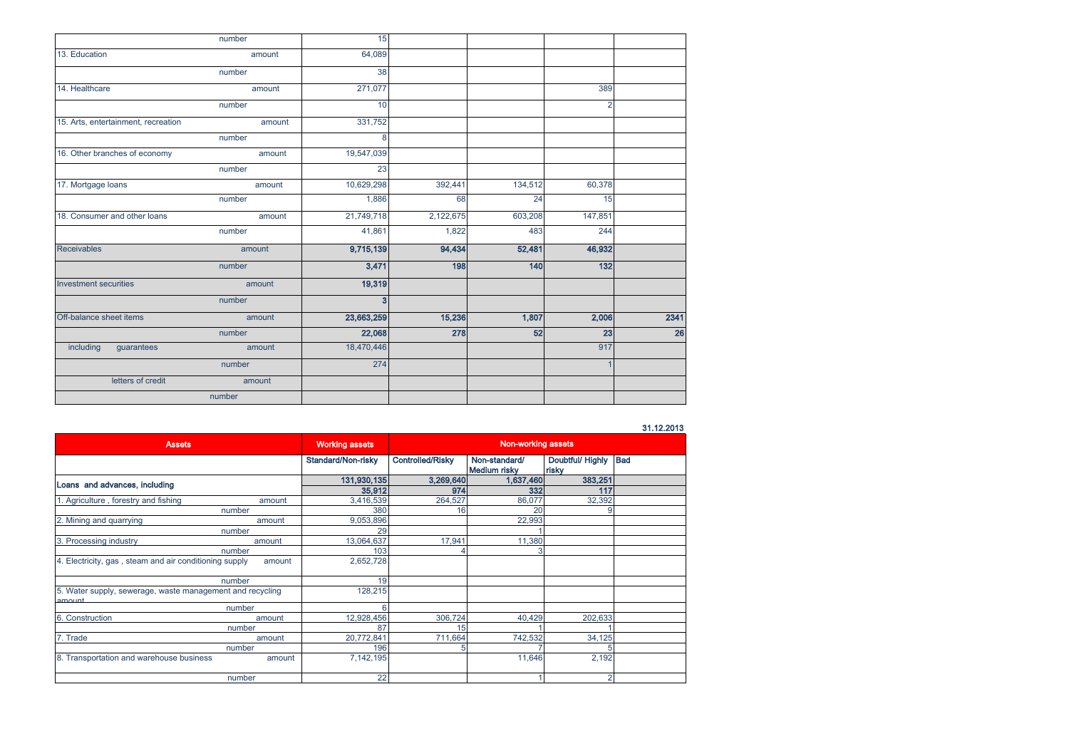|                                     | number | 15           |           |         |                |      |
|-------------------------------------|--------|--------------|-----------|---------|----------------|------|
| 13. Education                       | amount | 64,089       |           |         |                |      |
|                                     | number | 38           |           |         |                |      |
| 14. Healthcare                      | amount | 271,077      |           |         | 389            |      |
|                                     | number | 10           |           |         | $\overline{2}$ |      |
| 15. Arts, entertainment, recreation | amount | 331,752      |           |         |                |      |
|                                     | number | 8            |           |         |                |      |
| 16. Other branches of economy       | amount | 19,547,039   |           |         |                |      |
|                                     | number | 23           |           |         |                |      |
| 17. Mortgage loans                  | amount | 10,629,298   | 392,441   | 134,512 | 60,378         |      |
|                                     | number | 1,886        | 68        | 24      | 15             |      |
| 18. Consumer and other loans        | amount | 21,749,718   | 2,122,675 | 603,208 | 147,851        |      |
|                                     | number | 41,861       | 1,822     | 483     | 244            |      |
| <b>Receivables</b>                  | amount | 9,715,139    | 94,434    | 52,481  | 46,932         |      |
|                                     | number | 3,471        | 198       | 140     | 132            |      |
| <b>Investment securities</b>        | amount | 19,319       |           |         |                |      |
|                                     | number | $\mathbf{3}$ |           |         |                |      |
| Off-balance sheet items             | amount | 23,663,259   | 15,236    | 1,807   | 2,006          | 2341 |
|                                     | number | 22,068       | 278       | 52      | 23             | 26   |
| including<br>guarantees             | amount | 18,470,446   |           |         | 917            |      |
|                                     | number | 274          |           |         |                |      |
| letters of credit                   | amount |              |           |         |                |      |
|                                     | number |              |           |         |                |      |

# 31.12.2013

| <b>Assets</b>                                                       | <b>Working assets</b> | <b>Non-working assets</b> |                                      |                           |            |
|---------------------------------------------------------------------|-----------------------|---------------------------|--------------------------------------|---------------------------|------------|
|                                                                     | Standard/Non-risky    | Controlled/Risky          | Non-standard/<br><b>Medium risky</b> | Doubtful/ Highly<br>risky | <b>Bad</b> |
| Loans and advances, including                                       | 131,930,135           | 3,269,640                 | 1,637,460                            | 383,251                   |            |
|                                                                     | 35,912                | 974                       | 332                                  | 117                       |            |
| . Agriculture, forestry and fishing<br>amount                       | 3,416,539             | 264,527                   | 86,077                               | 32,392                    |            |
| number                                                              | 380                   | 16                        | 20                                   |                           |            |
| 2. Mining and quarrying<br>amount                                   | 9,053,896             |                           | 22,993                               |                           |            |
| number                                                              | 29                    |                           |                                      |                           |            |
| 3. Processing industry<br>amount                                    | 13,064,637            | 17,941                    | 11,380                               |                           |            |
| number                                                              | 103                   |                           |                                      |                           |            |
| 4. Electricity, gas, steam and air conditioning supply<br>amount    | 2,652,728             |                           |                                      |                           |            |
| number                                                              | 19                    |                           |                                      |                           |            |
| 5. Water supply, sewerage, waste management and recycling<br>amoint | 128,215               |                           |                                      |                           |            |
| number                                                              |                       |                           |                                      |                           |            |
| 6. Construction<br>amount                                           | 12,928,456            | 306,724                   | 40.429                               | 202,633                   |            |
| number                                                              | 87                    | 15                        |                                      |                           |            |
| 7. Trade<br>amount                                                  | 20,772,841            | 711,664                   | 742,532                              | 34,125                    |            |
| number                                                              | 196                   | 5                         |                                      |                           |            |
| 8. Transportation and warehouse business<br>amount                  | 7,142,195             |                           | 11,646                               | 2,192                     |            |
| number                                                              | 22                    |                           |                                      |                           |            |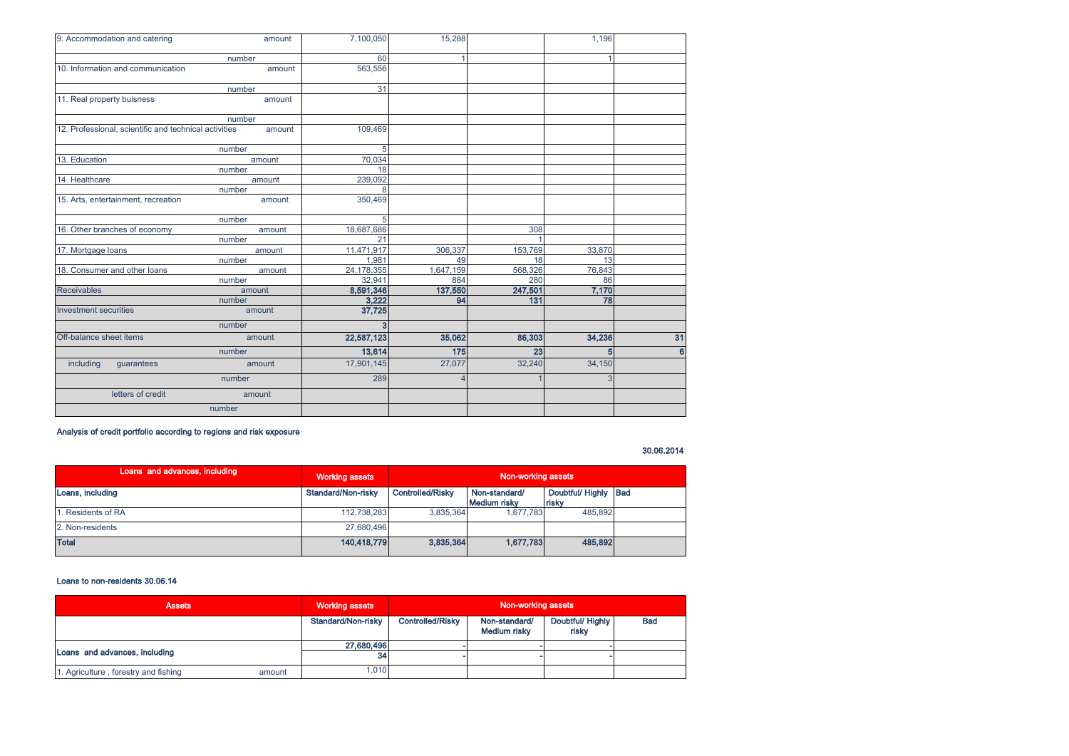| 9. Accommodation and catering                         | amount | 7,100,050  | 15,288         |         | 1,196  |    |
|-------------------------------------------------------|--------|------------|----------------|---------|--------|----|
|                                                       | number | 60         |                |         |        |    |
| 10. Information and communication                     | amount | 563,556    |                |         |        |    |
|                                                       | number | 31         |                |         |        |    |
| 11. Real property buisness                            | amount |            |                |         |        |    |
|                                                       | number |            |                |         |        |    |
| 12. Professional, scientific and technical activities | amount | 109,469    |                |         |        |    |
|                                                       | number | 5          |                |         |        |    |
| 13. Education                                         | amount | 70,034     |                |         |        |    |
|                                                       | number | 18         |                |         |        |    |
| 14. Healthcare                                        | amount | 239,092    |                |         |        |    |
|                                                       | number | 8          |                |         |        |    |
| 15. Arts, entertainment, recreation                   | amount | 350,469    |                |         |        |    |
|                                                       | number | 5          |                |         |        |    |
| 16. Other branches of economy                         | amount | 18,687,686 |                | 308     |        |    |
|                                                       | number | 21         |                |         |        |    |
| 17. Mortgage loans                                    | amount | 11,471,917 | 306.337        | 153,769 | 33,870 |    |
|                                                       | number | 1.981      | 49             | 18      | 13     |    |
| 18. Consumer and other loans                          | amount | 24,178,355 | 1,647,159      | 568,326 | 76,843 |    |
|                                                       | number | 32,941     | 884            | 280     | 86     |    |
| <b>Receivables</b>                                    | amount | 8,591,346  | 137,550        | 247,501 | 7,170  |    |
|                                                       | number | 3,222      | 94             | 131     | 78     |    |
| <b>Investment securities</b>                          | amount | 37,725     |                |         |        |    |
|                                                       | number | з          |                |         |        |    |
| Off-balance sheet items                               | amount | 22,587,123 | 35,062         | 86,303  | 34,236 | 31 |
|                                                       | number | 13,614     | 175            | 23      | 5      | 6  |
| including<br>guarantees                               | amount | 17,901,145 | 27,077         | 32,240  | 34,150 |    |
|                                                       | number | 289        | $\overline{4}$ |         | 3      |    |
| letters of credit                                     | amount |            |                |         |        |    |
|                                                       | number |            |                |         |        |    |

Analysis of credit portfolio according to regions and risk exposure

# 30.06.2014

| Loans and advances, including | <b>Working assets</b> | Non-working assets |                               |                              |  |
|-------------------------------|-----------------------|--------------------|-------------------------------|------------------------------|--|
| Loans, including              | Standard/Non-risky    | Controlled/Risky   | Non-standard/<br>Medium risky | Doubtful/Highly Bad<br>risky |  |
| . Residents of RA             | 112,738,283           | 3.835.364          | 1.677.783                     | 485.892                      |  |
| 2. Non-residents              | 27.680.496            |                    |                               |                              |  |
| <b>Total</b>                  | 140.418.779           | 3.835,364          | 1,677,783                     | 485,892                      |  |

# Loans to non-residents 30.06.14

| <b>Assets</b>                        |        | <b>Working assets</b> | Non-working assets      |                               |                           |            |  |
|--------------------------------------|--------|-----------------------|-------------------------|-------------------------------|---------------------------|------------|--|
|                                      |        | Standard/Non-risky    | <b>Controlled/Risky</b> | Non-standard/<br>Medium risky | Doubtful/ Highly<br>risky | <b>Bad</b> |  |
| Loans and advances, including        |        | 27,680,496            |                         |                               |                           |            |  |
|                                      |        | 34                    |                         |                               |                           |            |  |
| 1. Agriculture, forestry and fishing | amount | 1,010                 |                         |                               |                           |            |  |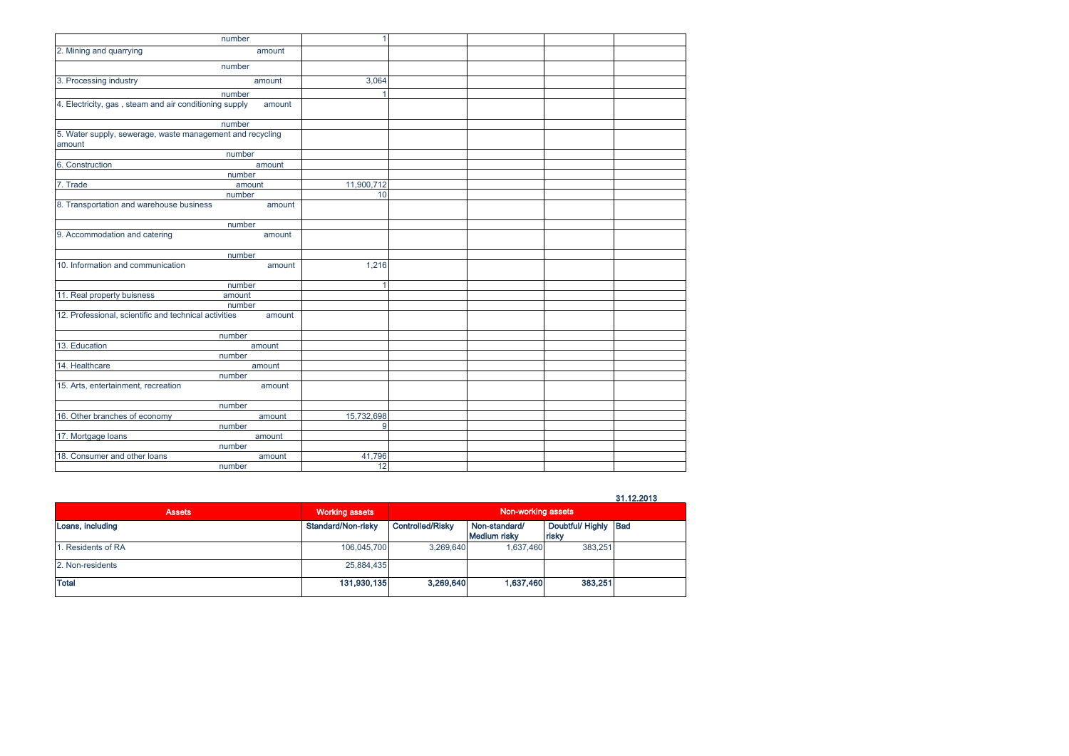|                                                                     | number | $\mathbf{1}$ |  |  |
|---------------------------------------------------------------------|--------|--------------|--|--|
| 2. Mining and quarrying                                             | amount |              |  |  |
|                                                                     | number |              |  |  |
| 3. Processing industry                                              | amount | 3,064        |  |  |
|                                                                     | number | 1            |  |  |
| 4. Electricity, gas, steam and air conditioning supply              | amount |              |  |  |
|                                                                     | number |              |  |  |
| 5. Water supply, sewerage, waste management and recycling<br>amount |        |              |  |  |
|                                                                     | number |              |  |  |
| 6. Construction                                                     | amount |              |  |  |
|                                                                     | number |              |  |  |
| 7. Trade                                                            | amount | 11,900,712   |  |  |
|                                                                     | number | 10           |  |  |
| 8. Transportation and warehouse business                            | amount |              |  |  |
|                                                                     | number |              |  |  |
| 9. Accommodation and catering                                       | amount |              |  |  |
|                                                                     | number |              |  |  |
| 10. Information and communication                                   | amount | 1,216        |  |  |
|                                                                     | number |              |  |  |
| 11. Real property buisness                                          | amount |              |  |  |
|                                                                     | number |              |  |  |
| 12. Professional, scientific and technical activities               | amount |              |  |  |
|                                                                     | number |              |  |  |
| 13. Education                                                       | amount |              |  |  |
|                                                                     | number |              |  |  |
| 14. Healthcare                                                      | amount |              |  |  |
|                                                                     | number |              |  |  |
| 15. Arts, entertainment, recreation                                 | amount |              |  |  |
|                                                                     | number |              |  |  |
| 16. Other branches of economy                                       | amount | 15,732,698   |  |  |
|                                                                     | number | 9            |  |  |
| 17. Mortgage loans                                                  | amount |              |  |  |
|                                                                     | number |              |  |  |
| 18. Consumer and other loans                                        | amount | 41,796       |  |  |
|                                                                     | number | 12           |  |  |

31.12.2013

| <b>Assets</b>     | <b>Working assets</b> | Non-working assets |                               |                               |  |
|-------------------|-----------------------|--------------------|-------------------------------|-------------------------------|--|
| Loans, including  | Standard/Non-risky    | Controlled/Risky   | Non-standard/<br>Medium risky | Doubtful/ Highly Bad<br>risky |  |
| . Residents of RA | 106,045,700           | 3.269.640          | 1.637.460                     | 383,251                       |  |
| 2. Non-residents  | 25,884,435            |                    |                               |                               |  |
| <b>Total</b>      | 131,930,135           | 3,269,640          | 1,637,460                     | 383,251                       |  |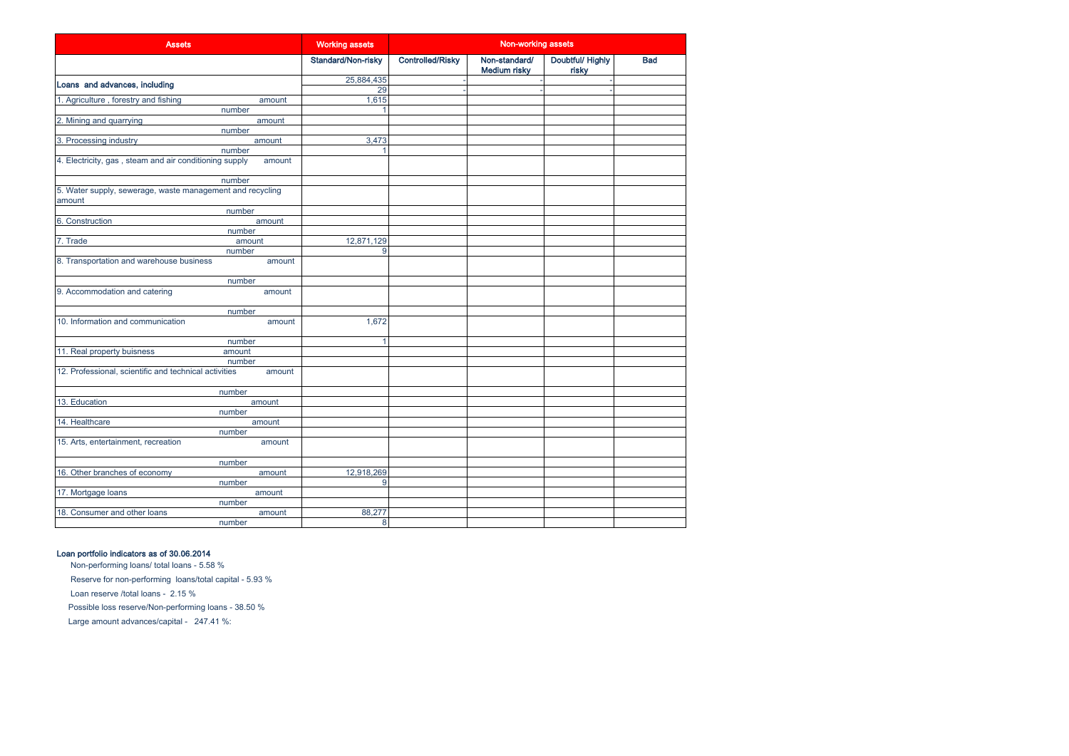| <b>Assets</b>                                                             | <b>Working assets</b> | Non-working assets      |                                      |                          |            |
|---------------------------------------------------------------------------|-----------------------|-------------------------|--------------------------------------|--------------------------|------------|
|                                                                           | Standard/Non-risky    | <b>Controlled/Risky</b> | Non-standard/<br><b>Medium risky</b> | Doubtful/Highly<br>risky | <b>Bad</b> |
| Loans and advances, including                                             | 25,884,435            |                         |                                      |                          |            |
|                                                                           | 29                    |                         |                                      |                          |            |
| 1. Agriculture, forestry and fishing<br>amount                            | 1,615                 |                         |                                      |                          |            |
| number<br>2. Mining and quarrying<br>amount                               |                       |                         |                                      |                          |            |
| number                                                                    |                       |                         |                                      |                          |            |
| 3. Processing industry<br>amount                                          | 3,473                 |                         |                                      |                          |            |
| number                                                                    |                       |                         |                                      |                          |            |
| 4. Electricity, gas, steam and air conditioning supply<br>amount          |                       |                         |                                      |                          |            |
| number                                                                    |                       |                         |                                      |                          |            |
| 5. Water supply, sewerage, waste management and recycling<br>amount       |                       |                         |                                      |                          |            |
| number                                                                    |                       |                         |                                      |                          |            |
| 6. Construction<br>amount                                                 |                       |                         |                                      |                          |            |
| number                                                                    |                       |                         |                                      |                          |            |
| 7. Trade<br>amount                                                        | 12,871,129            |                         |                                      |                          |            |
| number                                                                    | 9                     |                         |                                      |                          |            |
| 8. Transportation and warehouse business<br>amount                        |                       |                         |                                      |                          |            |
| number                                                                    |                       |                         |                                      |                          |            |
| 9. Accommodation and catering<br>amount                                   |                       |                         |                                      |                          |            |
| number                                                                    |                       |                         |                                      |                          |            |
| 10. Information and communication<br>amount                               | 1,672                 |                         |                                      |                          |            |
| number                                                                    | 1                     |                         |                                      |                          |            |
| 11. Real property buisness<br>amount                                      |                       |                         |                                      |                          |            |
| number<br>12. Professional, scientific and technical activities<br>amount |                       |                         |                                      |                          |            |
| number                                                                    |                       |                         |                                      |                          |            |
| 13. Education<br>amount                                                   |                       |                         |                                      |                          |            |
| number                                                                    |                       |                         |                                      |                          |            |
| 14. Healthcare<br>amount                                                  |                       |                         |                                      |                          |            |
| number                                                                    |                       |                         |                                      |                          |            |
| 15. Arts, entertainment, recreation<br>amount                             |                       |                         |                                      |                          |            |
| number                                                                    |                       |                         |                                      |                          |            |
| 16. Other branches of economy<br>amount                                   | 12,918,269            |                         |                                      |                          |            |
| number                                                                    | 9                     |                         |                                      |                          |            |
| 17. Mortgage loans<br>amount                                              |                       |                         |                                      |                          |            |
| number                                                                    |                       |                         |                                      |                          |            |
| 18. Consumer and other loans<br>amount                                    | 88,277                |                         |                                      |                          |            |
| number                                                                    | 8                     |                         |                                      |                          |            |

# Loan portfolio indicators as of 30.06.2014

 Non-performing loans/ total loans - 5.58 % Reserve for non-performing loans/total capital - 5.93 % Possible loss reserve/Non-performing loans - 38.50 % Loan reserve /total loans - 2.15 % Large amount advances/capital - 247.41 %: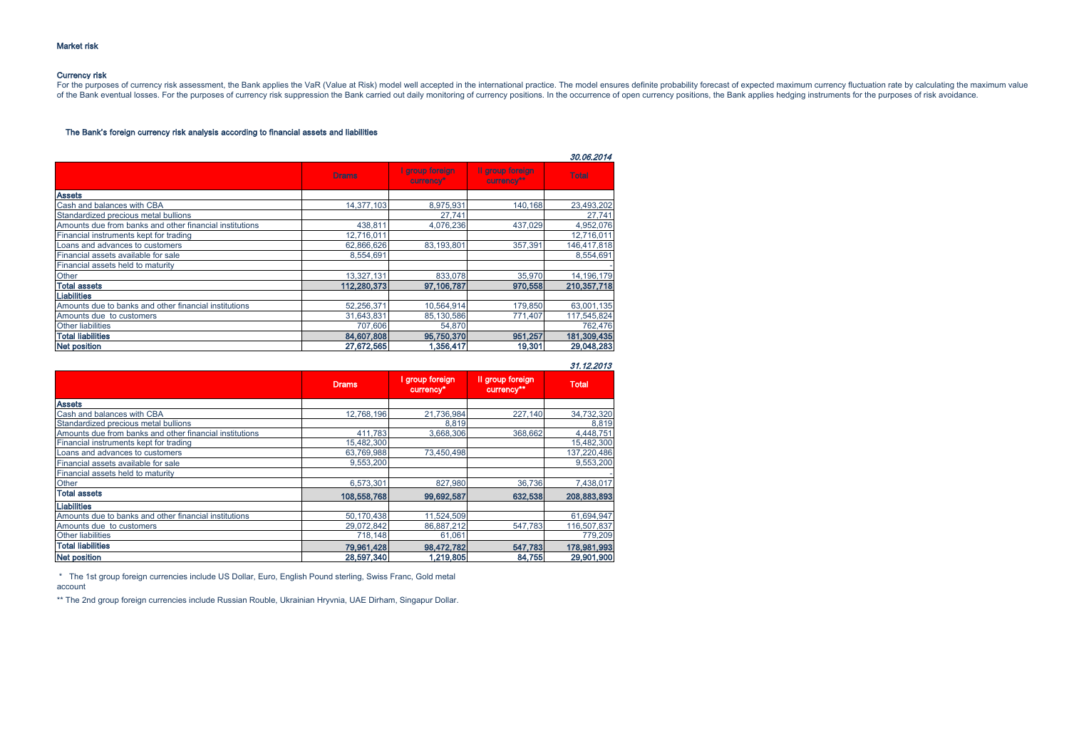### Currency risk

For the purposes of currency risk assessment, the Bank applies the VaR (Value at Risk) model well accepted in the international practice. The model ensures definite probability forecast of expected maximum currency fluctua of the Bank eventual losses. For the purposes of currency risk suppression the Bank carried out daily monitoring of currency positions. In the occurrence of open currency positions, the Bank applies hedging instruments for

# The Bank's foreign currency risk analysis according to financial assets and liabilities

|                                                         |              |                              |                                | 30.06.2014   |
|---------------------------------------------------------|--------------|------------------------------|--------------------------------|--------------|
|                                                         | <b>Drams</b> | I group foreign<br>currency* | Il group foreign<br>currency** | <b>Total</b> |
| <b>Assets</b>                                           |              |                              |                                |              |
| Cash and balances with CBA                              | 14,377,103   | 8,975,931                    | 140,168                        | 23,493,202   |
| Standardized precious metal bullions                    |              | 27.741                       |                                | 27.741       |
| Amounts due from banks and other financial institutions | 438,811      | 4,076,236                    | 437,029                        | 4,952,076    |
| Financial instruments kept for trading                  | 12,716,011   |                              |                                | 12,716,011   |
| Loans and advances to customers                         | 62,866,626   | 83.193.801                   | 357.391                        | 146,417,818  |
| Financial assets available for sale                     | 8.554.691    |                              |                                | 8.554.691    |
| Financial assets held to maturity                       |              |                              |                                |              |
| Other                                                   | 13,327,131   | 833,078                      | 35,970                         | 14, 196, 179 |
| <b>Total assets</b>                                     | 112,280,373  | 97,106,787                   | 970,558                        | 210,357,718  |
| <b>Liabilities</b>                                      |              |                              |                                |              |
| Amounts due to banks and other financial institutions   | 52,256,371   | 10,564,914                   | 179,850                        | 63,001,135   |
| Amounts due to customers                                | 31,643,831   | 85,130,586                   | 771,407                        | 117,545,824  |
| <b>Other liabilities</b>                                | 707.606      | 54,870                       |                                | 762,476      |
| <b>Total liabilities</b>                                | 84,607,808   | 95,750,370                   | 951,257                        | 181,309,435  |
| <b>Net position</b>                                     | 27.672.565   | 1,356,417                    | 19,301                         | 29,048,283   |

31.12.2013

|                                                         | <b>Drams</b> | group foreign<br>currency* | Il group foreign<br>currency** | <b>Total</b> |
|---------------------------------------------------------|--------------|----------------------------|--------------------------------|--------------|
| <b>Assets</b>                                           |              |                            |                                |              |
| Cash and balances with CBA                              | 12.768.196   | 21.736.984                 | 227,140                        | 34,732,320   |
| Standardized precious metal bullions                    |              | 8,819                      |                                | 8,819        |
| Amounts due from banks and other financial institutions | 411.783      | 3.668.306                  | 368,662                        | 4,448,751    |
| Financial instruments kept for trading                  | 15,482,300   |                            |                                | 15,482,300   |
| Loans and advances to customers                         | 63,769,988   | 73.450.498                 |                                | 137,220,486  |
| Financial assets available for sale                     | 9.553.200    |                            |                                | 9,553,200    |
| Financial assets held to maturity                       |              |                            |                                |              |
| Other                                                   | 6,573,301    | 827.980                    | 36,736                         | 7,438,017    |
| <b>Total assets</b>                                     | 108,558,768  | 99,692,587                 | 632,538                        | 208,883,893  |
| <b>Liabilities</b>                                      |              |                            |                                |              |
| Amounts due to banks and other financial institutions   | 50.170.438   | 11.524.509                 |                                | 61.694.947   |
| Amounts due to customers                                | 29.072.842   | 86.887.212                 | 547.783                        | 116,507,837  |
| <b>Other liabilities</b>                                | 718.148      | 61.061                     |                                | 779,209      |
| <b>Total liabilities</b>                                | 79,961,428   | 98,472,782                 | 547,783                        | 178,981,993  |
| <b>Net position</b>                                     | 28,597,340   | 1,219,805                  | 84,755                         | 29,901,900   |

 \* The 1st group foreign currencies include US Dollar, Euro, English Pound sterling, Swiss Franc, Gold metal account

\*\* The 2nd group foreign currencies include Russian Rouble, Ukrainian Hryvnia, UAE Dirham, Singapur Dollar.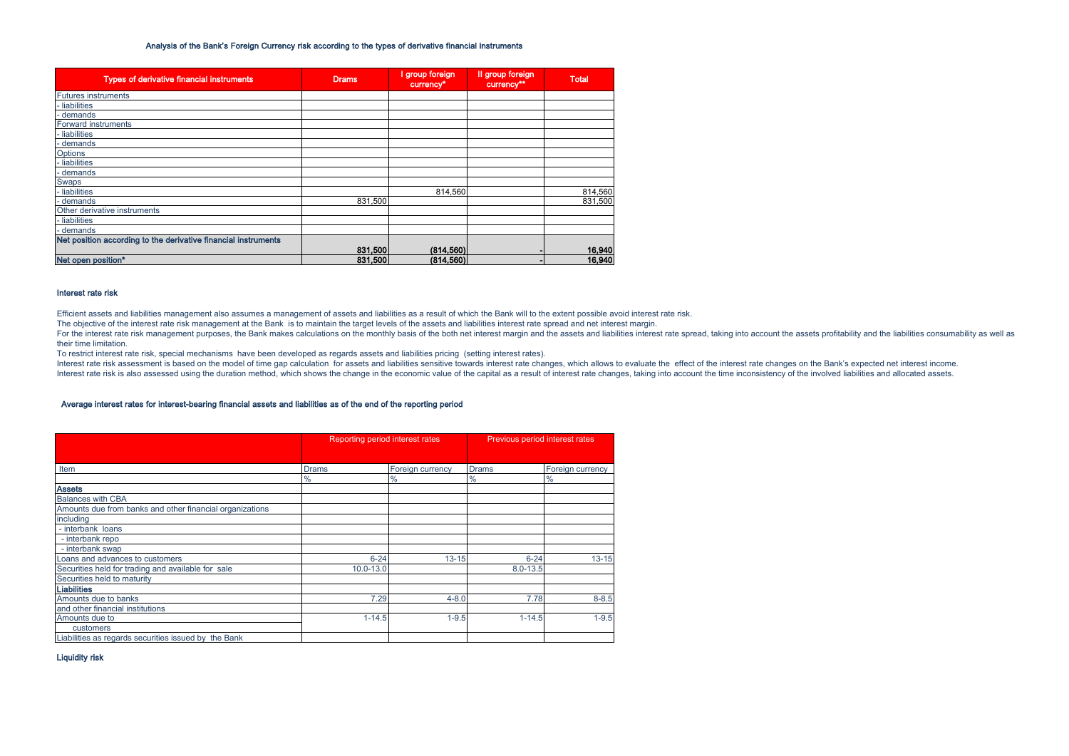### Analysis of the Bank's Foreign Currency risk according to the types of derivative financial instruments

| <b>Types of derivative financial instruments</b>               | <b>Drams</b> | I group foreign<br>currency <sup>*</sup> | Il group foreign<br>currency** | <b>Total</b> |
|----------------------------------------------------------------|--------------|------------------------------------------|--------------------------------|--------------|
| <b>Futures instruments</b>                                     |              |                                          |                                |              |
| - liabilities                                                  |              |                                          |                                |              |
| - demands                                                      |              |                                          |                                |              |
| Forward instruments                                            |              |                                          |                                |              |
| - liabilities                                                  |              |                                          |                                |              |
| - demands                                                      |              |                                          |                                |              |
| Options                                                        |              |                                          |                                |              |
| - liabilities                                                  |              |                                          |                                |              |
| - demands                                                      |              |                                          |                                |              |
| <b>Swaps</b>                                                   |              |                                          |                                |              |
| - liabilities                                                  |              | 814.560                                  |                                | 814,560      |
| - demands                                                      | 831.500      |                                          |                                | 831,500      |
| Other derivative instruments                                   |              |                                          |                                |              |
| - liabilities                                                  |              |                                          |                                |              |
| - demands                                                      |              |                                          |                                |              |
| Net position according to the derivative financial instruments |              |                                          |                                |              |
|                                                                | 831,500      | (814, 560)                               |                                | 16,940       |
| Net open position*                                             | 831,500      | (814, 560)                               |                                | 16,940       |

### Interest rate risk

Efficient assets and liabilities management also assumes a management of assets and liabilities as a result of which the Bank will to the extent possible avoid interest rate risk.

The objective of the interest rate risk management at the Bank is to maintain the target levels of the assets and liabilities interest rate spread and net interest margin.

For the interest rate risk management purposes, the Bank makes calculations on the monthly basis of the both net interest margin and the assets and liabilities interest rate spread, taking into account the assets profitabi their time limitation.

To restrict interest rate risk, special mechanisms have been developed as regards assets and liabilities pricing (setting interest rates).

Interest rate risk assessment is based on the model of time gap calculation for assets and liabilities sensitive towards interest rate changes, which allows to evaluate the effect of the interest rate changes on the Bank's Interest rate risk is also assessed using the duration method, which shows the change in the economic value of the capital as a result of interest rate changes, taking into account the time inconsistency of the involved li

### Average interest rates for interest-bearing financial assets and liabilities as of the end of the reporting period

|                                                          | Reporting period interest rates |                  | Previous period interest rates |                  |  |
|----------------------------------------------------------|---------------------------------|------------------|--------------------------------|------------------|--|
|                                                          |                                 |                  |                                |                  |  |
| Item                                                     | <b>Drams</b>                    | Foreign currency | <b>Drams</b>                   | Foreign currency |  |
|                                                          | $\%$                            | %                | %                              | $\%$             |  |
| <b>Assets</b>                                            |                                 |                  |                                |                  |  |
| <b>Balances with CBA</b>                                 |                                 |                  |                                |                  |  |
| Amounts due from banks and other financial organizations |                                 |                  |                                |                  |  |
| including                                                |                                 |                  |                                |                  |  |
| - interbank loans                                        |                                 |                  |                                |                  |  |
| - interbank repo                                         |                                 |                  |                                |                  |  |
| - interbank swap                                         |                                 |                  |                                |                  |  |
| Loans and advances to customers                          | $6 - 24$                        | $13 - 15$        | $6 - 24$                       | $13 - 15$        |  |
| Securities held for trading and available for sale       | $10.0 - 13.0$                   |                  | $8.0 - 13.5$                   |                  |  |
| Securities held to maturity                              |                                 |                  |                                |                  |  |
| <b>Liabilities</b>                                       |                                 |                  |                                |                  |  |
| Amounts due to banks                                     | 7.29                            | $4 - 8.0$        | 7.78                           | $8 - 8.5$        |  |
| and other financial institutions                         |                                 |                  |                                |                  |  |
| Amounts due to                                           | $1 - 14.5$                      | $1 - 9.5$        | $1 - 14.5$                     | $1 - 9.5$        |  |
| customers                                                |                                 |                  |                                |                  |  |
| Liabilities as regards securities issued by the Bank     |                                 |                  |                                |                  |  |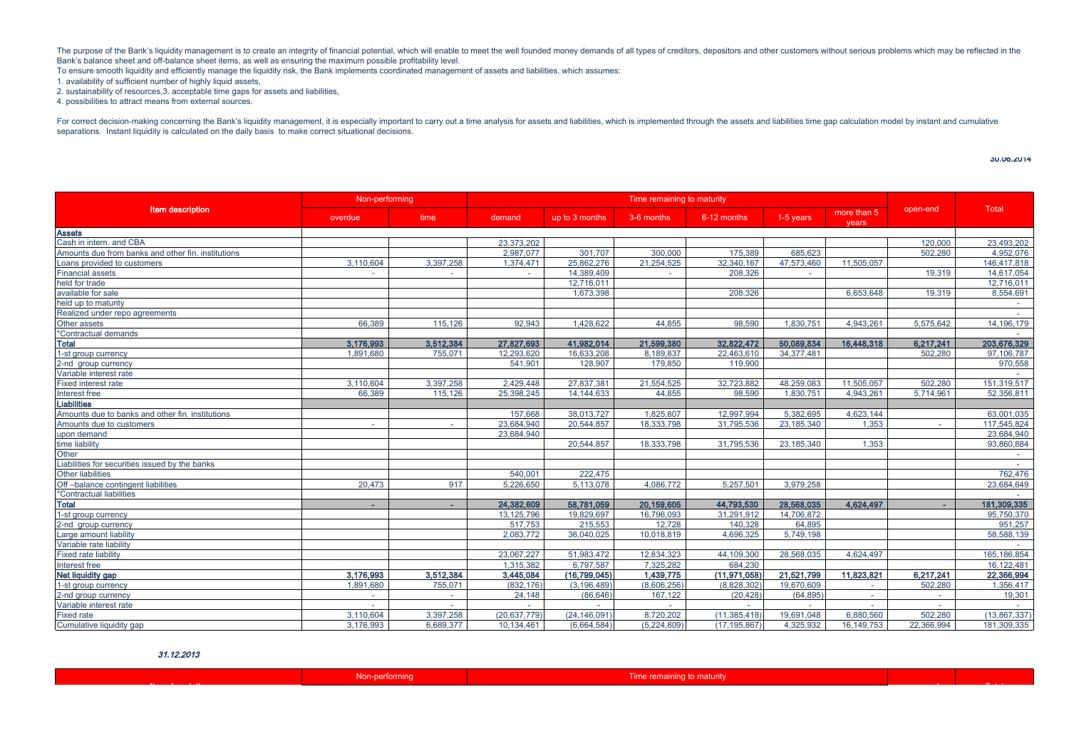The purpose of the Bank's liquidity management is to create an integrity of financial potential, which will enable to meet the well founded money demands of all types of creditors, depositors and other customers without se Bank's balance sheet and off-balance sheet items, as well as ensuring the maximum possible profitability level.

To ensure smooth liquidity and efficiently manage the liquidity risk, the Bank implements coordinated management of assets and liabilities, which assumes:

1. availability of sufficient number of highly liquid assets,

2. sustainability of resources,3. acceptable time gaps for assets and liabilities,

4. possibilities to attract means from external sources.

For correct decision-making concerning the Bank's liquidity management, it is especially important to carry out a time analysis for assets and liabilities, which is implemented through the assets and liabilities time gap c separations. Instant liquidity is calculated on the daily basis to make correct situational decisions.

30.06.2014

|                                                    | Non-performing |           | Time remaining to maturity |                |             |              |              |                      |            |               |
|----------------------------------------------------|----------------|-----------|----------------------------|----------------|-------------|--------------|--------------|----------------------|------------|---------------|
| <b>Item description</b>                            | overdue        | time      | demand                     | up to 3 months | 3-6 months  | 6-12 months  | 1-5 years    | more than 5<br>vears | open-end   | Total         |
| <b>Assets</b>                                      |                |           |                            |                |             |              |              |                      |            |               |
| Cash in intern, and CBA                            |                |           | 23.373.202                 |                |             |              |              |                      | 120,000    | 23.493.202    |
| Amounts due from banks and other fin. institutions |                |           | 2.987.077                  | 301.707        | 300,000     | 175,389      | 685.623      |                      | 502.280    | 4.952.076     |
| Loans provided to customers                        | 3.110.604      | 3,397,258 | 1.374.471                  | 25.862.276     | 21.254.525  | 32.340.167   | 47.573.460   | 11.505.057           |            | 146.417.818   |
| <b>Financial assets</b>                            | $\sim$         | $\sim$    | $\sim$                     | 14.389.409     | $\sim$      | 208.326      | $\sim$       |                      | 19.319     | 14,617,054    |
| held for trade                                     |                |           |                            | 12,716,011     |             |              |              |                      |            | 12,716,011    |
| available for sale                                 |                |           |                            | 1.673.398      |             | 208.326      |              | 6.653.648            | 19.319     | 8,554,691     |
| held up to maturity                                |                |           |                            |                |             |              |              |                      |            | $\sim$        |
| Realized under repo agreements                     |                |           |                            |                |             |              |              |                      |            |               |
| Other assets                                       | 66.389         | 115.126   | 92.943                     | 1.428.622      | 44.855      | 98.590       | 1.830.751    | 4.943.261            | 5.575.642  | 14.196.179    |
| *Contractual demands                               |                |           |                            |                |             |              |              |                      |            |               |
| <b>Total</b>                                       | 3,176,993      | 3,512,384 | 27,827,693                 | 41,982,014     | 21,599,380  | 32,822,472   | 50,089,834   | 16,448,318           | 6,217,241  | 203,676,329   |
| 1-st group currency                                | 1,891,680      | 755,071   | 12,293,620                 | 16,633,208     | 8.189.837   | 22,463,610   | 34, 377, 481 |                      | 502,280    | 97,106,787    |
| 2-nd group currency                                |                |           | 541.901                    | 128,907        | 179,850     | 119,900      |              |                      |            | 970,558       |
| Variable interest rate                             |                |           |                            |                |             |              |              |                      |            |               |
| <b>Fixed interest rate</b>                         | 3.110.604      | 3,397,258 | 2.429.448                  | 27.837.381     | 21,554,525  | 32,723,882   | 48.259.083   | 11.505.057           | 502.280    | 151,319,517   |
| Interest free                                      | 66.389         | 115.126   | 25.398.245                 | 14.144.633     | 44.855      | 98.590       | 1.830.751    | 4.943.261            | 5.714.961  | 52.356.811    |
| <b>Liabilities</b>                                 |                |           |                            |                |             |              |              |                      |            |               |
| Amounts due to banks and other fin. institutions   |                |           | 157,668                    | 38,013,727     | 1,825,807   | 12,997,994   | 5.382.695    | 4,623,144            |            | 63,001,035    |
| Amounts due to customers                           | $\sim$         | $\sim$    | 23.684.940                 | 20,544,857     | 18.333.798  | 31.795.536   | 23.185.340   | 1.353                |            | 117.545.824   |
| upon demand                                        |                |           | 23.684.940                 |                |             |              |              |                      |            | 23.684.940    |
| time liability                                     |                |           |                            | 20.544.857     | 18,333,798  | 31.795.536   | 23.185.340   | 1.353                |            | 93.860.884    |
| Other                                              |                |           |                            |                |             |              |              |                      |            |               |
| Liabilities for securities issued by the banks     |                |           |                            |                |             |              |              |                      |            | $\sim$        |
| <b>Other liabilities</b>                           |                |           | 540.001                    | 222.475        |             |              |              |                      |            | 762,476       |
| Off-balance contingent liabilities                 | 20.473         | 917       | 5.226.650                  | 5.113.078      | 4.086.772   | 5.257.501    | 3.979.258    |                      |            | 23.684.649    |
| *Contractual liabilities                           |                |           |                            |                |             |              |              |                      |            |               |
| <b>Total</b>                                       | ×.             | ×.        | 24,382,609                 | 58,781,059     | 20,159,605  | 44,793,530   | 28,568,035   | 4.624.497            |            | 181,309,335   |
| 1-st group currency                                |                |           | 13.125.796                 | 19.829.697     | 16.796.093  | 31.291.912   | 14.706.872   |                      |            | 95.750.370    |
| 2-nd group currency                                |                |           | 517.753                    | 215.553        | 12.728      | 140.328      | 64.895       |                      |            | 951.257       |
| Large amount liability                             |                |           | 2.083.772                  | 36,040,025     | 10.018.819  | 4,696,325    | 5.749.198    |                      |            | 58,588,139    |
| Variable rate liability                            |                |           |                            |                |             |              |              |                      |            |               |
| <b>Fixed rate liability</b>                        |                |           | 23,067,227                 | 51.983.472     | 12,834,323  | 44.109.300   | 28.568.035   | 4.624.497            |            | 165, 186, 854 |
| Interest free                                      |                |           | 1.315.382                  | 6.797.587      | 7.325.282   | 684.230      |              |                      |            | 16.122.481    |
| Net liquidity gap                                  | 3.176.993      | 3.512.384 | 3.445.084                  | (16,799,045)   | 1,439,775   | (11.971.058) | 21.521.799   | 11.823.821           | 6.217.241  | 22,366,994    |
| 1-st group currency                                | 1,891,680      | 755,071   | (832, 176)                 | (3, 196, 489)  | (8,606,256) | (8,828,302)  | 19,670,609   |                      | 502,280    | 1,356,417     |
| 2-nd group currency                                | $\sim$         | $\sim$    | 24.148                     | (86.646)       | 167.122     | (20.428)     | (64.895)     | $\sim$               | $\sim$     | 19,301        |
| Variable interest rate                             |                |           |                            |                |             |              |              |                      |            |               |
| <b>Fixed rate</b>                                  | 3.110.604      | 3.397.258 | (20.637.779)               | (24.146.091    | 8.720.202   | (11.385.418  | 19,691,048   | 6.880.560            | 502.280    | (13.867.337)  |
| Cumulative liquidity gap                           | 3.176.993      | 6.689.377 | 10.134.461                 | (6.664.584)    | (5.224.809) | (17.195.867) | 4.325.932    | 16.149.753           | 22.366.994 | 181.309.335   |

31.12.2013

| <b>No design and the contract of the contract of the contract of the contract of the contract of the contract of the contract of the contract of the contract of the contract of the contract of the contract of the contract of</b> |  |  |  |
|--------------------------------------------------------------------------------------------------------------------------------------------------------------------------------------------------------------------------------------|--|--|--|
|                                                                                                                                                                                                                                      |  |  |  |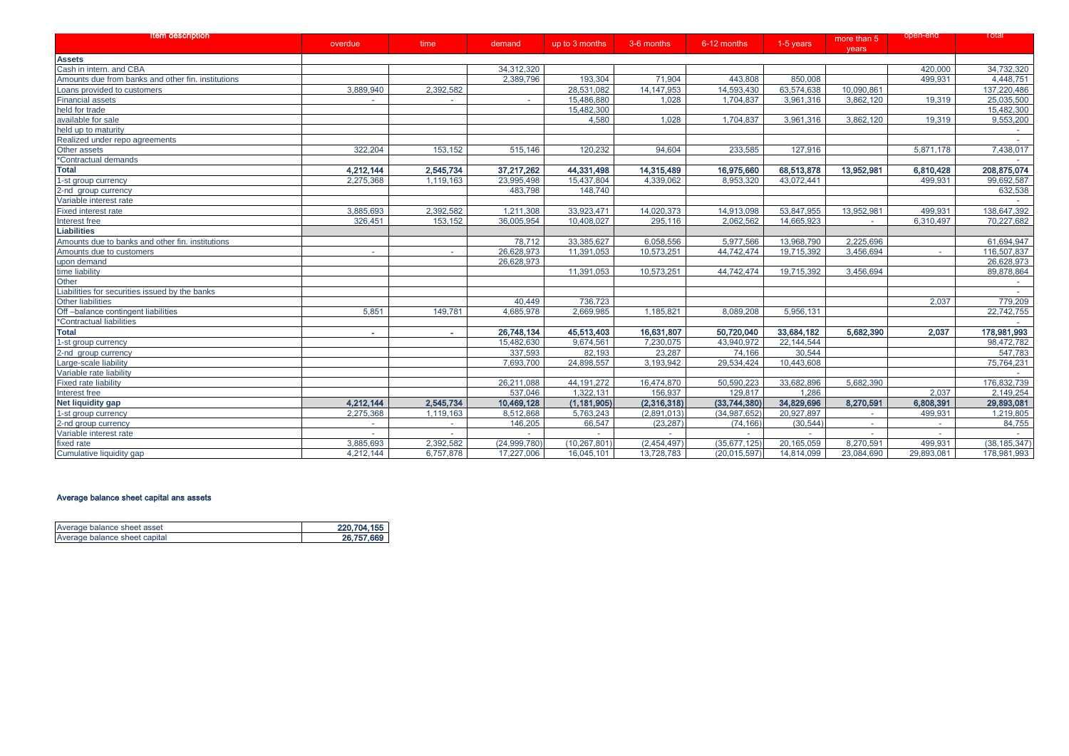| <b>Rem description</b>                             | overdue   | time      | demand       | up to 3 months | 3-6 months   | 6-12 months    | 1-5 years  | more than 5<br>years | open-ena   | Total          |
|----------------------------------------------------|-----------|-----------|--------------|----------------|--------------|----------------|------------|----------------------|------------|----------------|
| <b>Assets</b>                                      |           |           |              |                |              |                |            |                      |            |                |
| Cash in intern. and CBA                            |           |           | 34,312,320   |                |              |                |            |                      | 420,000    | 34,732,320     |
| Amounts due from banks and other fin. institutions |           |           | 2.389.796    | 193.304        | 71.904       | 443.808        | 850.008    |                      | 499.931    | 4.448.751      |
| Loans provided to customers                        | 3,889,940 | 2,392,582 |              | 28.531.082     | 14, 147, 953 | 14,593,430     | 63,574,638 | 10.090.861           |            | 137,220,486    |
| Financial assets                                   |           | $\sim$    | $\sim$       | 15,486,880     | 1.028        | 1.704.837      | 3.961.316  | 3.862.120            | 19.319     | 25,035,500     |
| held for trade                                     |           |           |              | 15,482,300     |              |                |            |                      |            | 15,482,300     |
| available for sale                                 |           |           |              | 4,580          | 1,028        | 1,704,837      | 3,961,316  | 3,862,120            | 19,319     | 9,553,200      |
| held up to maturity                                |           |           |              |                |              |                |            |                      |            |                |
| Realized under repo agreements                     |           |           |              |                |              |                |            |                      |            | $\sim$         |
| Other assets                                       | 322.204   | 153,152   | 515,146      | 120,232        | 94,604       | 233,585        | 127,916    |                      | 5,871,178  | 7,438,017      |
| *Contractual demands                               |           |           |              |                |              |                |            |                      |            |                |
| <b>Total</b>                                       | 4,212,144 | 2,545,734 | 37,217,262   | 44,331,498     | 14,315,489   | 16,975,660     | 68,513,878 | 13,952,981           | 6,810,428  | 208,875,074    |
| 1-st group currency                                | 2,275,368 | 1,119,163 | 23,995,498   | 15,437,804     | 4,339,062    | 8,953,320      | 43,072,441 |                      | 499,931    | 99,692,587     |
| 2-nd group currency                                |           |           | 483,798      | 148,740        |              |                |            |                      |            | 632,538        |
| Variable interest rate                             |           |           |              |                |              |                |            |                      |            |                |
| Fixed interest rate                                | 3,885,693 | 2,392,582 | 1,211,308    | 33,923,471     | 14,020,373   | 14,913,098     | 53,847,955 | 13,952,981           | 499.931    | 138,647,392    |
| Interest free                                      | 326,451   | 153,152   | 36,005,954   | 10,408,027     | 295,116      | 2,062,562      | 14,665,923 | $\sim$               | 6,310,497  | 70,227,682     |
| <b>Liabilities</b>                                 |           |           |              |                |              |                |            |                      |            |                |
| Amounts due to banks and other fin. institutions   |           |           | 78.712       | 33,385,627     | 6,058,556    | 5,977,566      | 13,968,790 | 2.225.696            |            | 61,694,947     |
| Amounts due to customers                           | $\sim$    | $\sim$    | 26,628,973   | 11,391,053     | 10,573,251   | 44,742,474     | 19,715,392 | 3,456,694            | $\sim$     | 116.507.837    |
|                                                    |           |           | 26,628,973   |                |              |                |            |                      |            | 26,628,973     |
| upon demand<br>time liability                      |           |           |              | 11,391,053     | 10,573,251   | 44,742,474     | 19,715,392 | 3,456,694            |            | 89,878,864     |
| Other                                              |           |           |              |                |              |                |            |                      |            |                |
| Liabilities for securities issued by the banks     |           |           |              |                |              |                |            |                      |            |                |
| <b>Other liabilities</b>                           |           |           | 40,449       | 736,723        |              |                |            |                      | 2,037      | 779,209        |
| Off-balance contingent liabilities                 | 5.851     | 149.781   | 4.685.978    | 2.669.985      | 1,185,821    | 8.089.208      | 5.956.131  |                      |            | 22,742,755     |
| *Contractual liabilities                           |           |           |              |                |              |                |            |                      |            |                |
| <b>Total</b>                                       | ×.        | $\sim$    | 26,748,134   | 45,513,403     | 16,631,807   | 50,720,040     | 33,684,182 | 5,682,390            | 2,037      | 178,981,993    |
| 1-st group currency                                |           |           | 15,482,630   | 9.674.561      | 7,230,075    | 43.940.972     | 22.144.544 |                      |            | 98.472.782     |
| 2-nd group currency                                |           |           | 337,593      | 82,193         | 23,287       | 74,166         | 30,544     |                      |            | 547,783        |
| Large-scale liability                              |           |           | 7,693,700    | 24,898,557     | 3,193,942    | 29,534,424     | 10,443,608 |                      |            | 75,764,231     |
| Variable rate liability                            |           |           |              |                |              |                |            |                      |            |                |
| <b>Fixed rate liability</b>                        |           |           | 26,211,088   | 44, 191, 272   | 16,474,870   | 50,590,223     | 33,682,896 | 5,682,390            |            | 176,832,739    |
| Interest free                                      |           |           | 537.046      | 1,322,131      | 156,937      | 129,817        | 1.286      |                      | 2,037      | 2,149,254      |
| <b>Net liquidity gap</b>                           | 4,212,144 | 2,545,734 | 10,469,128   | (1, 181, 905)  | (2,316,318)  | (33,744,380)   | 34,829,696 | 8,270,591            | 6,808,391  | 29,893,081     |
| 1-st group currency                                | 2,275,368 | 1,119,163 | 8,512,868    | 5,763,243      | (2,891,013)  | (34, 987, 652) | 20,927,897 |                      | 499,931    | 1,219,805      |
| 2-nd group currency                                | $\sim$    | $\sim$    | 146,205      | 66,547         | (23, 287)    | (74, 166)      | (30, 544)  | $\sim$               |            | 84,755         |
| Variable interest rate                             |           |           |              |                |              |                |            |                      |            |                |
| fixed rate                                         | 3,885,693 | 2,392,582 | (24,999,780) | (10, 267, 801) | (2,454,497)  | (35,677,125)   | 20.165.059 | 8.270.591            | 499,931    | (38, 185, 347) |
| Cumulative liquidity gap                           | 4,212,144 | 6,757,878 | 17,227,006   | 16,045,101     | 13,728,783   | (20, 015, 597) | 14,814,099 | 23,084,690           | 29,893,081 | 178,981,993    |

# Average balance sheet capital ans assets

| Average balance sheet asset   | 220.704.155 |
|-------------------------------|-------------|
| Average balance sheet capital | 26.757.669  |